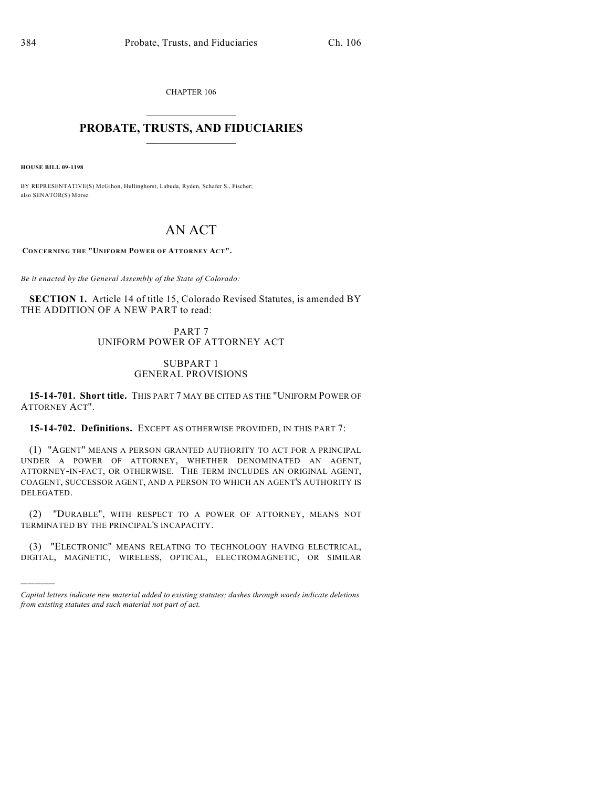CHAPTER 106  $\mathcal{L}_\text{max}$  . The set of the set of the set of the set of the set of the set of the set of the set of the set of the set of the set of the set of the set of the set of the set of the set of the set of the set of the set

## **PROBATE, TRUSTS, AND FIDUCIARIES**  $\overline{\phantom{a}}$

**HOUSE BILL 09-1198**

)))))

BY REPRESENTATIVE(S) McGihon, Hullinghorst, Labuda, Ryden, Schafer S., Fischer; also SENATOR(S) Morse.

# AN ACT

**CONCERNING THE "UNIFORM POWER OF ATTORNEY ACT".**

*Be it enacted by the General Assembly of the State of Colorado:*

**SECTION 1.** Article 14 of title 15, Colorado Revised Statutes, is amended BY THE ADDITION OF A NEW PART to read:

## PART 7 UNIFORM POWER OF ATTORNEY ACT

#### SUBPART 1 GENERAL PROVISIONS

**15-14-701. Short title.** THIS PART 7 MAY BE CITED AS THE "UNIFORM POWER OF ATTORNEY ACT".

**15-14-702. Definitions.** EXCEPT AS OTHERWISE PROVIDED, IN THIS PART 7:

(1) "AGENT" MEANS A PERSON GRANTED AUTHORITY TO ACT FOR A PRINCIPAL UNDER A POWER OF ATTORNEY, WHETHER DENOMINATED AN AGENT, ATTORNEY-IN-FACT, OR OTHERWISE. THE TERM INCLUDES AN ORIGINAL AGENT, COAGENT, SUCCESSOR AGENT, AND A PERSON TO WHICH AN AGENT'S AUTHORITY IS DELEGATED.

(2) "DURABLE", WITH RESPECT TO A POWER OF ATTORNEY, MEANS NOT TERMINATED BY THE PRINCIPAL'S INCAPACITY.

(3) "ELECTRONIC" MEANS RELATING TO TECHNOLOGY HAVING ELECTRICAL, DIGITAL, MAGNETIC, WIRELESS, OPTICAL, ELECTROMAGNETIC, OR SIMILAR

*Capital letters indicate new material added to existing statutes; dashes through words indicate deletions from existing statutes and such material not part of act.*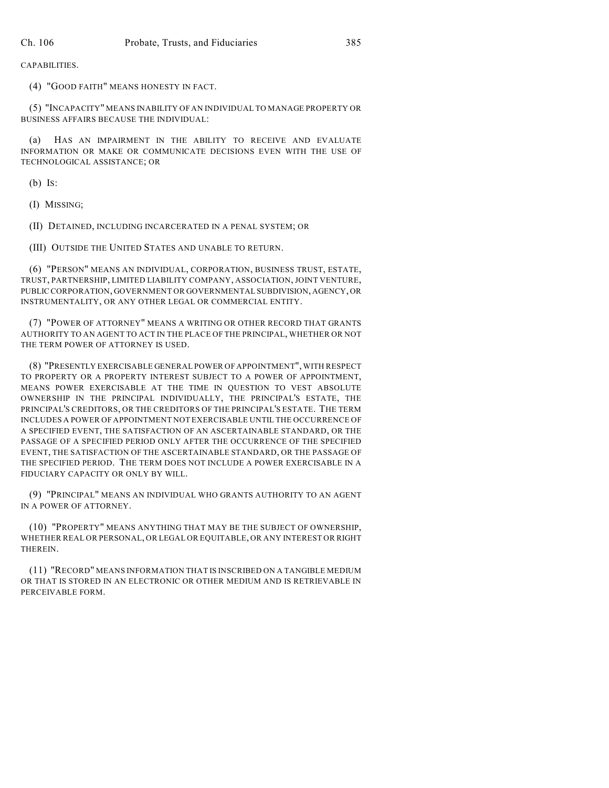CAPABILITIES.

(4) "GOOD FAITH" MEANS HONESTY IN FACT.

(5) "INCAPACITY" MEANS INABILITY OF AN INDIVIDUAL TO MANAGE PROPERTY OR BUSINESS AFFAIRS BECAUSE THE INDIVIDUAL:

(a) HAS AN IMPAIRMENT IN THE ABILITY TO RECEIVE AND EVALUATE INFORMATION OR MAKE OR COMMUNICATE DECISIONS EVEN WITH THE USE OF TECHNOLOGICAL ASSISTANCE; OR

(b) IS:

(I) MISSING;

(II) DETAINED, INCLUDING INCARCERATED IN A PENAL SYSTEM; OR

(III) OUTSIDE THE UNITED STATES AND UNABLE TO RETURN.

(6) "PERSON" MEANS AN INDIVIDUAL, CORPORATION, BUSINESS TRUST, ESTATE, TRUST, PARTNERSHIP, LIMITED LIABILITY COMPANY, ASSOCIATION, JOINT VENTURE, PUBLIC CORPORATION, GOVERNMENT OR GOVERNMENTAL SUBDIVISION, AGENCY, OR INSTRUMENTALITY, OR ANY OTHER LEGAL OR COMMERCIAL ENTITY.

(7) "POWER OF ATTORNEY" MEANS A WRITING OR OTHER RECORD THAT GRANTS AUTHORITY TO AN AGENT TO ACT IN THE PLACE OF THE PRINCIPAL, WHETHER OR NOT THE TERM POWER OF ATTORNEY IS USED.

(8) "PRESENTLY EXERCISABLE GENERAL POWER OF APPOINTMENT", WITH RESPECT TO PROPERTY OR A PROPERTY INTEREST SUBJECT TO A POWER OF APPOINTMENT, MEANS POWER EXERCISABLE AT THE TIME IN QUESTION TO VEST ABSOLUTE OWNERSHIP IN THE PRINCIPAL INDIVIDUALLY, THE PRINCIPAL'S ESTATE, THE PRINCIPAL'S CREDITORS, OR THE CREDITORS OF THE PRINCIPAL'S ESTATE. THE TERM INCLUDES A POWER OF APPOINTMENT NOT EXERCISABLE UNTIL THE OCCURRENCE OF A SPECIFIED EVENT, THE SATISFACTION OF AN ASCERTAINABLE STANDARD, OR THE PASSAGE OF A SPECIFIED PERIOD ONLY AFTER THE OCCURRENCE OF THE SPECIFIED EVENT, THE SATISFACTION OF THE ASCERTAINABLE STANDARD, OR THE PASSAGE OF THE SPECIFIED PERIOD. THE TERM DOES NOT INCLUDE A POWER EXERCISABLE IN A FIDUCIARY CAPACITY OR ONLY BY WILL.

(9) "PRINCIPAL" MEANS AN INDIVIDUAL WHO GRANTS AUTHORITY TO AN AGENT IN A POWER OF ATTORNEY.

(10) "PROPERTY" MEANS ANYTHING THAT MAY BE THE SUBJECT OF OWNERSHIP, WHETHER REAL OR PERSONAL, OR LEGAL OR EQUITABLE, OR ANY INTEREST OR RIGHT THEREIN.

(11) "RECORD" MEANS INFORMATION THAT IS INSCRIBED ON A TANGIBLE MEDIUM OR THAT IS STORED IN AN ELECTRONIC OR OTHER MEDIUM AND IS RETRIEVABLE IN PERCEIVABLE FORM.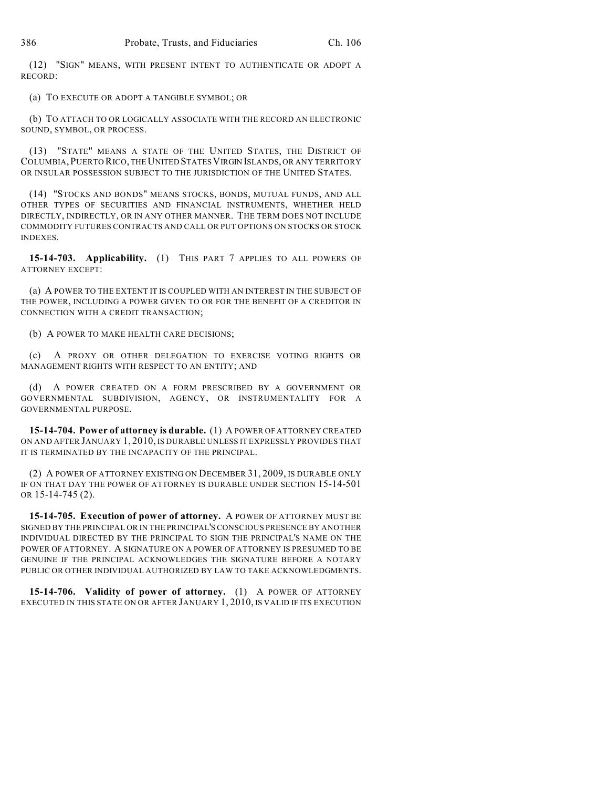(12) "SIGN" MEANS, WITH PRESENT INTENT TO AUTHENTICATE OR ADOPT A RECORD:

(a) TO EXECUTE OR ADOPT A TANGIBLE SYMBOL; OR

(b) TO ATTACH TO OR LOGICALLY ASSOCIATE WITH THE RECORD AN ELECTRONIC SOUND, SYMBOL, OR PROCESS.

(13) "STATE" MEANS A STATE OF THE UNITED STATES, THE DISTRICT OF COLUMBIA,PUERTO RICO, THE UNITED STATESVIRGIN ISLANDS, OR ANY TERRITORY OR INSULAR POSSESSION SUBJECT TO THE JURISDICTION OF THE UNITED STATES.

(14) "STOCKS AND BONDS" MEANS STOCKS, BONDS, MUTUAL FUNDS, AND ALL OTHER TYPES OF SECURITIES AND FINANCIAL INSTRUMENTS, WHETHER HELD DIRECTLY, INDIRECTLY, OR IN ANY OTHER MANNER. THE TERM DOES NOT INCLUDE COMMODITY FUTURES CONTRACTS AND CALL OR PUT OPTIONS ON STOCKS OR STOCK INDEXES.

**15-14-703. Applicability.** (1) THIS PART 7 APPLIES TO ALL POWERS OF ATTORNEY EXCEPT:

(a) A POWER TO THE EXTENT IT IS COUPLED WITH AN INTEREST IN THE SUBJECT OF THE POWER, INCLUDING A POWER GIVEN TO OR FOR THE BENEFIT OF A CREDITOR IN CONNECTION WITH A CREDIT TRANSACTION;

(b) A POWER TO MAKE HEALTH CARE DECISIONS;

(c) A PROXY OR OTHER DELEGATION TO EXERCISE VOTING RIGHTS OR MANAGEMENT RIGHTS WITH RESPECT TO AN ENTITY; AND

(d) A POWER CREATED ON A FORM PRESCRIBED BY A GOVERNMENT OR GOVERNMENTAL SUBDIVISION, AGENCY, OR INSTRUMENTALITY FOR A GOVERNMENTAL PURPOSE.

**15-14-704. Power of attorney is durable.** (1) A POWER OF ATTORNEY CREATED ON AND AFTER JANUARY 1, 2010, IS DURABLE UNLESS IT EXPRESSLY PROVIDES THAT IT IS TERMINATED BY THE INCAPACITY OF THE PRINCIPAL.

(2) A POWER OF ATTORNEY EXISTING ON DECEMBER 31, 2009, IS DURABLE ONLY IF ON THAT DAY THE POWER OF ATTORNEY IS DURABLE UNDER SECTION 15-14-501 OR 15-14-745 (2).

**15-14-705. Execution of power of attorney.** A POWER OF ATTORNEY MUST BE SIGNED BY THE PRINCIPAL OR IN THE PRINCIPAL'S CONSCIOUS PRESENCE BY ANOTHER INDIVIDUAL DIRECTED BY THE PRINCIPAL TO SIGN THE PRINCIPAL'S NAME ON THE POWER OF ATTORNEY. A SIGNATURE ON A POWER OF ATTORNEY IS PRESUMED TO BE GENUINE IF THE PRINCIPAL ACKNOWLEDGES THE SIGNATURE BEFORE A NOTARY PUBLIC OR OTHER INDIVIDUAL AUTHORIZED BY LAW TO TAKE ACKNOWLEDGMENTS.

**15-14-706. Validity of power of attorney.** (1) A POWER OF ATTORNEY EXECUTED IN THIS STATE ON OR AFTER JANUARY 1, 2010, IS VALID IF ITS EXECUTION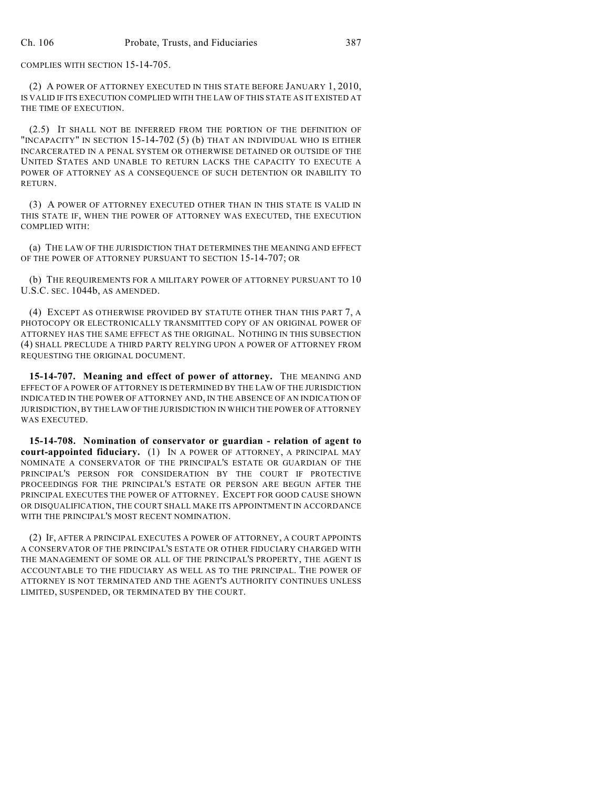COMPLIES WITH SECTION 15-14-705.

(2) A POWER OF ATTORNEY EXECUTED IN THIS STATE BEFORE JANUARY 1, 2010, IS VALID IF ITS EXECUTION COMPLIED WITH THE LAW OF THIS STATE AS IT EXISTED AT THE TIME OF EXECUTION.

(2.5) IT SHALL NOT BE INFERRED FROM THE PORTION OF THE DEFINITION OF "INCAPACITY" IN SECTION 15-14-702 (5) (b) THAT AN INDIVIDUAL WHO IS EITHER INCARCERATED IN A PENAL SYSTEM OR OTHERWISE DETAINED OR OUTSIDE OF THE UNITED STATES AND UNABLE TO RETURN LACKS THE CAPACITY TO EXECUTE A POWER OF ATTORNEY AS A CONSEQUENCE OF SUCH DETENTION OR INABILITY TO RETURN.

(3) A POWER OF ATTORNEY EXECUTED OTHER THAN IN THIS STATE IS VALID IN THIS STATE IF, WHEN THE POWER OF ATTORNEY WAS EXECUTED, THE EXECUTION COMPLIED WITH:

(a) THE LAW OF THE JURISDICTION THAT DETERMINES THE MEANING AND EFFECT OF THE POWER OF ATTORNEY PURSUANT TO SECTION 15-14-707; OR

(b) THE REQUIREMENTS FOR A MILITARY POWER OF ATTORNEY PURSUANT TO 10 U.S.C. SEC. 1044b, AS AMENDED.

(4) EXCEPT AS OTHERWISE PROVIDED BY STATUTE OTHER THAN THIS PART 7, A PHOTOCOPY OR ELECTRONICALLY TRANSMITTED COPY OF AN ORIGINAL POWER OF ATTORNEY HAS THE SAME EFFECT AS THE ORIGINAL. NOTHING IN THIS SUBSECTION (4) SHALL PRECLUDE A THIRD PARTY RELYING UPON A POWER OF ATTORNEY FROM REQUESTING THE ORIGINAL DOCUMENT.

**15-14-707. Meaning and effect of power of attorney.** THE MEANING AND EFFECT OF A POWER OF ATTORNEY IS DETERMINED BY THE LAW OF THE JURISDICTION INDICATED IN THE POWER OF ATTORNEY AND, IN THE ABSENCE OF AN INDICATION OF JURISDICTION, BY THE LAW OF THE JURISDICTION IN WHICH THE POWER OF ATTORNEY WAS EXECUTED.

**15-14-708. Nomination of conservator or guardian - relation of agent to court-appointed fiduciary.** (1) IN A POWER OF ATTORNEY, A PRINCIPAL MAY NOMINATE A CONSERVATOR OF THE PRINCIPAL'S ESTATE OR GUARDIAN OF THE PRINCIPAL'S PERSON FOR CONSIDERATION BY THE COURT IF PROTECTIVE PROCEEDINGS FOR THE PRINCIPAL'S ESTATE OR PERSON ARE BEGUN AFTER THE PRINCIPAL EXECUTES THE POWER OF ATTORNEY. EXCEPT FOR GOOD CAUSE SHOWN OR DISQUALIFICATION, THE COURT SHALL MAKE ITS APPOINTMENT IN ACCORDANCE WITH THE PRINCIPAL'S MOST RECENT NOMINATION.

(2) IF, AFTER A PRINCIPAL EXECUTES A POWER OF ATTORNEY, A COURT APPOINTS A CONSERVATOR OF THE PRINCIPAL'S ESTATE OR OTHER FIDUCIARY CHARGED WITH THE MANAGEMENT OF SOME OR ALL OF THE PRINCIPAL'S PROPERTY, THE AGENT IS ACCOUNTABLE TO THE FIDUCIARY AS WELL AS TO THE PRINCIPAL. THE POWER OF ATTORNEY IS NOT TERMINATED AND THE AGENT'S AUTHORITY CONTINUES UNLESS LIMITED, SUSPENDED, OR TERMINATED BY THE COURT.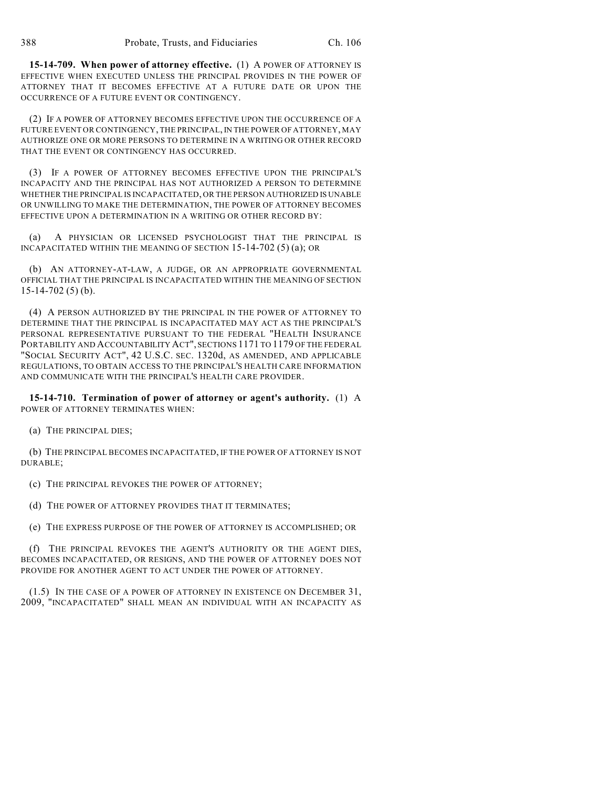**15-14-709. When power of attorney effective.** (1) A POWER OF ATTORNEY IS EFFECTIVE WHEN EXECUTED UNLESS THE PRINCIPAL PROVIDES IN THE POWER OF ATTORNEY THAT IT BECOMES EFFECTIVE AT A FUTURE DATE OR UPON THE OCCURRENCE OF A FUTURE EVENT OR CONTINGENCY.

(2) IF A POWER OF ATTORNEY BECOMES EFFECTIVE UPON THE OCCURRENCE OF A FUTURE EVENT OR CONTINGENCY, THE PRINCIPAL, IN THE POWER OF ATTORNEY, MAY AUTHORIZE ONE OR MORE PERSONS TO DETERMINE IN A WRITING OR OTHER RECORD THAT THE EVENT OR CONTINGENCY HAS OCCURRED.

(3) IF A POWER OF ATTORNEY BECOMES EFFECTIVE UPON THE PRINCIPAL'S INCAPACITY AND THE PRINCIPAL HAS NOT AUTHORIZED A PERSON TO DETERMINE WHETHER THE PRINCIPAL IS INCAPACITATED, OR THE PERSON AUTHORIZED IS UNABLE OR UNWILLING TO MAKE THE DETERMINATION, THE POWER OF ATTORNEY BECOMES EFFECTIVE UPON A DETERMINATION IN A WRITING OR OTHER RECORD BY:

(a) A PHYSICIAN OR LICENSED PSYCHOLOGIST THAT THE PRINCIPAL IS INCAPACITATED WITHIN THE MEANING OF SECTION 15-14-702 (5) (a); OR

(b) AN ATTORNEY-AT-LAW, A JUDGE, OR AN APPROPRIATE GOVERNMENTAL OFFICIAL THAT THE PRINCIPAL IS INCAPACITATED WITHIN THE MEANING OF SECTION 15-14-702 (5) (b).

(4) A PERSON AUTHORIZED BY THE PRINCIPAL IN THE POWER OF ATTORNEY TO DETERMINE THAT THE PRINCIPAL IS INCAPACITATED MAY ACT AS THE PRINCIPAL'S PERSONAL REPRESENTATIVE PURSUANT TO THE FEDERAL "HEALTH INSURANCE PORTABILITY AND ACCOUNTABILITY ACT", SECTIONS 1171 TO 1179 OF THE FEDERAL "SOCIAL SECURITY ACT", 42 U.S.C. SEC. 1320d, AS AMENDED, AND APPLICABLE REGULATIONS, TO OBTAIN ACCESS TO THE PRINCIPAL'S HEALTH CARE INFORMATION AND COMMUNICATE WITH THE PRINCIPAL'S HEALTH CARE PROVIDER.

**15-14-710. Termination of power of attorney or agent's authority.** (1) A POWER OF ATTORNEY TERMINATES WHEN:

(a) THE PRINCIPAL DIES;

(b) THE PRINCIPAL BECOMES INCAPACITATED, IF THE POWER OF ATTORNEY IS NOT DURABLE;

(c) THE PRINCIPAL REVOKES THE POWER OF ATTORNEY;

(d) THE POWER OF ATTORNEY PROVIDES THAT IT TERMINATES;

(e) THE EXPRESS PURPOSE OF THE POWER OF ATTORNEY IS ACCOMPLISHED; OR

(f) THE PRINCIPAL REVOKES THE AGENT'S AUTHORITY OR THE AGENT DIES, BECOMES INCAPACITATED, OR RESIGNS, AND THE POWER OF ATTORNEY DOES NOT PROVIDE FOR ANOTHER AGENT TO ACT UNDER THE POWER OF ATTORNEY.

(1.5) IN THE CASE OF A POWER OF ATTORNEY IN EXISTENCE ON DECEMBER 31, 2009, "INCAPACITATED" SHALL MEAN AN INDIVIDUAL WITH AN INCAPACITY AS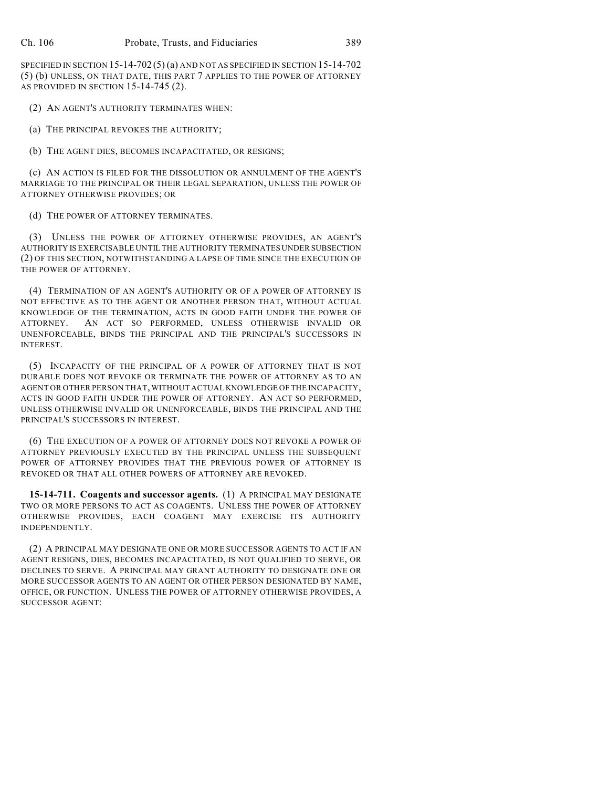SPECIFIED IN SECTION 15-14-702 (5) (a) AND NOT AS SPECIFIED IN SECTION 15-14-702 (5) (b) UNLESS, ON THAT DATE, THIS PART 7 APPLIES TO THE POWER OF ATTORNEY AS PROVIDED IN SECTION 15-14-745 (2).

(2) AN AGENT'S AUTHORITY TERMINATES WHEN:

(a) THE PRINCIPAL REVOKES THE AUTHORITY;

(b) THE AGENT DIES, BECOMES INCAPACITATED, OR RESIGNS;

(c) AN ACTION IS FILED FOR THE DISSOLUTION OR ANNULMENT OF THE AGENT'S MARRIAGE TO THE PRINCIPAL OR THEIR LEGAL SEPARATION, UNLESS THE POWER OF ATTORNEY OTHERWISE PROVIDES; OR

(d) THE POWER OF ATTORNEY TERMINATES.

(3) UNLESS THE POWER OF ATTORNEY OTHERWISE PROVIDES, AN AGENT'S AUTHORITY IS EXERCISABLE UNTIL THE AUTHORITY TERMINATES UNDER SUBSECTION (2) OF THIS SECTION, NOTWITHSTANDING A LAPSE OF TIME SINCE THE EXECUTION OF THE POWER OF ATTORNEY.

(4) TERMINATION OF AN AGENT'S AUTHORITY OR OF A POWER OF ATTORNEY IS NOT EFFECTIVE AS TO THE AGENT OR ANOTHER PERSON THAT, WITHOUT ACTUAL KNOWLEDGE OF THE TERMINATION, ACTS IN GOOD FAITH UNDER THE POWER OF ATTORNEY. AN ACT SO PERFORMED, UNLESS OTHERWISE INVALID OR UNENFORCEABLE, BINDS THE PRINCIPAL AND THE PRINCIPAL'S SUCCESSORS IN INTEREST.

(5) INCAPACITY OF THE PRINCIPAL OF A POWER OF ATTORNEY THAT IS NOT DURABLE DOES NOT REVOKE OR TERMINATE THE POWER OF ATTORNEY AS TO AN AGENT OR OTHER PERSON THAT, WITHOUT ACTUAL KNOWLEDGE OF THE INCAPACITY, ACTS IN GOOD FAITH UNDER THE POWER OF ATTORNEY. AN ACT SO PERFORMED, UNLESS OTHERWISE INVALID OR UNENFORCEABLE, BINDS THE PRINCIPAL AND THE PRINCIPAL'S SUCCESSORS IN INTEREST.

(6) THE EXECUTION OF A POWER OF ATTORNEY DOES NOT REVOKE A POWER OF ATTORNEY PREVIOUSLY EXECUTED BY THE PRINCIPAL UNLESS THE SUBSEQUENT POWER OF ATTORNEY PROVIDES THAT THE PREVIOUS POWER OF ATTORNEY IS REVOKED OR THAT ALL OTHER POWERS OF ATTORNEY ARE REVOKED.

**15-14-711. Coagents and successor agents.** (1) A PRINCIPAL MAY DESIGNATE TWO OR MORE PERSONS TO ACT AS COAGENTS. UNLESS THE POWER OF ATTORNEY OTHERWISE PROVIDES, EACH COAGENT MAY EXERCISE ITS AUTHORITY INDEPENDENTLY.

(2) A PRINCIPAL MAY DESIGNATE ONE OR MORE SUCCESSOR AGENTS TO ACT IF AN AGENT RESIGNS, DIES, BECOMES INCAPACITATED, IS NOT QUALIFIED TO SERVE, OR DECLINES TO SERVE. A PRINCIPAL MAY GRANT AUTHORITY TO DESIGNATE ONE OR MORE SUCCESSOR AGENTS TO AN AGENT OR OTHER PERSON DESIGNATED BY NAME, OFFICE, OR FUNCTION. UNLESS THE POWER OF ATTORNEY OTHERWISE PROVIDES, A SUCCESSOR AGENT: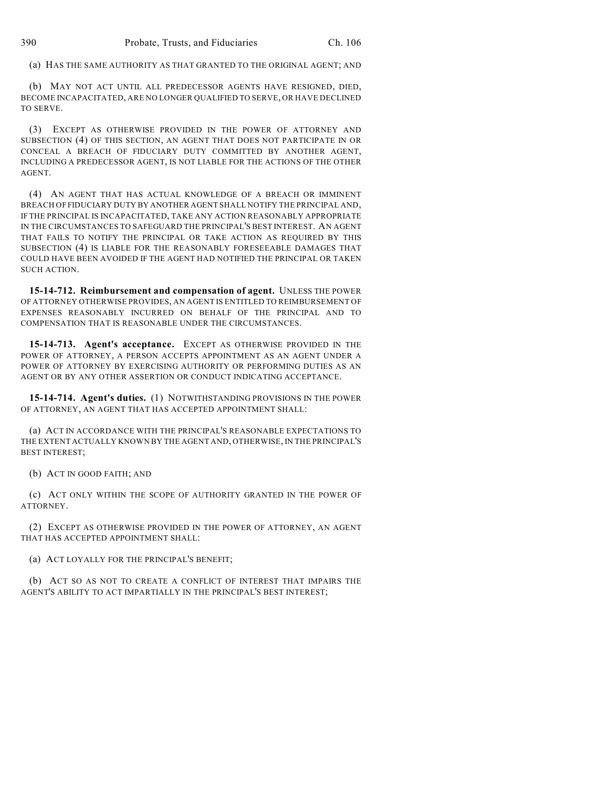(a) HAS THE SAME AUTHORITY AS THAT GRANTED TO THE ORIGINAL AGENT; AND

(b) MAY NOT ACT UNTIL ALL PREDECESSOR AGENTS HAVE RESIGNED, DIED, BECOME INCAPACITATED, ARE NO LONGER QUALIFIED TO SERVE, OR HAVE DECLINED TO SERVE.

(3) EXCEPT AS OTHERWISE PROVIDED IN THE POWER OF ATTORNEY AND SUBSECTION (4) OF THIS SECTION, AN AGENT THAT DOES NOT PARTICIPATE IN OR CONCEAL A BREACH OF FIDUCIARY DUTY COMMITTED BY ANOTHER AGENT, INCLUDING A PREDECESSOR AGENT, IS NOT LIABLE FOR THE ACTIONS OF THE OTHER AGENT.

(4) AN AGENT THAT HAS ACTUAL KNOWLEDGE OF A BREACH OR IMMINENT BREACH OF FIDUCIARY DUTY BY ANOTHER AGENT SHALL NOTIFY THE PRINCIPAL AND, IF THE PRINCIPAL IS INCAPACITATED, TAKE ANY ACTION REASONABLY APPROPRIATE IN THE CIRCUMSTANCES TO SAFEGUARD THE PRINCIPAL'S BEST INTEREST. AN AGENT THAT FAILS TO NOTIFY THE PRINCIPAL OR TAKE ACTION AS REQUIRED BY THIS SUBSECTION (4) IS LIABLE FOR THE REASONABLY FORESEEABLE DAMAGES THAT COULD HAVE BEEN AVOIDED IF THE AGENT HAD NOTIFIED THE PRINCIPAL OR TAKEN SUCH ACTION.

**15-14-712. Reimbursement and compensation of agent.** UNLESS THE POWER OF ATTORNEY OTHERWISE PROVIDES, AN AGENT IS ENTITLED TO REIMBURSEMENT OF EXPENSES REASONABLY INCURRED ON BEHALF OF THE PRINCIPAL AND TO COMPENSATION THAT IS REASONABLE UNDER THE CIRCUMSTANCES.

**15-14-713. Agent's acceptance.** EXCEPT AS OTHERWISE PROVIDED IN THE POWER OF ATTORNEY, A PERSON ACCEPTS APPOINTMENT AS AN AGENT UNDER A POWER OF ATTORNEY BY EXERCISING AUTHORITY OR PERFORMING DUTIES AS AN AGENT OR BY ANY OTHER ASSERTION OR CONDUCT INDICATING ACCEPTANCE.

**15-14-714. Agent's duties.** (1) NOTWITHSTANDING PROVISIONS IN THE POWER OF ATTORNEY, AN AGENT THAT HAS ACCEPTED APPOINTMENT SHALL:

(a) ACT IN ACCORDANCE WITH THE PRINCIPAL'S REASONABLE EXPECTATIONS TO THE EXTENT ACTUALLY KNOWN BY THE AGENT AND, OTHERWISE, IN THE PRINCIPAL'S BEST INTEREST;

(b) ACT IN GOOD FAITH; AND

(c) ACT ONLY WITHIN THE SCOPE OF AUTHORITY GRANTED IN THE POWER OF ATTORNEY.

(2) EXCEPT AS OTHERWISE PROVIDED IN THE POWER OF ATTORNEY, AN AGENT THAT HAS ACCEPTED APPOINTMENT SHALL:

(a) ACT LOYALLY FOR THE PRINCIPAL'S BENEFIT;

(b) ACT SO AS NOT TO CREATE A CONFLICT OF INTEREST THAT IMPAIRS THE AGENT'S ABILITY TO ACT IMPARTIALLY IN THE PRINCIPAL'S BEST INTEREST;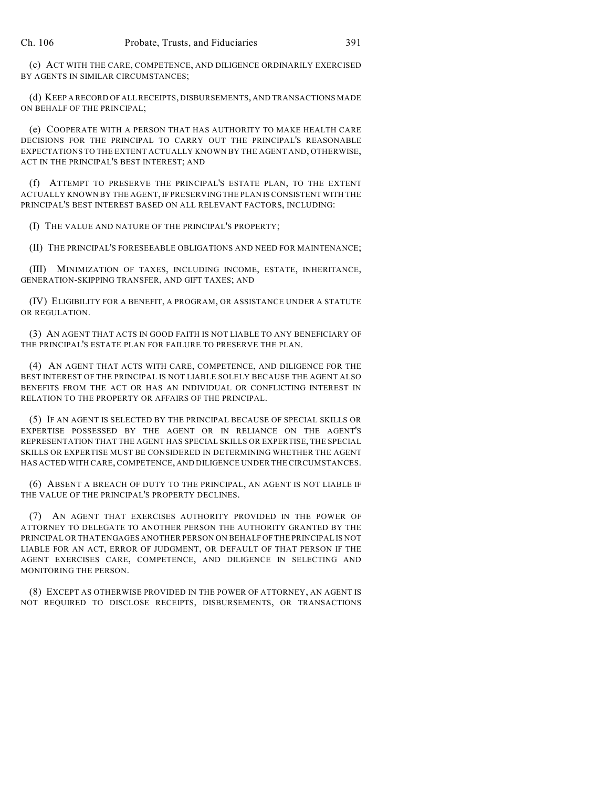(c) ACT WITH THE CARE, COMPETENCE, AND DILIGENCE ORDINARILY EXERCISED BY AGENTS IN SIMILAR CIRCUMSTANCES;

(d) KEEP A RECORD OF ALL RECEIPTS, DISBURSEMENTS, AND TRANSACTIONS MADE ON BEHALF OF THE PRINCIPAL;

(e) COOPERATE WITH A PERSON THAT HAS AUTHORITY TO MAKE HEALTH CARE DECISIONS FOR THE PRINCIPAL TO CARRY OUT THE PRINCIPAL'S REASONABLE EXPECTATIONS TO THE EXTENT ACTUALLY KNOWN BY THE AGENT AND, OTHERWISE, ACT IN THE PRINCIPAL'S BEST INTEREST; AND

(f) ATTEMPT TO PRESERVE THE PRINCIPAL'S ESTATE PLAN, TO THE EXTENT ACTUALLY KNOWN BY THE AGENT, IF PRESERVING THE PLAN IS CONSISTENT WITH THE PRINCIPAL'S BEST INTEREST BASED ON ALL RELEVANT FACTORS, INCLUDING:

(I) THE VALUE AND NATURE OF THE PRINCIPAL'S PROPERTY;

(II) THE PRINCIPAL'S FORESEEABLE OBLIGATIONS AND NEED FOR MAINTENANCE;

(III) MINIMIZATION OF TAXES, INCLUDING INCOME, ESTATE, INHERITANCE, GENERATION-SKIPPING TRANSFER, AND GIFT TAXES; AND

(IV) ELIGIBILITY FOR A BENEFIT, A PROGRAM, OR ASSISTANCE UNDER A STATUTE OR REGULATION.

(3) AN AGENT THAT ACTS IN GOOD FAITH IS NOT LIABLE TO ANY BENEFICIARY OF THE PRINCIPAL'S ESTATE PLAN FOR FAILURE TO PRESERVE THE PLAN.

(4) AN AGENT THAT ACTS WITH CARE, COMPETENCE, AND DILIGENCE FOR THE BEST INTEREST OF THE PRINCIPAL IS NOT LIABLE SOLELY BECAUSE THE AGENT ALSO BENEFITS FROM THE ACT OR HAS AN INDIVIDUAL OR CONFLICTING INTEREST IN RELATION TO THE PROPERTY OR AFFAIRS OF THE PRINCIPAL.

(5) IF AN AGENT IS SELECTED BY THE PRINCIPAL BECAUSE OF SPECIAL SKILLS OR EXPERTISE POSSESSED BY THE AGENT OR IN RELIANCE ON THE AGENT'S REPRESENTATION THAT THE AGENT HAS SPECIAL SKILLS OR EXPERTISE, THE SPECIAL SKILLS OR EXPERTISE MUST BE CONSIDERED IN DETERMINING WHETHER THE AGENT HAS ACTED WITH CARE, COMPETENCE, AND DILIGENCE UNDER THE CIRCUMSTANCES.

(6) ABSENT A BREACH OF DUTY TO THE PRINCIPAL, AN AGENT IS NOT LIABLE IF THE VALUE OF THE PRINCIPAL'S PROPERTY DECLINES.

(7) AN AGENT THAT EXERCISES AUTHORITY PROVIDED IN THE POWER OF ATTORNEY TO DELEGATE TO ANOTHER PERSON THE AUTHORITY GRANTED BY THE PRINCIPAL OR THAT ENGAGES ANOTHER PERSON ON BEHALF OFTHE PRINCIPAL IS NOT LIABLE FOR AN ACT, ERROR OF JUDGMENT, OR DEFAULT OF THAT PERSON IF THE AGENT EXERCISES CARE, COMPETENCE, AND DILIGENCE IN SELECTING AND MONITORING THE PERSON.

(8) EXCEPT AS OTHERWISE PROVIDED IN THE POWER OF ATTORNEY, AN AGENT IS NOT REQUIRED TO DISCLOSE RECEIPTS, DISBURSEMENTS, OR TRANSACTIONS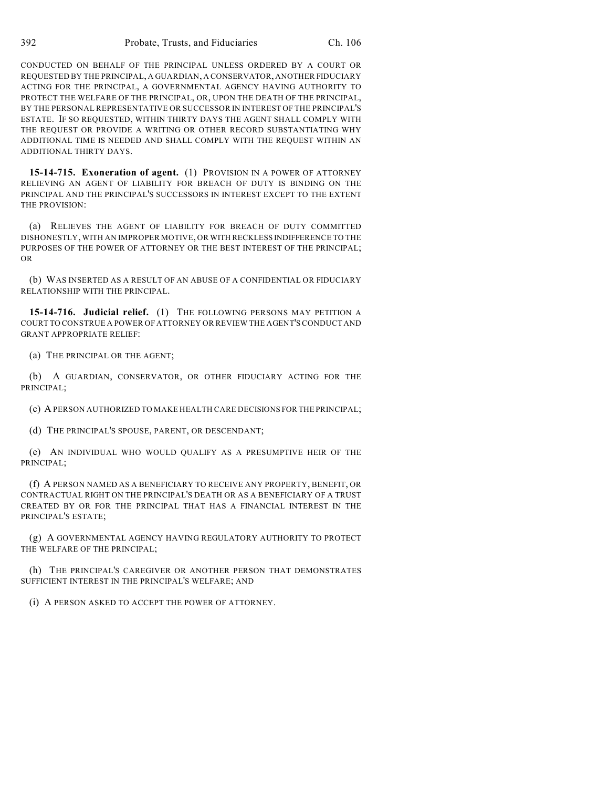CONDUCTED ON BEHALF OF THE PRINCIPAL UNLESS ORDERED BY A COURT OR REQUESTED BY THE PRINCIPAL, A GUARDIAN, A CONSERVATOR, ANOTHER FIDUCIARY ACTING FOR THE PRINCIPAL, A GOVERNMENTAL AGENCY HAVING AUTHORITY TO PROTECT THE WELFARE OF THE PRINCIPAL, OR, UPON THE DEATH OF THE PRINCIPAL, BY THE PERSONAL REPRESENTATIVE OR SUCCESSOR IN INTEREST OF THE PRINCIPAL'S ESTATE. IF SO REQUESTED, WITHIN THIRTY DAYS THE AGENT SHALL COMPLY WITH THE REQUEST OR PROVIDE A WRITING OR OTHER RECORD SUBSTANTIATING WHY ADDITIONAL TIME IS NEEDED AND SHALL COMPLY WITH THE REQUEST WITHIN AN ADDITIONAL THIRTY DAYS.

**15-14-715. Exoneration of agent.** (1) PROVISION IN A POWER OF ATTORNEY RELIEVING AN AGENT OF LIABILITY FOR BREACH OF DUTY IS BINDING ON THE PRINCIPAL AND THE PRINCIPAL'S SUCCESSORS IN INTEREST EXCEPT TO THE EXTENT THE PROVISION:

(a) RELIEVES THE AGENT OF LIABILITY FOR BREACH OF DUTY COMMITTED DISHONESTLY, WITH AN IMPROPER MOTIVE, OR WITH RECKLESS INDIFFERENCE TO THE PURPOSES OF THE POWER OF ATTORNEY OR THE BEST INTEREST OF THE PRINCIPAL; OR

(b) WAS INSERTED AS A RESULT OF AN ABUSE OF A CONFIDENTIAL OR FIDUCIARY RELATIONSHIP WITH THE PRINCIPAL.

**15-14-716. Judicial relief.** (1) THE FOLLOWING PERSONS MAY PETITION A COURT TO CONSTRUE A POWER OF ATTORNEY OR REVIEW THE AGENT'S CONDUCT AND GRANT APPROPRIATE RELIEF:

(a) THE PRINCIPAL OR THE AGENT;

(b) A GUARDIAN, CONSERVATOR, OR OTHER FIDUCIARY ACTING FOR THE PRINCIPAL;

(c) A PERSON AUTHORIZED TO MAKE HEALTH CARE DECISIONS FOR THE PRINCIPAL;

(d) THE PRINCIPAL'S SPOUSE, PARENT, OR DESCENDANT;

(e) AN INDIVIDUAL WHO WOULD QUALIFY AS A PRESUMPTIVE HEIR OF THE PRINCIPAL;

(f) A PERSON NAMED AS A BENEFICIARY TO RECEIVE ANY PROPERTY, BENEFIT, OR CONTRACTUAL RIGHT ON THE PRINCIPAL'S DEATH OR AS A BENEFICIARY OF A TRUST CREATED BY OR FOR THE PRINCIPAL THAT HAS A FINANCIAL INTEREST IN THE PRINCIPAL'S ESTATE;

(g) A GOVERNMENTAL AGENCY HAVING REGULATORY AUTHORITY TO PROTECT THE WELFARE OF THE PRINCIPAL;

(h) THE PRINCIPAL'S CAREGIVER OR ANOTHER PERSON THAT DEMONSTRATES SUFFICIENT INTEREST IN THE PRINCIPAL'S WELFARE; AND

(i) A PERSON ASKED TO ACCEPT THE POWER OF ATTORNEY.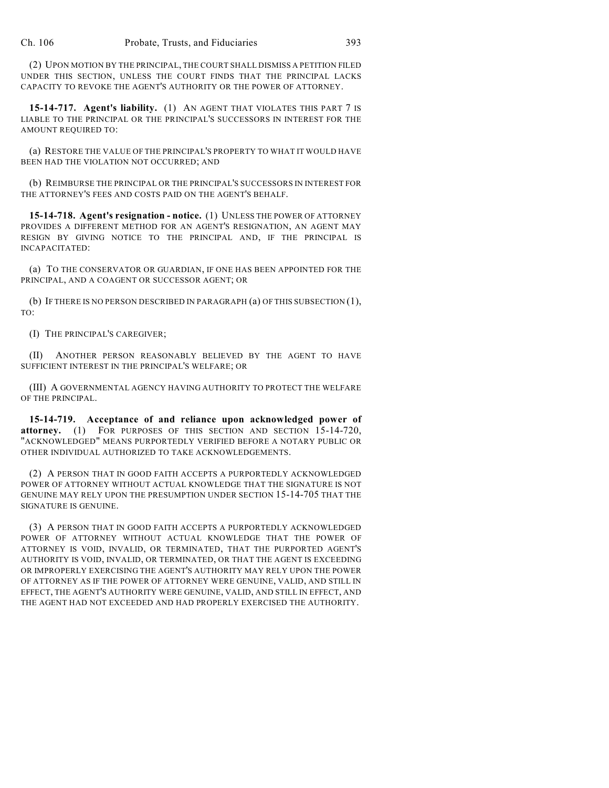(2) UPON MOTION BY THE PRINCIPAL, THE COURT SHALL DISMISS A PETITION FILED UNDER THIS SECTION, UNLESS THE COURT FINDS THAT THE PRINCIPAL LACKS CAPACITY TO REVOKE THE AGENT'S AUTHORITY OR THE POWER OF ATTORNEY.

**15-14-717. Agent's liability.** (1) AN AGENT THAT VIOLATES THIS PART 7 IS LIABLE TO THE PRINCIPAL OR THE PRINCIPAL'S SUCCESSORS IN INTEREST FOR THE AMOUNT REQUIRED TO:

(a) RESTORE THE VALUE OF THE PRINCIPAL'S PROPERTY TO WHAT IT WOULD HAVE BEEN HAD THE VIOLATION NOT OCCURRED; AND

(b) REIMBURSE THE PRINCIPAL OR THE PRINCIPAL'S SUCCESSORS IN INTEREST FOR THE ATTORNEY'S FEES AND COSTS PAID ON THE AGENT'S BEHALF.

**15-14-718. Agent's resignation - notice.** (1) UNLESS THE POWER OF ATTORNEY PROVIDES A DIFFERENT METHOD FOR AN AGENT'S RESIGNATION, AN AGENT MAY RESIGN BY GIVING NOTICE TO THE PRINCIPAL AND, IF THE PRINCIPAL IS INCAPACITATED:

(a) TO THE CONSERVATOR OR GUARDIAN, IF ONE HAS BEEN APPOINTED FOR THE PRINCIPAL, AND A COAGENT OR SUCCESSOR AGENT; OR

(b) IF THERE IS NO PERSON DESCRIBED IN PARAGRAPH (a) OF THIS SUBSECTION (1), TO:

(I) THE PRINCIPAL'S CAREGIVER;

(II) ANOTHER PERSON REASONABLY BELIEVED BY THE AGENT TO HAVE SUFFICIENT INTEREST IN THE PRINCIPAL'S WELFARE; OR

(III) A GOVERNMENTAL AGENCY HAVING AUTHORITY TO PROTECT THE WELFARE OF THE PRINCIPAL.

**15-14-719. Acceptance of and reliance upon acknowledged power of attorney.** (1) FOR PURPOSES OF THIS SECTION AND SECTION 15-14-720, "ACKNOWLEDGED" MEANS PURPORTEDLY VERIFIED BEFORE A NOTARY PUBLIC OR OTHER INDIVIDUAL AUTHORIZED TO TAKE ACKNOWLEDGEMENTS.

(2) A PERSON THAT IN GOOD FAITH ACCEPTS A PURPORTEDLY ACKNOWLEDGED POWER OF ATTORNEY WITHOUT ACTUAL KNOWLEDGE THAT THE SIGNATURE IS NOT GENUINE MAY RELY UPON THE PRESUMPTION UNDER SECTION 15-14-705 THAT THE SIGNATURE IS GENUINE.

(3) A PERSON THAT IN GOOD FAITH ACCEPTS A PURPORTEDLY ACKNOWLEDGED POWER OF ATTORNEY WITHOUT ACTUAL KNOWLEDGE THAT THE POWER OF ATTORNEY IS VOID, INVALID, OR TERMINATED, THAT THE PURPORTED AGENT'S AUTHORITY IS VOID, INVALID, OR TERMINATED, OR THAT THE AGENT IS EXCEEDING OR IMPROPERLY EXERCISING THE AGENT'S AUTHORITY MAY RELY UPON THE POWER OF ATTORNEY AS IF THE POWER OF ATTORNEY WERE GENUINE, VALID, AND STILL IN EFFECT, THE AGENT'S AUTHORITY WERE GENUINE, VALID, AND STILL IN EFFECT, AND THE AGENT HAD NOT EXCEEDED AND HAD PROPERLY EXERCISED THE AUTHORITY.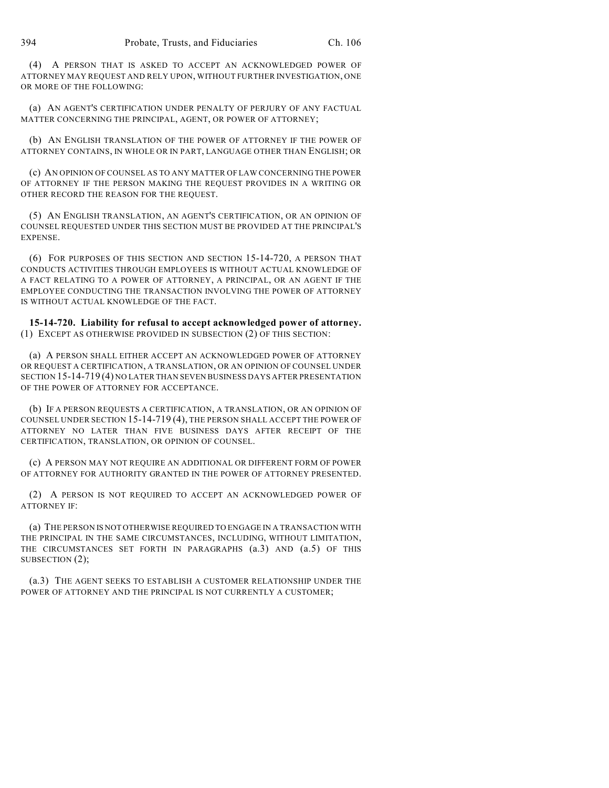(4) A PERSON THAT IS ASKED TO ACCEPT AN ACKNOWLEDGED POWER OF ATTORNEY MAY REQUEST AND RELY UPON, WITHOUT FURTHER INVESTIGATION, ONE OR MORE OF THE FOLLOWING:

(a) AN AGENT'S CERTIFICATION UNDER PENALTY OF PERJURY OF ANY FACTUAL MATTER CONCERNING THE PRINCIPAL, AGENT, OR POWER OF ATTORNEY;

(b) AN ENGLISH TRANSLATION OF THE POWER OF ATTORNEY IF THE POWER OF ATTORNEY CONTAINS, IN WHOLE OR IN PART, LANGUAGE OTHER THAN ENGLISH; OR

(c) AN OPINION OF COUNSEL AS TO ANY MATTER OF LAW CONCERNING THE POWER OF ATTORNEY IF THE PERSON MAKING THE REQUEST PROVIDES IN A WRITING OR OTHER RECORD THE REASON FOR THE REQUEST.

(5) AN ENGLISH TRANSLATION, AN AGENT'S CERTIFICATION, OR AN OPINION OF COUNSEL REQUESTED UNDER THIS SECTION MUST BE PROVIDED AT THE PRINCIPAL'S EXPENSE.

(6) FOR PURPOSES OF THIS SECTION AND SECTION 15-14-720, A PERSON THAT CONDUCTS ACTIVITIES THROUGH EMPLOYEES IS WITHOUT ACTUAL KNOWLEDGE OF A FACT RELATING TO A POWER OF ATTORNEY, A PRINCIPAL, OR AN AGENT IF THE EMPLOYEE CONDUCTING THE TRANSACTION INVOLVING THE POWER OF ATTORNEY IS WITHOUT ACTUAL KNOWLEDGE OF THE FACT.

**15-14-720. Liability for refusal to accept acknowledged power of attorney.** (1) EXCEPT AS OTHERWISE PROVIDED IN SUBSECTION (2) OF THIS SECTION:

(a) A PERSON SHALL EITHER ACCEPT AN ACKNOWLEDGED POWER OF ATTORNEY OR REQUEST A CERTIFICATION, A TRANSLATION, OR AN OPINION OF COUNSEL UNDER SECTION 15-14-719 (4) NO LATER THAN SEVEN BUSINESS DAYS AFTER PRESENTATION OF THE POWER OF ATTORNEY FOR ACCEPTANCE.

(b) IF A PERSON REQUESTS A CERTIFICATION, A TRANSLATION, OR AN OPINION OF COUNSEL UNDER SECTION 15-14-719 (4), THE PERSON SHALL ACCEPT THE POWER OF ATTORNEY NO LATER THAN FIVE BUSINESS DAYS AFTER RECEIPT OF THE CERTIFICATION, TRANSLATION, OR OPINION OF COUNSEL.

(c) A PERSON MAY NOT REQUIRE AN ADDITIONAL OR DIFFERENT FORM OF POWER OF ATTORNEY FOR AUTHORITY GRANTED IN THE POWER OF ATTORNEY PRESENTED.

(2) A PERSON IS NOT REQUIRED TO ACCEPT AN ACKNOWLEDGED POWER OF ATTORNEY IF:

(a) THE PERSON IS NOT OTHERWISE REQUIRED TO ENGAGE IN A TRANSACTION WITH THE PRINCIPAL IN THE SAME CIRCUMSTANCES, INCLUDING, WITHOUT LIMITATION, THE CIRCUMSTANCES SET FORTH IN PARAGRAPHS (a.3) AND (a.5) OF THIS SUBSECTION (2);

(a.3) THE AGENT SEEKS TO ESTABLISH A CUSTOMER RELATIONSHIP UNDER THE POWER OF ATTORNEY AND THE PRINCIPAL IS NOT CURRENTLY A CUSTOMER;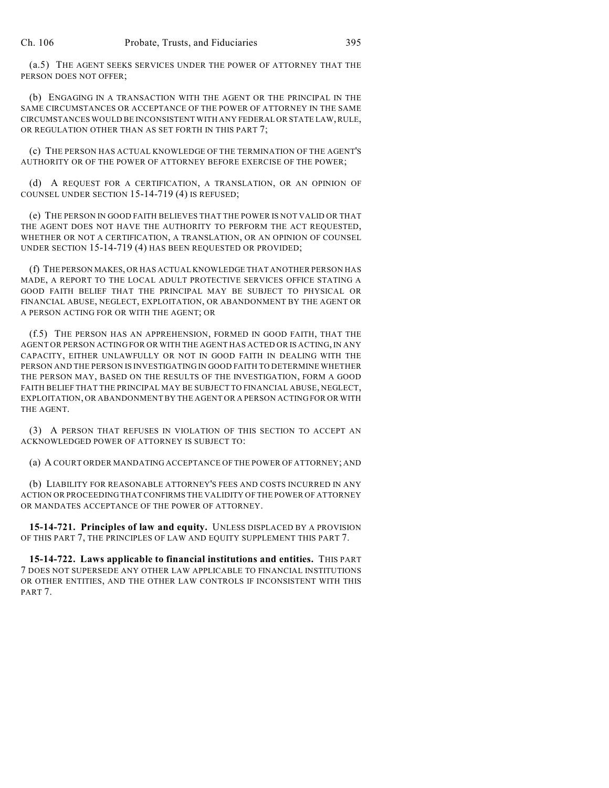(a.5) THE AGENT SEEKS SERVICES UNDER THE POWER OF ATTORNEY THAT THE PERSON DOES NOT OFFER;

(b) ENGAGING IN A TRANSACTION WITH THE AGENT OR THE PRINCIPAL IN THE SAME CIRCUMSTANCES OR ACCEPTANCE OF THE POWER OF ATTORNEY IN THE SAME CIRCUMSTANCES WOULD BE INCONSISTENT WITH ANY FEDERAL OR STATE LAW, RULE, OR REGULATION OTHER THAN AS SET FORTH IN THIS PART 7;

(c) THE PERSON HAS ACTUAL KNOWLEDGE OF THE TERMINATION OF THE AGENT'S AUTHORITY OR OF THE POWER OF ATTORNEY BEFORE EXERCISE OF THE POWER;

(d) A REQUEST FOR A CERTIFICATION, A TRANSLATION, OR AN OPINION OF COUNSEL UNDER SECTION 15-14-719 (4) IS REFUSED;

(e) THE PERSON IN GOOD FAITH BELIEVES THAT THE POWER IS NOT VALID OR THAT THE AGENT DOES NOT HAVE THE AUTHORITY TO PERFORM THE ACT REQUESTED, WHETHER OR NOT A CERTIFICATION, A TRANSLATION, OR AN OPINION OF COUNSEL UNDER SECTION 15-14-719 (4) HAS BEEN REQUESTED OR PROVIDED;

(f) THE PERSON MAKES, OR HAS ACTUAL KNOWLEDGE THAT ANOTHER PERSON HAS MADE, A REPORT TO THE LOCAL ADULT PROTECTIVE SERVICES OFFICE STATING A GOOD FAITH BELIEF THAT THE PRINCIPAL MAY BE SUBJECT TO PHYSICAL OR FINANCIAL ABUSE, NEGLECT, EXPLOITATION, OR ABANDONMENT BY THE AGENT OR A PERSON ACTING FOR OR WITH THE AGENT; OR

(f.5) THE PERSON HAS AN APPREHENSION, FORMED IN GOOD FAITH, THAT THE AGENT OR PERSON ACTING FOR OR WITH THE AGENT HAS ACTED OR IS ACTING, IN ANY CAPACITY, EITHER UNLAWFULLY OR NOT IN GOOD FAITH IN DEALING WITH THE PERSON AND THE PERSON IS INVESTIGATING IN GOOD FAITH TO DETERMINE WHETHER THE PERSON MAY, BASED ON THE RESULTS OF THE INVESTIGATION, FORM A GOOD FAITH BELIEF THAT THE PRINCIPAL MAY BE SUBJECT TO FINANCIAL ABUSE, NEGLECT, EXPLOITATION, OR ABANDONMENT BY THE AGENT OR A PERSON ACTING FOR OR WITH THE AGENT.

(3) A PERSON THAT REFUSES IN VIOLATION OF THIS SECTION TO ACCEPT AN ACKNOWLEDGED POWER OF ATTORNEY IS SUBJECT TO:

(a) A COURT ORDER MANDATING ACCEPTANCE OF THE POWER OF ATTORNEY; AND

(b) LIABILITY FOR REASONABLE ATTORNEY'S FEES AND COSTS INCURRED IN ANY ACTION OR PROCEEDING THAT CONFIRMS THE VALIDITY OF THE POWER OF ATTORNEY OR MANDATES ACCEPTANCE OF THE POWER OF ATTORNEY.

**15-14-721. Principles of law and equity.** UNLESS DISPLACED BY A PROVISION OF THIS PART 7, THE PRINCIPLES OF LAW AND EQUITY SUPPLEMENT THIS PART 7.

**15-14-722. Laws applicable to financial institutions and entities.** THIS PART 7 DOES NOT SUPERSEDE ANY OTHER LAW APPLICABLE TO FINANCIAL INSTITUTIONS OR OTHER ENTITIES, AND THE OTHER LAW CONTROLS IF INCONSISTENT WITH THIS PART 7.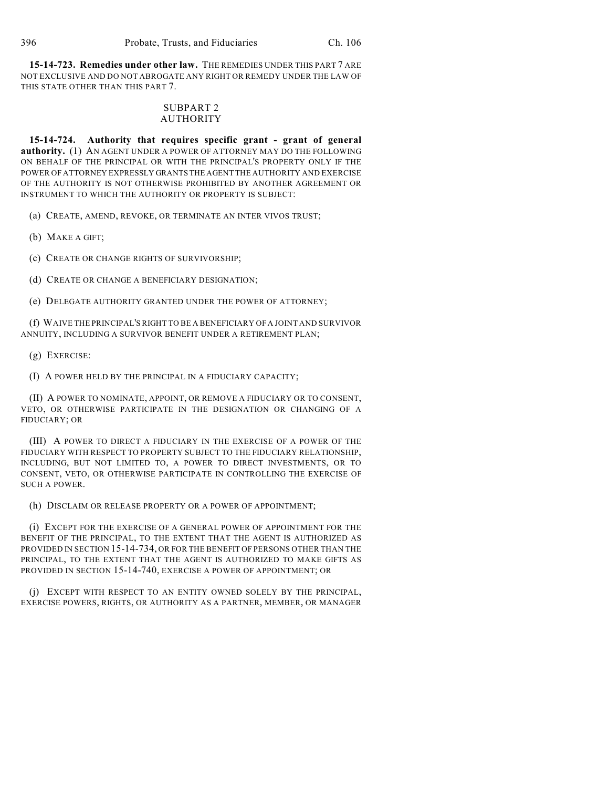**15-14-723. Remedies under other law.** THE REMEDIES UNDER THIS PART 7 ARE NOT EXCLUSIVE AND DO NOT ABROGATE ANY RIGHT OR REMEDY UNDER THE LAW OF THIS STATE OTHER THAN THIS PART 7.

#### SUBPART 2 AUTHORITY

**15-14-724. Authority that requires specific grant - grant of general authority.** (1) AN AGENT UNDER A POWER OF ATTORNEY MAY DO THE FOLLOWING ON BEHALF OF THE PRINCIPAL OR WITH THE PRINCIPAL'S PROPERTY ONLY IF THE POWER OF ATTORNEY EXPRESSLY GRANTS THE AGENT THE AUTHORITY AND EXERCISE OF THE AUTHORITY IS NOT OTHERWISE PROHIBITED BY ANOTHER AGREEMENT OR INSTRUMENT TO WHICH THE AUTHORITY OR PROPERTY IS SUBJECT:

(a) CREATE, AMEND, REVOKE, OR TERMINATE AN INTER VIVOS TRUST;

(b) MAKE A GIFT;

(c) CREATE OR CHANGE RIGHTS OF SURVIVORSHIP;

(d) CREATE OR CHANGE A BENEFICIARY DESIGNATION;

(e) DELEGATE AUTHORITY GRANTED UNDER THE POWER OF ATTORNEY;

(f) WAIVE THE PRINCIPAL'S RIGHT TO BE A BENEFICIARY OF A JOINT AND SURVIVOR ANNUITY, INCLUDING A SURVIVOR BENEFIT UNDER A RETIREMENT PLAN;

(g) EXERCISE:

(I) A POWER HELD BY THE PRINCIPAL IN A FIDUCIARY CAPACITY;

(II) A POWER TO NOMINATE, APPOINT, OR REMOVE A FIDUCIARY OR TO CONSENT, VETO, OR OTHERWISE PARTICIPATE IN THE DESIGNATION OR CHANGING OF A FIDUCIARY; OR

(III) A POWER TO DIRECT A FIDUCIARY IN THE EXERCISE OF A POWER OF THE FIDUCIARY WITH RESPECT TO PROPERTY SUBJECT TO THE FIDUCIARY RELATIONSHIP, INCLUDING, BUT NOT LIMITED TO, A POWER TO DIRECT INVESTMENTS, OR TO CONSENT, VETO, OR OTHERWISE PARTICIPATE IN CONTROLLING THE EXERCISE OF SUCH A POWER.

(h) DISCLAIM OR RELEASE PROPERTY OR A POWER OF APPOINTMENT;

(i) EXCEPT FOR THE EXERCISE OF A GENERAL POWER OF APPOINTMENT FOR THE BENEFIT OF THE PRINCIPAL, TO THE EXTENT THAT THE AGENT IS AUTHORIZED AS PROVIDED IN SECTION 15-14-734, OR FOR THE BENEFIT OF PERSONS OTHER THAN THE PRINCIPAL, TO THE EXTENT THAT THE AGENT IS AUTHORIZED TO MAKE GIFTS AS PROVIDED IN SECTION 15-14-740, EXERCISE A POWER OF APPOINTMENT; OR

(j) EXCEPT WITH RESPECT TO AN ENTITY OWNED SOLELY BY THE PRINCIPAL, EXERCISE POWERS, RIGHTS, OR AUTHORITY AS A PARTNER, MEMBER, OR MANAGER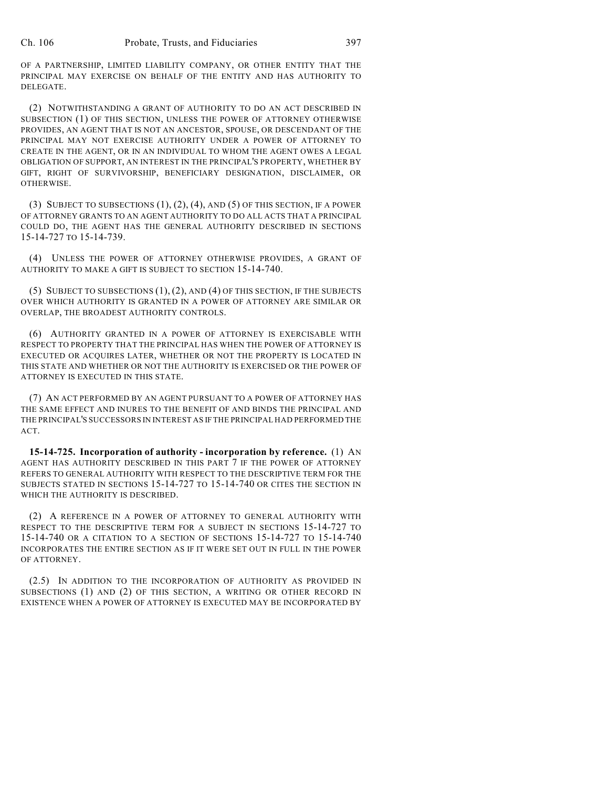OF A PARTNERSHIP, LIMITED LIABILITY COMPANY, OR OTHER ENTITY THAT THE PRINCIPAL MAY EXERCISE ON BEHALF OF THE ENTITY AND HAS AUTHORITY TO DELEGATE.

(2) NOTWITHSTANDING A GRANT OF AUTHORITY TO DO AN ACT DESCRIBED IN SUBSECTION (1) OF THIS SECTION, UNLESS THE POWER OF ATTORNEY OTHERWISE PROVIDES, AN AGENT THAT IS NOT AN ANCESTOR, SPOUSE, OR DESCENDANT OF THE PRINCIPAL MAY NOT EXERCISE AUTHORITY UNDER A POWER OF ATTORNEY TO CREATE IN THE AGENT, OR IN AN INDIVIDUAL TO WHOM THE AGENT OWES A LEGAL OBLIGATION OF SUPPORT, AN INTEREST IN THE PRINCIPAL'S PROPERTY, WHETHER BY GIFT, RIGHT OF SURVIVORSHIP, BENEFICIARY DESIGNATION, DISCLAIMER, OR OTHERWISE.

(3) SUBJECT TO SUBSECTIONS  $(1)$ ,  $(2)$ ,  $(4)$ , AND  $(5)$  OF THIS SECTION, IF A POWER OF ATTORNEY GRANTS TO AN AGENT AUTHORITY TO DO ALL ACTS THAT A PRINCIPAL COULD DO, THE AGENT HAS THE GENERAL AUTHORITY DESCRIBED IN SECTIONS 15-14-727 TO 15-14-739.

(4) UNLESS THE POWER OF ATTORNEY OTHERWISE PROVIDES, A GRANT OF AUTHORITY TO MAKE A GIFT IS SUBJECT TO SECTION 15-14-740.

(5) SUBJECT TO SUBSECTIONS (1), (2), AND (4) OF THIS SECTION, IF THE SUBJECTS OVER WHICH AUTHORITY IS GRANTED IN A POWER OF ATTORNEY ARE SIMILAR OR OVERLAP, THE BROADEST AUTHORITY CONTROLS.

(6) AUTHORITY GRANTED IN A POWER OF ATTORNEY IS EXERCISABLE WITH RESPECT TO PROPERTY THAT THE PRINCIPAL HAS WHEN THE POWER OF ATTORNEY IS EXECUTED OR ACQUIRES LATER, WHETHER OR NOT THE PROPERTY IS LOCATED IN THIS STATE AND WHETHER OR NOT THE AUTHORITY IS EXERCISED OR THE POWER OF ATTORNEY IS EXECUTED IN THIS STATE.

(7) AN ACT PERFORMED BY AN AGENT PURSUANT TO A POWER OF ATTORNEY HAS THE SAME EFFECT AND INURES TO THE BENEFIT OF AND BINDS THE PRINCIPAL AND THE PRINCIPAL'S SUCCESSORS IN INTEREST AS IF THE PRINCIPAL HAD PERFORMED THE ACT.

**15-14-725. Incorporation of authority - incorporation by reference.** (1) AN AGENT HAS AUTHORITY DESCRIBED IN THIS PART 7 IF THE POWER OF ATTORNEY REFERS TO GENERAL AUTHORITY WITH RESPECT TO THE DESCRIPTIVE TERM FOR THE SUBJECTS STATED IN SECTIONS 15-14-727 TO 15-14-740 OR CITES THE SECTION IN WHICH THE AUTHORITY IS DESCRIBED.

(2) A REFERENCE IN A POWER OF ATTORNEY TO GENERAL AUTHORITY WITH RESPECT TO THE DESCRIPTIVE TERM FOR A SUBJECT IN SECTIONS 15-14-727 TO 15-14-740 OR A CITATION TO A SECTION OF SECTIONS 15-14-727 TO 15-14-740 INCORPORATES THE ENTIRE SECTION AS IF IT WERE SET OUT IN FULL IN THE POWER OF ATTORNEY.

(2.5) IN ADDITION TO THE INCORPORATION OF AUTHORITY AS PROVIDED IN SUBSECTIONS (1) AND (2) OF THIS SECTION, A WRITING OR OTHER RECORD IN EXISTENCE WHEN A POWER OF ATTORNEY IS EXECUTED MAY BE INCORPORATED BY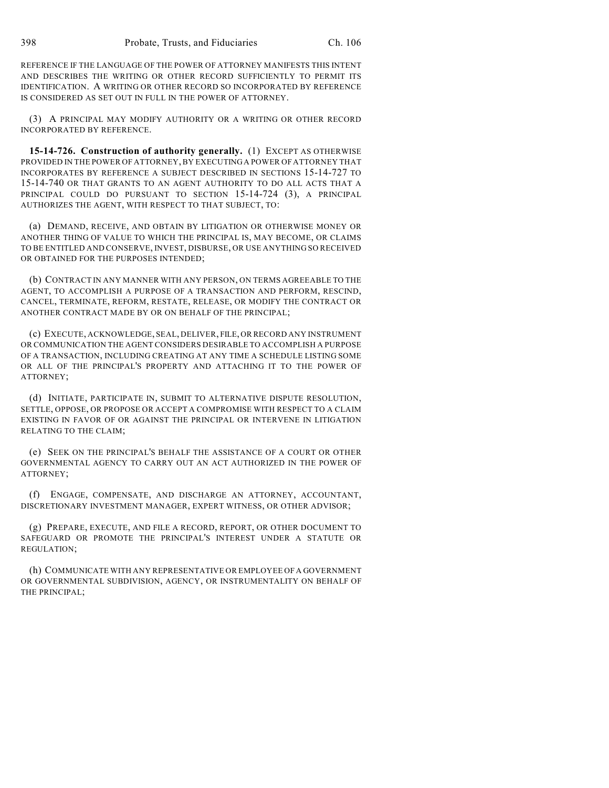REFERENCE IF THE LANGUAGE OF THE POWER OF ATTORNEY MANIFESTS THIS INTENT AND DESCRIBES THE WRITING OR OTHER RECORD SUFFICIENTLY TO PERMIT ITS IDENTIFICATION. A WRITING OR OTHER RECORD SO INCORPORATED BY REFERENCE IS CONSIDERED AS SET OUT IN FULL IN THE POWER OF ATTORNEY.

(3) A PRINCIPAL MAY MODIFY AUTHORITY OR A WRITING OR OTHER RECORD INCORPORATED BY REFERENCE.

**15-14-726. Construction of authority generally.** (1) EXCEPT AS OTHERWISE PROVIDED IN THE POWER OF ATTORNEY, BY EXECUTING A POWER OF ATTORNEY THAT INCORPORATES BY REFERENCE A SUBJECT DESCRIBED IN SECTIONS 15-14-727 TO 15-14-740 OR THAT GRANTS TO AN AGENT AUTHORITY TO DO ALL ACTS THAT A PRINCIPAL COULD DO PURSUANT TO SECTION 15-14-724 (3), A PRINCIPAL AUTHORIZES THE AGENT, WITH RESPECT TO THAT SUBJECT, TO:

(a) DEMAND, RECEIVE, AND OBTAIN BY LITIGATION OR OTHERWISE MONEY OR ANOTHER THING OF VALUE TO WHICH THE PRINCIPAL IS, MAY BECOME, OR CLAIMS TO BE ENTITLED AND CONSERVE, INVEST, DISBURSE, OR USE ANYTHING SO RECEIVED OR OBTAINED FOR THE PURPOSES INTENDED;

(b) CONTRACT IN ANY MANNER WITH ANY PERSON, ON TERMS AGREEABLE TO THE AGENT, TO ACCOMPLISH A PURPOSE OF A TRANSACTION AND PERFORM, RESCIND, CANCEL, TERMINATE, REFORM, RESTATE, RELEASE, OR MODIFY THE CONTRACT OR ANOTHER CONTRACT MADE BY OR ON BEHALF OF THE PRINCIPAL;

(c) EXECUTE, ACKNOWLEDGE, SEAL, DELIVER, FILE, OR RECORD ANY INSTRUMENT OR COMMUNICATION THE AGENT CONSIDERS DESIRABLE TO ACCOMPLISH A PURPOSE OF A TRANSACTION, INCLUDING CREATING AT ANY TIME A SCHEDULE LISTING SOME OR ALL OF THE PRINCIPAL'S PROPERTY AND ATTACHING IT TO THE POWER OF ATTORNEY;

(d) INITIATE, PARTICIPATE IN, SUBMIT TO ALTERNATIVE DISPUTE RESOLUTION, SETTLE, OPPOSE, OR PROPOSE OR ACCEPT A COMPROMISE WITH RESPECT TO A CLAIM EXISTING IN FAVOR OF OR AGAINST THE PRINCIPAL OR INTERVENE IN LITIGATION RELATING TO THE CLAIM;

(e) SEEK ON THE PRINCIPAL'S BEHALF THE ASSISTANCE OF A COURT OR OTHER GOVERNMENTAL AGENCY TO CARRY OUT AN ACT AUTHORIZED IN THE POWER OF ATTORNEY;

(f) ENGAGE, COMPENSATE, AND DISCHARGE AN ATTORNEY, ACCOUNTANT, DISCRETIONARY INVESTMENT MANAGER, EXPERT WITNESS, OR OTHER ADVISOR;

(g) PREPARE, EXECUTE, AND FILE A RECORD, REPORT, OR OTHER DOCUMENT TO SAFEGUARD OR PROMOTE THE PRINCIPAL'S INTEREST UNDER A STATUTE OR REGULATION;

(h) COMMUNICATE WITH ANY REPRESENTATIVE OR EMPLOYEE OF A GOVERNMENT OR GOVERNMENTAL SUBDIVISION, AGENCY, OR INSTRUMENTALITY ON BEHALF OF THE PRINCIPAL;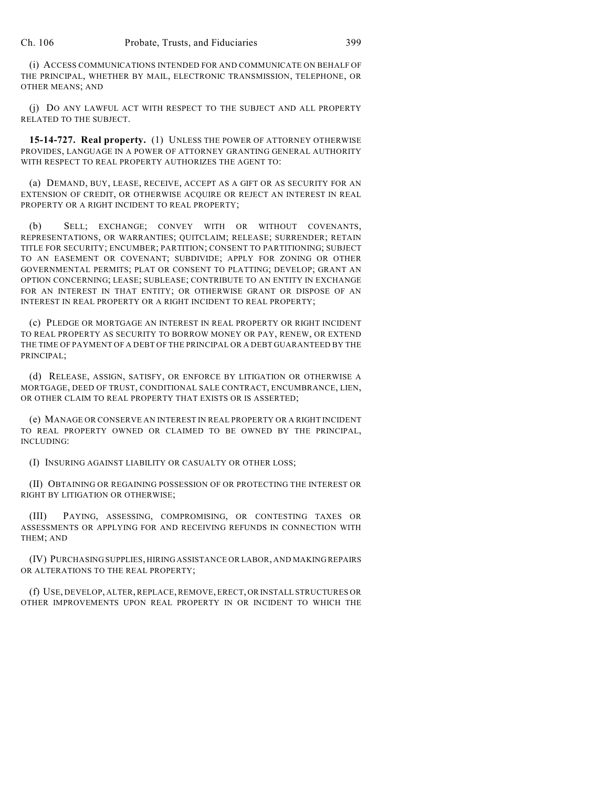(i) ACCESS COMMUNICATIONS INTENDED FOR AND COMMUNICATE ON BEHALF OF THE PRINCIPAL, WHETHER BY MAIL, ELECTRONIC TRANSMISSION, TELEPHONE, OR OTHER MEANS; AND

(j) DO ANY LAWFUL ACT WITH RESPECT TO THE SUBJECT AND ALL PROPERTY RELATED TO THE SUBJECT.

**15-14-727. Real property.** (1) UNLESS THE POWER OF ATTORNEY OTHERWISE PROVIDES, LANGUAGE IN A POWER OF ATTORNEY GRANTING GENERAL AUTHORITY WITH RESPECT TO REAL PROPERTY AUTHORIZES THE AGENT TO:

(a) DEMAND, BUY, LEASE, RECEIVE, ACCEPT AS A GIFT OR AS SECURITY FOR AN EXTENSION OF CREDIT, OR OTHERWISE ACQUIRE OR REJECT AN INTEREST IN REAL PROPERTY OR A RIGHT INCIDENT TO REAL PROPERTY;

(b) SELL; EXCHANGE; CONVEY WITH OR WITHOUT COVENANTS, REPRESENTATIONS, OR WARRANTIES; QUITCLAIM; RELEASE; SURRENDER; RETAIN TITLE FOR SECURITY; ENCUMBER; PARTITION; CONSENT TO PARTITIONING; SUBJECT TO AN EASEMENT OR COVENANT; SUBDIVIDE; APPLY FOR ZONING OR OTHER GOVERNMENTAL PERMITS; PLAT OR CONSENT TO PLATTING; DEVELOP; GRANT AN OPTION CONCERNING; LEASE; SUBLEASE; CONTRIBUTE TO AN ENTITY IN EXCHANGE FOR AN INTEREST IN THAT ENTITY; OR OTHERWISE GRANT OR DISPOSE OF AN INTEREST IN REAL PROPERTY OR A RIGHT INCIDENT TO REAL PROPERTY;

(c) PLEDGE OR MORTGAGE AN INTEREST IN REAL PROPERTY OR RIGHT INCIDENT TO REAL PROPERTY AS SECURITY TO BORROW MONEY OR PAY, RENEW, OR EXTEND THE TIME OF PAYMENT OF A DEBT OF THE PRINCIPAL OR A DEBT GUARANTEED BY THE PRINCIPAL;

(d) RELEASE, ASSIGN, SATISFY, OR ENFORCE BY LITIGATION OR OTHERWISE A MORTGAGE, DEED OF TRUST, CONDITIONAL SALE CONTRACT, ENCUMBRANCE, LIEN, OR OTHER CLAIM TO REAL PROPERTY THAT EXISTS OR IS ASSERTED;

(e) MANAGE OR CONSERVE AN INTEREST IN REAL PROPERTY OR A RIGHT INCIDENT TO REAL PROPERTY OWNED OR CLAIMED TO BE OWNED BY THE PRINCIPAL, INCLUDING:

(I) INSURING AGAINST LIABILITY OR CASUALTY OR OTHER LOSS;

(II) OBTAINING OR REGAINING POSSESSION OF OR PROTECTING THE INTEREST OR RIGHT BY LITIGATION OR OTHERWISE;

(III) PAYING, ASSESSING, COMPROMISING, OR CONTESTING TAXES OR ASSESSMENTS OR APPLYING FOR AND RECEIVING REFUNDS IN CONNECTION WITH THEM; AND

(IV) PURCHASING SUPPLIES, HIRING ASSISTANCE OR LABOR, AND MAKING REPAIRS OR ALTERATIONS TO THE REAL PROPERTY;

(f) USE, DEVELOP, ALTER, REPLACE, REMOVE, ERECT, OR INSTALL STRUCTURES OR OTHER IMPROVEMENTS UPON REAL PROPERTY IN OR INCIDENT TO WHICH THE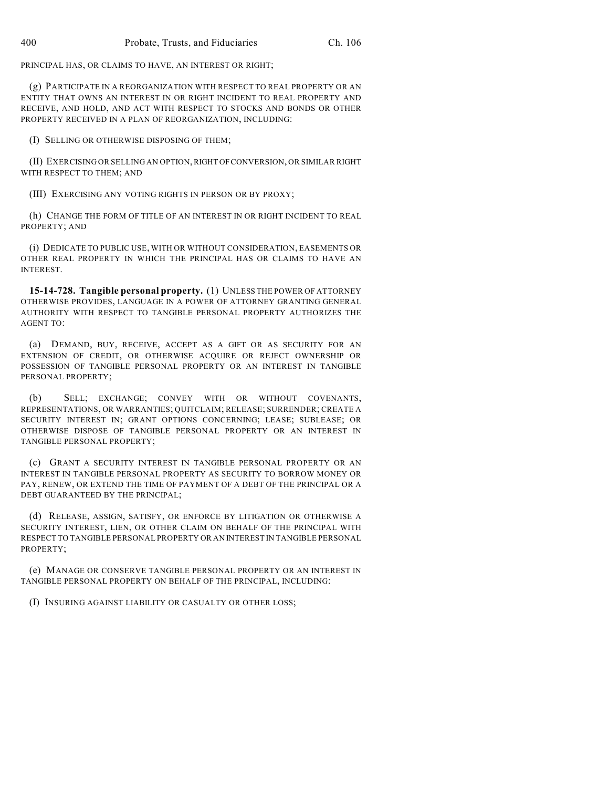PRINCIPAL HAS, OR CLAIMS TO HAVE, AN INTEREST OR RIGHT;

(g) PARTICIPATE IN A REORGANIZATION WITH RESPECT TO REAL PROPERTY OR AN ENTITY THAT OWNS AN INTEREST IN OR RIGHT INCIDENT TO REAL PROPERTY AND RECEIVE, AND HOLD, AND ACT WITH RESPECT TO STOCKS AND BONDS OR OTHER PROPERTY RECEIVED IN A PLAN OF REORGANIZATION, INCLUDING:

(I) SELLING OR OTHERWISE DISPOSING OF THEM;

(II) EXERCISING OR SELLING AN OPTION, RIGHT OF CONVERSION, OR SIMILAR RIGHT WITH RESPECT TO THEM; AND

(III) EXERCISING ANY VOTING RIGHTS IN PERSON OR BY PROXY;

(h) CHANGE THE FORM OF TITLE OF AN INTEREST IN OR RIGHT INCIDENT TO REAL PROPERTY; AND

(i) DEDICATE TO PUBLIC USE, WITH OR WITHOUT CONSIDERATION, EASEMENTS OR OTHER REAL PROPERTY IN WHICH THE PRINCIPAL HAS OR CLAIMS TO HAVE AN INTEREST.

**15-14-728. Tangible personal property.** (1) UNLESS THE POWER OF ATTORNEY OTHERWISE PROVIDES, LANGUAGE IN A POWER OF ATTORNEY GRANTING GENERAL AUTHORITY WITH RESPECT TO TANGIBLE PERSONAL PROPERTY AUTHORIZES THE AGENT TO:

(a) DEMAND, BUY, RECEIVE, ACCEPT AS A GIFT OR AS SECURITY FOR AN EXTENSION OF CREDIT, OR OTHERWISE ACQUIRE OR REJECT OWNERSHIP OR POSSESSION OF TANGIBLE PERSONAL PROPERTY OR AN INTEREST IN TANGIBLE PERSONAL PROPERTY;

(b) SELL; EXCHANGE; CONVEY WITH OR WITHOUT COVENANTS, REPRESENTATIONS, OR WARRANTIES; QUITCLAIM; RELEASE; SURRENDER; CREATE A SECURITY INTEREST IN; GRANT OPTIONS CONCERNING; LEASE; SUBLEASE; OR OTHERWISE DISPOSE OF TANGIBLE PERSONAL PROPERTY OR AN INTEREST IN TANGIBLE PERSONAL PROPERTY;

(c) GRANT A SECURITY INTEREST IN TANGIBLE PERSONAL PROPERTY OR AN INTEREST IN TANGIBLE PERSONAL PROPERTY AS SECURITY TO BORROW MONEY OR PAY, RENEW, OR EXTEND THE TIME OF PAYMENT OF A DEBT OF THE PRINCIPAL OR A DEBT GUARANTEED BY THE PRINCIPAL;

(d) RELEASE, ASSIGN, SATISFY, OR ENFORCE BY LITIGATION OR OTHERWISE A SECURITY INTEREST, LIEN, OR OTHER CLAIM ON BEHALF OF THE PRINCIPAL WITH RESPECT TO TANGIBLE PERSONAL PROPERTY OR AN INTEREST IN TANGIBLE PERSONAL PROPERTY;

(e) MANAGE OR CONSERVE TANGIBLE PERSONAL PROPERTY OR AN INTEREST IN TANGIBLE PERSONAL PROPERTY ON BEHALF OF THE PRINCIPAL, INCLUDING:

(I) INSURING AGAINST LIABILITY OR CASUALTY OR OTHER LOSS;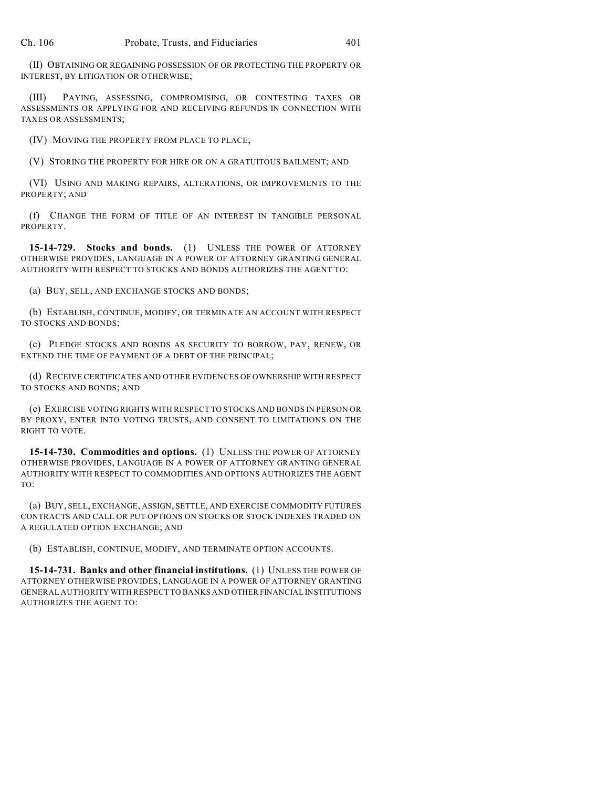(II) OBTAINING OR REGAINING POSSESSION OF OR PROTECTING THE PROPERTY OR INTEREST, BY LITIGATION OR OTHERWISE;

(III) PAYING, ASSESSING, COMPROMISING, OR CONTESTING TAXES OR ASSESSMENTS OR APPLYING FOR AND RECEIVING REFUNDS IN CONNECTION WITH TAXES OR ASSESSMENTS;

(IV) MOVING THE PROPERTY FROM PLACE TO PLACE;

(V) STORING THE PROPERTY FOR HIRE OR ON A GRATUITOUS BAILMENT; AND

(VI) USING AND MAKING REPAIRS, ALTERATIONS, OR IMPROVEMENTS TO THE PROPERTY; AND

(f) CHANGE THE FORM OF TITLE OF AN INTEREST IN TANGIBLE PERSONAL PROPERTY.

**15-14-729. Stocks and bonds.** (1) UNLESS THE POWER OF ATTORNEY OTHERWISE PROVIDES, LANGUAGE IN A POWER OF ATTORNEY GRANTING GENERAL AUTHORITY WITH RESPECT TO STOCKS AND BONDS AUTHORIZES THE AGENT TO:

(a) BUY, SELL, AND EXCHANGE STOCKS AND BONDS;

(b) ESTABLISH, CONTINUE, MODIFY, OR TERMINATE AN ACCOUNT WITH RESPECT TO STOCKS AND BONDS;

(c) PLEDGE STOCKS AND BONDS AS SECURITY TO BORROW, PAY, RENEW, OR EXTEND THE TIME OF PAYMENT OF A DEBT OF THE PRINCIPAL;

(d) RECEIVE CERTIFICATES AND OTHER EVIDENCES OF OWNERSHIP WITH RESPECT TO STOCKS AND BONDS; AND

(e) EXERCISE VOTING RIGHTS WITH RESPECT TO STOCKS AND BONDS IN PERSON OR BY PROXY, ENTER INTO VOTING TRUSTS, AND CONSENT TO LIMITATIONS ON THE RIGHT TO VOTE.

**15-14-730. Commodities and options.** (1) UNLESS THE POWER OF ATTORNEY OTHERWISE PROVIDES, LANGUAGE IN A POWER OF ATTORNEY GRANTING GENERAL AUTHORITY WITH RESPECT TO COMMODITIES AND OPTIONS AUTHORIZES THE AGENT TO:

(a) BUY, SELL, EXCHANGE, ASSIGN, SETTLE, AND EXERCISE COMMODITY FUTURES CONTRACTS AND CALL OR PUT OPTIONS ON STOCKS OR STOCK INDEXES TRADED ON A REGULATED OPTION EXCHANGE; AND

(b) ESTABLISH, CONTINUE, MODIFY, AND TERMINATE OPTION ACCOUNTS.

**15-14-731. Banks and other financial institutions.** (1) UNLESS THE POWER OF ATTORNEY OTHERWISE PROVIDES, LANGUAGE IN A POWER OF ATTORNEY GRANTING GENERAL AUTHORITY WITH RESPECT TO BANKS AND OTHER FINANCIAL INSTITUTIONS AUTHORIZES THE AGENT TO: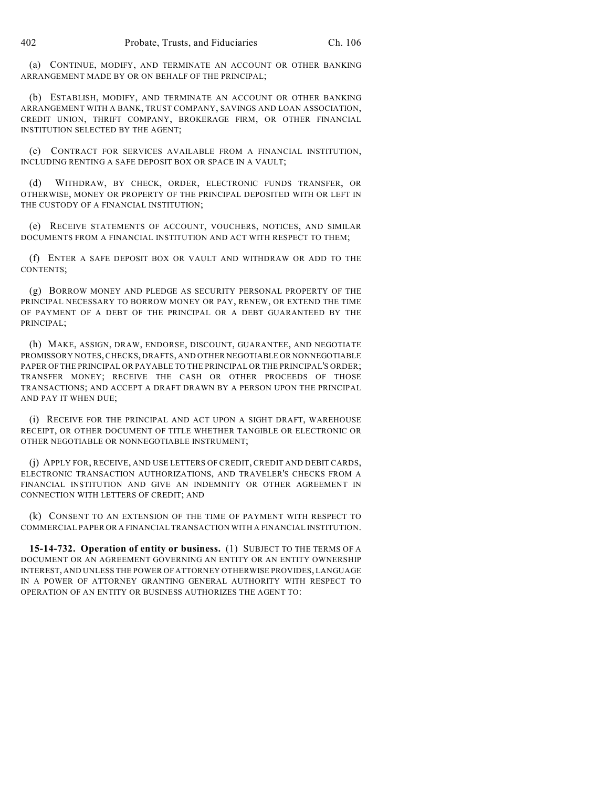(a) CONTINUE, MODIFY, AND TERMINATE AN ACCOUNT OR OTHER BANKING ARRANGEMENT MADE BY OR ON BEHALF OF THE PRINCIPAL;

(b) ESTABLISH, MODIFY, AND TERMINATE AN ACCOUNT OR OTHER BANKING ARRANGEMENT WITH A BANK, TRUST COMPANY, SAVINGS AND LOAN ASSOCIATION, CREDIT UNION, THRIFT COMPANY, BROKERAGE FIRM, OR OTHER FINANCIAL INSTITUTION SELECTED BY THE AGENT;

(c) CONTRACT FOR SERVICES AVAILABLE FROM A FINANCIAL INSTITUTION, INCLUDING RENTING A SAFE DEPOSIT BOX OR SPACE IN A VAULT;

(d) WITHDRAW, BY CHECK, ORDER, ELECTRONIC FUNDS TRANSFER, OR OTHERWISE, MONEY OR PROPERTY OF THE PRINCIPAL DEPOSITED WITH OR LEFT IN THE CUSTODY OF A FINANCIAL INSTITUTION;

(e) RECEIVE STATEMENTS OF ACCOUNT, VOUCHERS, NOTICES, AND SIMILAR DOCUMENTS FROM A FINANCIAL INSTITUTION AND ACT WITH RESPECT TO THEM;

(f) ENTER A SAFE DEPOSIT BOX OR VAULT AND WITHDRAW OR ADD TO THE CONTENTS;

(g) BORROW MONEY AND PLEDGE AS SECURITY PERSONAL PROPERTY OF THE PRINCIPAL NECESSARY TO BORROW MONEY OR PAY, RENEW, OR EXTEND THE TIME OF PAYMENT OF A DEBT OF THE PRINCIPAL OR A DEBT GUARANTEED BY THE PRINCIPAL;

(h) MAKE, ASSIGN, DRAW, ENDORSE, DISCOUNT, GUARANTEE, AND NEGOTIATE PROMISSORY NOTES, CHECKS, DRAFTS, AND OTHER NEGOTIABLE OR NONNEGOTIABLE PAPER OF THE PRINCIPAL OR PAYABLE TO THE PRINCIPAL OR THE PRINCIPAL'S ORDER; TRANSFER MONEY; RECEIVE THE CASH OR OTHER PROCEEDS OF THOSE TRANSACTIONS; AND ACCEPT A DRAFT DRAWN BY A PERSON UPON THE PRINCIPAL AND PAY IT WHEN DUE;

(i) RECEIVE FOR THE PRINCIPAL AND ACT UPON A SIGHT DRAFT, WAREHOUSE RECEIPT, OR OTHER DOCUMENT OF TITLE WHETHER TANGIBLE OR ELECTRONIC OR OTHER NEGOTIABLE OR NONNEGOTIABLE INSTRUMENT;

(j) APPLY FOR, RECEIVE, AND USE LETTERS OF CREDIT, CREDIT AND DEBIT CARDS, ELECTRONIC TRANSACTION AUTHORIZATIONS, AND TRAVELER'S CHECKS FROM A FINANCIAL INSTITUTION AND GIVE AN INDEMNITY OR OTHER AGREEMENT IN CONNECTION WITH LETTERS OF CREDIT; AND

(k) CONSENT TO AN EXTENSION OF THE TIME OF PAYMENT WITH RESPECT TO COMMERCIAL PAPER OR A FINANCIAL TRANSACTION WITH A FINANCIAL INSTITUTION.

**15-14-732. Operation of entity or business.** (1) SUBJECT TO THE TERMS OF A DOCUMENT OR AN AGREEMENT GOVERNING AN ENTITY OR AN ENTITY OWNERSHIP INTEREST, AND UNLESS THE POWER OF ATTORNEY OTHERWISE PROVIDES, LANGUAGE IN A POWER OF ATTORNEY GRANTING GENERAL AUTHORITY WITH RESPECT TO OPERATION OF AN ENTITY OR BUSINESS AUTHORIZES THE AGENT TO: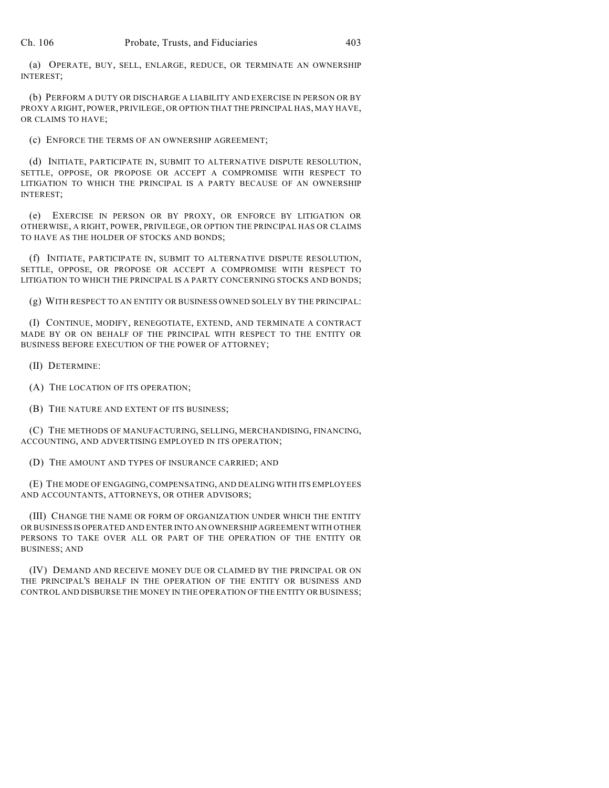(a) OPERATE, BUY, SELL, ENLARGE, REDUCE, OR TERMINATE AN OWNERSHIP INTEREST;

(b) PERFORM A DUTY OR DISCHARGE A LIABILITY AND EXERCISE IN PERSON OR BY PROXY A RIGHT, POWER, PRIVILEGE, OR OPTION THAT THE PRINCIPAL HAS, MAY HAVE, OR CLAIMS TO HAVE;

(c) ENFORCE THE TERMS OF AN OWNERSHIP AGREEMENT;

(d) INITIATE, PARTICIPATE IN, SUBMIT TO ALTERNATIVE DISPUTE RESOLUTION, SETTLE, OPPOSE, OR PROPOSE OR ACCEPT A COMPROMISE WITH RESPECT TO LITIGATION TO WHICH THE PRINCIPAL IS A PARTY BECAUSE OF AN OWNERSHIP INTEREST;

(e) EXERCISE IN PERSON OR BY PROXY, OR ENFORCE BY LITIGATION OR OTHERWISE, A RIGHT, POWER, PRIVILEGE, OR OPTION THE PRINCIPAL HAS OR CLAIMS TO HAVE AS THE HOLDER OF STOCKS AND BONDS;

(f) INITIATE, PARTICIPATE IN, SUBMIT TO ALTERNATIVE DISPUTE RESOLUTION, SETTLE, OPPOSE, OR PROPOSE OR ACCEPT A COMPROMISE WITH RESPECT TO LITIGATION TO WHICH THE PRINCIPAL IS A PARTY CONCERNING STOCKS AND BONDS;

(g) WITH RESPECT TO AN ENTITY OR BUSINESS OWNED SOLELY BY THE PRINCIPAL:

(I) CONTINUE, MODIFY, RENEGOTIATE, EXTEND, AND TERMINATE A CONTRACT MADE BY OR ON BEHALF OF THE PRINCIPAL WITH RESPECT TO THE ENTITY OR BUSINESS BEFORE EXECUTION OF THE POWER OF ATTORNEY;

(II) DETERMINE:

(A) THE LOCATION OF ITS OPERATION;

(B) THE NATURE AND EXTENT OF ITS BUSINESS;

(C) THE METHODS OF MANUFACTURING, SELLING, MERCHANDISING, FINANCING, ACCOUNTING, AND ADVERTISING EMPLOYED IN ITS OPERATION;

(D) THE AMOUNT AND TYPES OF INSURANCE CARRIED; AND

(E) THE MODE OF ENGAGING, COMPENSATING, AND DEALING WITH ITS EMPLOYEES AND ACCOUNTANTS, ATTORNEYS, OR OTHER ADVISORS;

(III) CHANGE THE NAME OR FORM OF ORGANIZATION UNDER WHICH THE ENTITY OR BUSINESS IS OPERATED AND ENTER INTO AN OWNERSHIP AGREEMENT WITH OTHER PERSONS TO TAKE OVER ALL OR PART OF THE OPERATION OF THE ENTITY OR BUSINESS; AND

(IV) DEMAND AND RECEIVE MONEY DUE OR CLAIMED BY THE PRINCIPAL OR ON THE PRINCIPAL'S BEHALF IN THE OPERATION OF THE ENTITY OR BUSINESS AND CONTROL AND DISBURSE THE MONEY IN THE OPERATION OF THE ENTITY OR BUSINESS;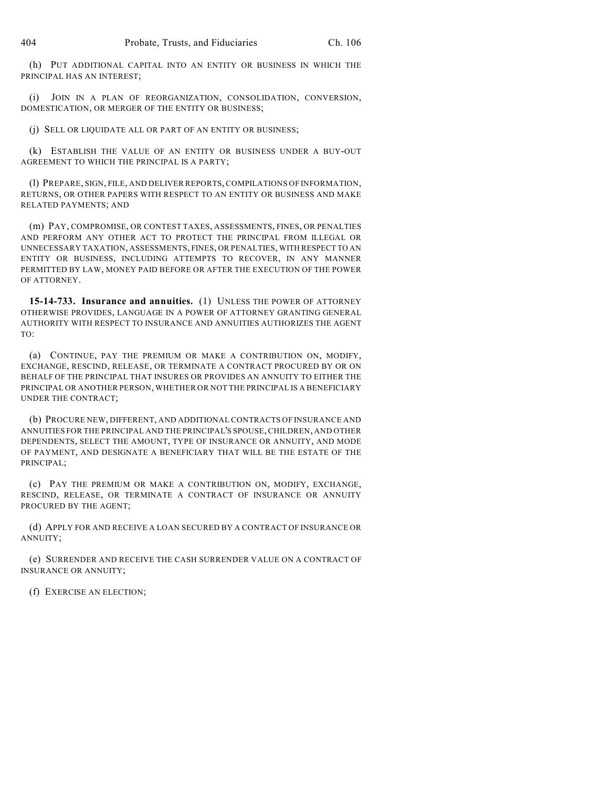(h) PUT ADDITIONAL CAPITAL INTO AN ENTITY OR BUSINESS IN WHICH THE PRINCIPAL HAS AN INTEREST;

(i) JOIN IN A PLAN OF REORGANIZATION, CONSOLIDATION, CONVERSION, DOMESTICATION, OR MERGER OF THE ENTITY OR BUSINESS;

(j) SELL OR LIQUIDATE ALL OR PART OF AN ENTITY OR BUSINESS;

(k) ESTABLISH THE VALUE OF AN ENTITY OR BUSINESS UNDER A BUY-OUT AGREEMENT TO WHICH THE PRINCIPAL IS A PARTY;

(l) PREPARE, SIGN, FILE, AND DELIVER REPORTS, COMPILATIONS OF INFORMATION, RETURNS, OR OTHER PAPERS WITH RESPECT TO AN ENTITY OR BUSINESS AND MAKE RELATED PAYMENTS; AND

(m) PAY, COMPROMISE, OR CONTEST TAXES, ASSESSMENTS, FINES, OR PENALTIES AND PERFORM ANY OTHER ACT TO PROTECT THE PRINCIPAL FROM ILLEGAL OR UNNECESSARY TAXATION, ASSESSMENTS, FINES, OR PENALTIES, WITH RESPECT TO AN ENTITY OR BUSINESS, INCLUDING ATTEMPTS TO RECOVER, IN ANY MANNER PERMITTED BY LAW, MONEY PAID BEFORE OR AFTER THE EXECUTION OF THE POWER OF ATTORNEY.

**15-14-733. Insurance and annuities.** (1) UNLESS THE POWER OF ATTORNEY OTHERWISE PROVIDES, LANGUAGE IN A POWER OF ATTORNEY GRANTING GENERAL AUTHORITY WITH RESPECT TO INSURANCE AND ANNUITIES AUTHORIZES THE AGENT TO:

(a) CONTINUE, PAY THE PREMIUM OR MAKE A CONTRIBUTION ON, MODIFY, EXCHANGE, RESCIND, RELEASE, OR TERMINATE A CONTRACT PROCURED BY OR ON BEHALF OF THE PRINCIPAL THAT INSURES OR PROVIDES AN ANNUITY TO EITHER THE PRINCIPAL OR ANOTHER PERSON, WHETHER OR NOT THE PRINCIPAL IS A BENEFICIARY UNDER THE CONTRACT;

(b) PROCURE NEW, DIFFERENT, AND ADDITIONAL CONTRACTS OF INSURANCE AND ANNUITIES FOR THE PRINCIPAL AND THE PRINCIPAL'S SPOUSE, CHILDREN, AND OTHER DEPENDENTS, SELECT THE AMOUNT, TYPE OF INSURANCE OR ANNUITY, AND MODE OF PAYMENT, AND DESIGNATE A BENEFICIARY THAT WILL BE THE ESTATE OF THE PRINCIPAL;

(c) PAY THE PREMIUM OR MAKE A CONTRIBUTION ON, MODIFY, EXCHANGE, RESCIND, RELEASE, OR TERMINATE A CONTRACT OF INSURANCE OR ANNUITY PROCURED BY THE AGENT;

(d) APPLY FOR AND RECEIVE A LOAN SECURED BY A CONTRACT OF INSURANCE OR ANNUITY;

(e) SURRENDER AND RECEIVE THE CASH SURRENDER VALUE ON A CONTRACT OF INSURANCE OR ANNUITY;

(f) EXERCISE AN ELECTION;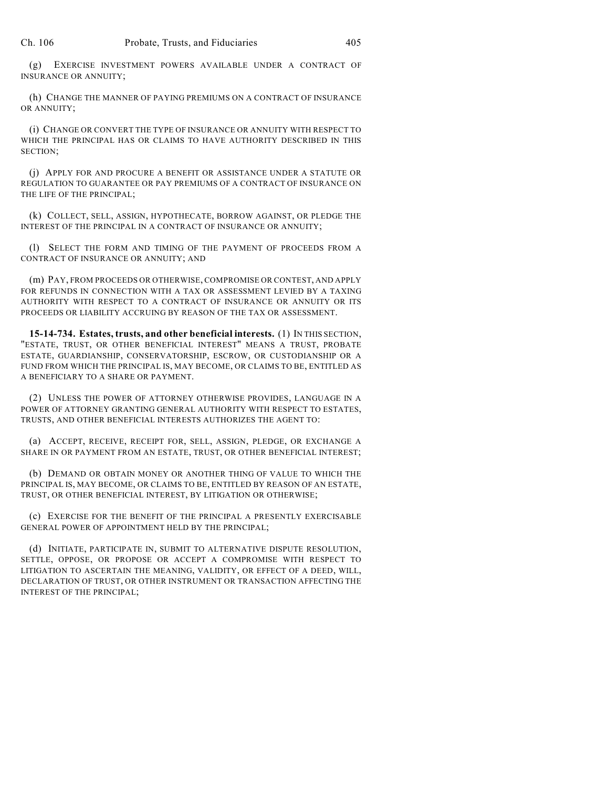(g) EXERCISE INVESTMENT POWERS AVAILABLE UNDER A CONTRACT OF INSURANCE OR ANNUITY;

(h) CHANGE THE MANNER OF PAYING PREMIUMS ON A CONTRACT OF INSURANCE OR ANNUITY;

(i) CHANGE OR CONVERT THE TYPE OF INSURANCE OR ANNUITY WITH RESPECT TO WHICH THE PRINCIPAL HAS OR CLAIMS TO HAVE AUTHORITY DESCRIBED IN THIS SECTION;

(j) APPLY FOR AND PROCURE A BENEFIT OR ASSISTANCE UNDER A STATUTE OR REGULATION TO GUARANTEE OR PAY PREMIUMS OF A CONTRACT OF INSURANCE ON THE LIFE OF THE PRINCIPAL;

(k) COLLECT, SELL, ASSIGN, HYPOTHECATE, BORROW AGAINST, OR PLEDGE THE INTEREST OF THE PRINCIPAL IN A CONTRACT OF INSURANCE OR ANNUITY;

(l) SELECT THE FORM AND TIMING OF THE PAYMENT OF PROCEEDS FROM A CONTRACT OF INSURANCE OR ANNUITY; AND

(m) PAY, FROM PROCEEDS OR OTHERWISE, COMPROMISE OR CONTEST, AND APPLY FOR REFUNDS IN CONNECTION WITH A TAX OR ASSESSMENT LEVIED BY A TAXING AUTHORITY WITH RESPECT TO A CONTRACT OF INSURANCE OR ANNUITY OR ITS PROCEEDS OR LIABILITY ACCRUING BY REASON OF THE TAX OR ASSESSMENT.

**15-14-734. Estates, trusts, and other beneficial interests.** (1) IN THIS SECTION, "ESTATE, TRUST, OR OTHER BENEFICIAL INTEREST" MEANS A TRUST, PROBATE ESTATE, GUARDIANSHIP, CONSERVATORSHIP, ESCROW, OR CUSTODIANSHIP OR A FUND FROM WHICH THE PRINCIPAL IS, MAY BECOME, OR CLAIMS TO BE, ENTITLED AS A BENEFICIARY TO A SHARE OR PAYMENT.

(2) UNLESS THE POWER OF ATTORNEY OTHERWISE PROVIDES, LANGUAGE IN A POWER OF ATTORNEY GRANTING GENERAL AUTHORITY WITH RESPECT TO ESTATES, TRUSTS, AND OTHER BENEFICIAL INTERESTS AUTHORIZES THE AGENT TO:

(a) ACCEPT, RECEIVE, RECEIPT FOR, SELL, ASSIGN, PLEDGE, OR EXCHANGE A SHARE IN OR PAYMENT FROM AN ESTATE, TRUST, OR OTHER BENEFICIAL INTEREST;

(b) DEMAND OR OBTAIN MONEY OR ANOTHER THING OF VALUE TO WHICH THE PRINCIPAL IS, MAY BECOME, OR CLAIMS TO BE, ENTITLED BY REASON OF AN ESTATE, TRUST, OR OTHER BENEFICIAL INTEREST, BY LITIGATION OR OTHERWISE;

(c) EXERCISE FOR THE BENEFIT OF THE PRINCIPAL A PRESENTLY EXERCISABLE GENERAL POWER OF APPOINTMENT HELD BY THE PRINCIPAL;

(d) INITIATE, PARTICIPATE IN, SUBMIT TO ALTERNATIVE DISPUTE RESOLUTION, SETTLE, OPPOSE, OR PROPOSE OR ACCEPT A COMPROMISE WITH RESPECT TO LITIGATION TO ASCERTAIN THE MEANING, VALIDITY, OR EFFECT OF A DEED, WILL, DECLARATION OF TRUST, OR OTHER INSTRUMENT OR TRANSACTION AFFECTING THE INTEREST OF THE PRINCIPAL;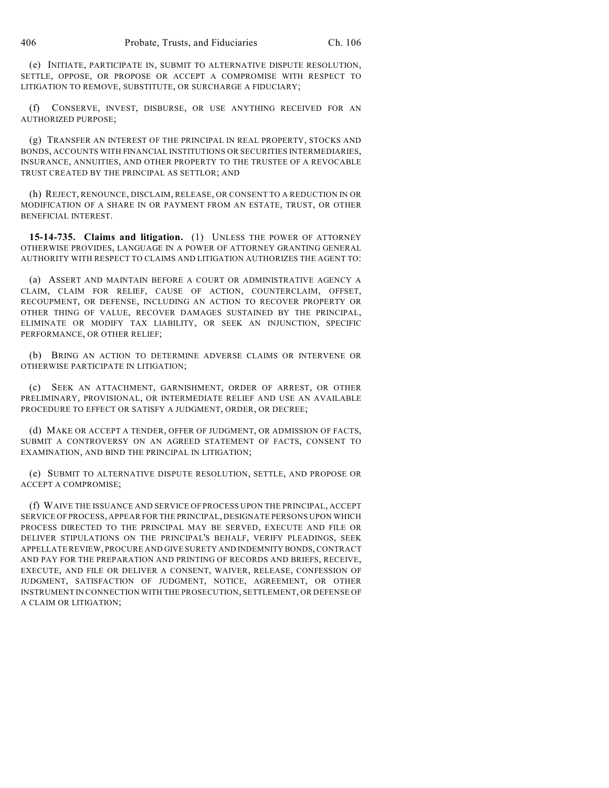(e) INITIATE, PARTICIPATE IN, SUBMIT TO ALTERNATIVE DISPUTE RESOLUTION, SETTLE, OPPOSE, OR PROPOSE OR ACCEPT A COMPROMISE WITH RESPECT TO LITIGATION TO REMOVE, SUBSTITUTE, OR SURCHARGE A FIDUCIARY;

(f) CONSERVE, INVEST, DISBURSE, OR USE ANYTHING RECEIVED FOR AN AUTHORIZED PURPOSE;

(g) TRANSFER AN INTEREST OF THE PRINCIPAL IN REAL PROPERTY, STOCKS AND BONDS, ACCOUNTS WITH FINANCIAL INSTITUTIONS OR SECURITIES INTERMEDIARIES, INSURANCE, ANNUITIES, AND OTHER PROPERTY TO THE TRUSTEE OF A REVOCABLE TRUST CREATED BY THE PRINCIPAL AS SETTLOR; AND

(h) REJECT, RENOUNCE, DISCLAIM, RELEASE, OR CONSENT TO A REDUCTION IN OR MODIFICATION OF A SHARE IN OR PAYMENT FROM AN ESTATE, TRUST, OR OTHER BENEFICIAL INTEREST.

**15-14-735. Claims and litigation.** (1) UNLESS THE POWER OF ATTORNEY OTHERWISE PROVIDES, LANGUAGE IN A POWER OF ATTORNEY GRANTING GENERAL AUTHORITY WITH RESPECT TO CLAIMS AND LITIGATION AUTHORIZES THE AGENT TO:

(a) ASSERT AND MAINTAIN BEFORE A COURT OR ADMINISTRATIVE AGENCY A CLAIM, CLAIM FOR RELIEF, CAUSE OF ACTION, COUNTERCLAIM, OFFSET, RECOUPMENT, OR DEFENSE, INCLUDING AN ACTION TO RECOVER PROPERTY OR OTHER THING OF VALUE, RECOVER DAMAGES SUSTAINED BY THE PRINCIPAL, ELIMINATE OR MODIFY TAX LIABILITY, OR SEEK AN INJUNCTION, SPECIFIC PERFORMANCE, OR OTHER RELIEF;

(b) BRING AN ACTION TO DETERMINE ADVERSE CLAIMS OR INTERVENE OR OTHERWISE PARTICIPATE IN LITIGATION;

(c) SEEK AN ATTACHMENT, GARNISHMENT, ORDER OF ARREST, OR OTHER PRELIMINARY, PROVISIONAL, OR INTERMEDIATE RELIEF AND USE AN AVAILABLE PROCEDURE TO EFFECT OR SATISFY A JUDGMENT, ORDER, OR DECREE;

(d) MAKE OR ACCEPT A TENDER, OFFER OF JUDGMENT, OR ADMISSION OF FACTS, SUBMIT A CONTROVERSY ON AN AGREED STATEMENT OF FACTS, CONSENT TO EXAMINATION, AND BIND THE PRINCIPAL IN LITIGATION;

(e) SUBMIT TO ALTERNATIVE DISPUTE RESOLUTION, SETTLE, AND PROPOSE OR ACCEPT A COMPROMISE;

(f) WAIVE THE ISSUANCE AND SERVICE OF PROCESS UPON THE PRINCIPAL, ACCEPT SERVICE OF PROCESS, APPEAR FOR THE PRINCIPAL, DESIGNATE PERSONS UPON WHICH PROCESS DIRECTED TO THE PRINCIPAL MAY BE SERVED, EXECUTE AND FILE OR DELIVER STIPULATIONS ON THE PRINCIPAL'S BEHALF, VERIFY PLEADINGS, SEEK APPELLATE REVIEW, PROCURE AND GIVE SURETY AND INDEMNITY BONDS, CONTRACT AND PAY FOR THE PREPARATION AND PRINTING OF RECORDS AND BRIEFS, RECEIVE, EXECUTE, AND FILE OR DELIVER A CONSENT, WAIVER, RELEASE, CONFESSION OF JUDGMENT, SATISFACTION OF JUDGMENT, NOTICE, AGREEMENT, OR OTHER INSTRUMENT IN CONNECTION WITH THE PROSECUTION, SETTLEMENT, OR DEFENSE OF A CLAIM OR LITIGATION;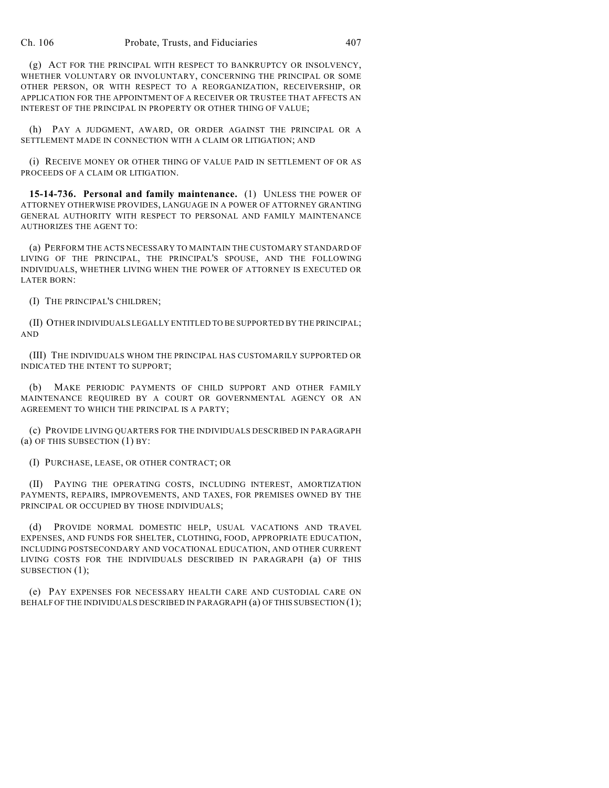(g) ACT FOR THE PRINCIPAL WITH RESPECT TO BANKRUPTCY OR INSOLVENCY, WHETHER VOLUNTARY OR INVOLUNTARY, CONCERNING THE PRINCIPAL OR SOME OTHER PERSON, OR WITH RESPECT TO A REORGANIZATION, RECEIVERSHIP, OR APPLICATION FOR THE APPOINTMENT OF A RECEIVER OR TRUSTEE THAT AFFECTS AN INTEREST OF THE PRINCIPAL IN PROPERTY OR OTHER THING OF VALUE;

(h) PAY A JUDGMENT, AWARD, OR ORDER AGAINST THE PRINCIPAL OR A SETTLEMENT MADE IN CONNECTION WITH A CLAIM OR LITIGATION; AND

(i) RECEIVE MONEY OR OTHER THING OF VALUE PAID IN SETTLEMENT OF OR AS PROCEEDS OF A CLAIM OR LITIGATION.

**15-14-736. Personal and family maintenance.** (1) UNLESS THE POWER OF ATTORNEY OTHERWISE PROVIDES, LANGUAGE IN A POWER OF ATTORNEY GRANTING GENERAL AUTHORITY WITH RESPECT TO PERSONAL AND FAMILY MAINTENANCE AUTHORIZES THE AGENT TO:

(a) PERFORM THE ACTS NECESSARY TO MAINTAIN THE CUSTOMARY STANDARD OF LIVING OF THE PRINCIPAL, THE PRINCIPAL'S SPOUSE, AND THE FOLLOWING INDIVIDUALS, WHETHER LIVING WHEN THE POWER OF ATTORNEY IS EXECUTED OR LATER BORN:

(I) THE PRINCIPAL'S CHILDREN;

(II) OTHER INDIVIDUALS LEGALLY ENTITLED TO BE SUPPORTED BY THE PRINCIPAL; AND

(III) THE INDIVIDUALS WHOM THE PRINCIPAL HAS CUSTOMARILY SUPPORTED OR INDICATED THE INTENT TO SUPPORT;

(b) MAKE PERIODIC PAYMENTS OF CHILD SUPPORT AND OTHER FAMILY MAINTENANCE REQUIRED BY A COURT OR GOVERNMENTAL AGENCY OR AN AGREEMENT TO WHICH THE PRINCIPAL IS A PARTY;

(c) PROVIDE LIVING QUARTERS FOR THE INDIVIDUALS DESCRIBED IN PARAGRAPH (a) OF THIS SUBSECTION (1) BY:

(I) PURCHASE, LEASE, OR OTHER CONTRACT; OR

(II) PAYING THE OPERATING COSTS, INCLUDING INTEREST, AMORTIZATION PAYMENTS, REPAIRS, IMPROVEMENTS, AND TAXES, FOR PREMISES OWNED BY THE PRINCIPAL OR OCCUPIED BY THOSE INDIVIDUALS;

(d) PROVIDE NORMAL DOMESTIC HELP, USUAL VACATIONS AND TRAVEL EXPENSES, AND FUNDS FOR SHELTER, CLOTHING, FOOD, APPROPRIATE EDUCATION, INCLUDING POSTSECONDARY AND VOCATIONAL EDUCATION, AND OTHER CURRENT LIVING COSTS FOR THE INDIVIDUALS DESCRIBED IN PARAGRAPH (a) OF THIS SUBSECTION (1);

(e) PAY EXPENSES FOR NECESSARY HEALTH CARE AND CUSTODIAL CARE ON BEHALF OF THE INDIVIDUALS DESCRIBED IN PARAGRAPH (a) OF THIS SUBSECTION (1);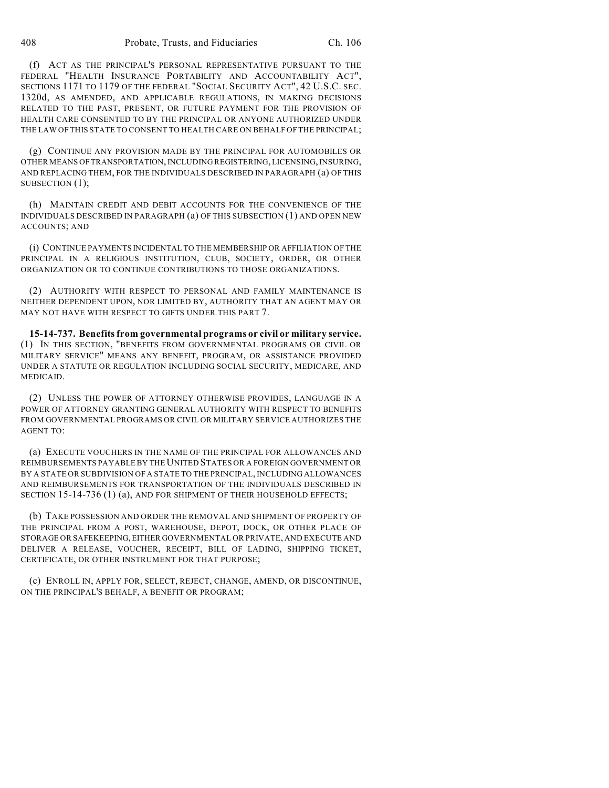(f) ACT AS THE PRINCIPAL'S PERSONAL REPRESENTATIVE PURSUANT TO THE FEDERAL "HEALTH INSURANCE PORTABILITY AND ACCOUNTABILITY ACT", SECTIONS 1171 TO 1179 OF THE FEDERAL "SOCIAL SECURITY ACT", 42 U.S.C. SEC. 1320d, AS AMENDED, AND APPLICABLE REGULATIONS, IN MAKING DECISIONS RELATED TO THE PAST, PRESENT, OR FUTURE PAYMENT FOR THE PROVISION OF HEALTH CARE CONSENTED TO BY THE PRINCIPAL OR ANYONE AUTHORIZED UNDER THE LAW OF THIS STATE TO CONSENT TO HEALTH CARE ON BEHALF OF THE PRINCIPAL;

(g) CONTINUE ANY PROVISION MADE BY THE PRINCIPAL FOR AUTOMOBILES OR OTHER MEANS OF TRANSPORTATION, INCLUDING REGISTERING, LICENSING, INSURING, AND REPLACING THEM, FOR THE INDIVIDUALS DESCRIBED IN PARAGRAPH (a) OF THIS SUBSECTION (1);

(h) MAINTAIN CREDIT AND DEBIT ACCOUNTS FOR THE CONVENIENCE OF THE INDIVIDUALS DESCRIBED IN PARAGRAPH (a) OF THIS SUBSECTION (1) AND OPEN NEW ACCOUNTS; AND

(i) CONTINUE PAYMENTS INCIDENTAL TO THE MEMBERSHIP OR AFFILIATION OF THE PRINCIPAL IN A RELIGIOUS INSTITUTION, CLUB, SOCIETY, ORDER, OR OTHER ORGANIZATION OR TO CONTINUE CONTRIBUTIONS TO THOSE ORGANIZATIONS.

(2) AUTHORITY WITH RESPECT TO PERSONAL AND FAMILY MAINTENANCE IS NEITHER DEPENDENT UPON, NOR LIMITED BY, AUTHORITY THAT AN AGENT MAY OR MAY NOT HAVE WITH RESPECT TO GIFTS UNDER THIS PART 7.

**15-14-737. Benefits from governmental programs or civil or military service.** (1) IN THIS SECTION, "BENEFITS FROM GOVERNMENTAL PROGRAMS OR CIVIL OR MILITARY SERVICE" MEANS ANY BENEFIT, PROGRAM, OR ASSISTANCE PROVIDED UNDER A STATUTE OR REGULATION INCLUDING SOCIAL SECURITY, MEDICARE, AND MEDICAID.

(2) UNLESS THE POWER OF ATTORNEY OTHERWISE PROVIDES, LANGUAGE IN A POWER OF ATTORNEY GRANTING GENERAL AUTHORITY WITH RESPECT TO BENEFITS FROM GOVERNMENTAL PROGRAMS OR CIVIL OR MILITARY SERVICE AUTHORIZES THE AGENT TO:

(a) EXECUTE VOUCHERS IN THE NAME OF THE PRINCIPAL FOR ALLOWANCES AND REIMBURSEMENTS PAYABLE BY THE UNITED STATES OR A FOREIGN GOVERNMENT OR BY A STATE OR SUBDIVISION OF A STATE TO THE PRINCIPAL, INCLUDING ALLOWANCES AND REIMBURSEMENTS FOR TRANSPORTATION OF THE INDIVIDUALS DESCRIBED IN SECTION 15-14-736 (1) (a), AND FOR SHIPMENT OF THEIR HOUSEHOLD EFFECTS;

(b) TAKE POSSESSION AND ORDER THE REMOVAL AND SHIPMENT OF PROPERTY OF THE PRINCIPAL FROM A POST, WAREHOUSE, DEPOT, DOCK, OR OTHER PLACE OF STORAGE OR SAFEKEEPING, EITHER GOVERNMENTAL OR PRIVATE, AND EXECUTE AND DELIVER A RELEASE, VOUCHER, RECEIPT, BILL OF LADING, SHIPPING TICKET, CERTIFICATE, OR OTHER INSTRUMENT FOR THAT PURPOSE;

(c) ENROLL IN, APPLY FOR, SELECT, REJECT, CHANGE, AMEND, OR DISCONTINUE, ON THE PRINCIPAL'S BEHALF, A BENEFIT OR PROGRAM;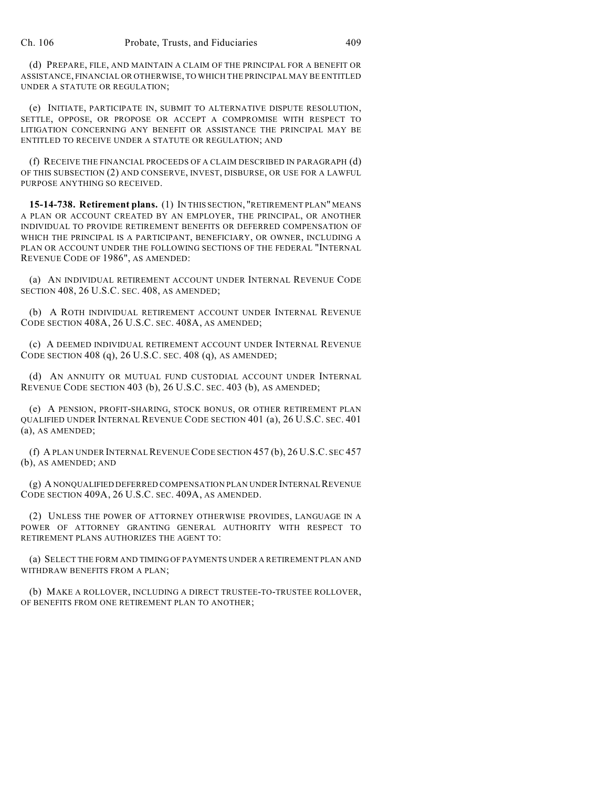(d) PREPARE, FILE, AND MAINTAIN A CLAIM OF THE PRINCIPAL FOR A BENEFIT OR ASSISTANCE, FINANCIAL OR OTHERWISE, TO WHICH THE PRINCIPAL MAY BE ENTITLED UNDER A STATUTE OR REGULATION;

(e) INITIATE, PARTICIPATE IN, SUBMIT TO ALTERNATIVE DISPUTE RESOLUTION, SETTLE, OPPOSE, OR PROPOSE OR ACCEPT A COMPROMISE WITH RESPECT TO LITIGATION CONCERNING ANY BENEFIT OR ASSISTANCE THE PRINCIPAL MAY BE ENTITLED TO RECEIVE UNDER A STATUTE OR REGULATION; AND

(f) RECEIVE THE FINANCIAL PROCEEDS OF A CLAIM DESCRIBED IN PARAGRAPH (d) OF THIS SUBSECTION (2) AND CONSERVE, INVEST, DISBURSE, OR USE FOR A LAWFUL PURPOSE ANYTHING SO RECEIVED.

**15-14-738. Retirement plans.** (1) IN THIS SECTION, "RETIREMENT PLAN" MEANS A PLAN OR ACCOUNT CREATED BY AN EMPLOYER, THE PRINCIPAL, OR ANOTHER INDIVIDUAL TO PROVIDE RETIREMENT BENEFITS OR DEFERRED COMPENSATION OF WHICH THE PRINCIPAL IS A PARTICIPANT, BENEFICIARY, OR OWNER, INCLUDING A PLAN OR ACCOUNT UNDER THE FOLLOWING SECTIONS OF THE FEDERAL "INTERNAL REVENUE CODE OF 1986", AS AMENDED:

(a) AN INDIVIDUAL RETIREMENT ACCOUNT UNDER INTERNAL REVENUE CODE SECTION 408, 26 U.S.C. SEC. 408, AS AMENDED;

(b) A ROTH INDIVIDUAL RETIREMENT ACCOUNT UNDER INTERNAL REVENUE CODE SECTION 408A, 26 U.S.C. SEC. 408A, AS AMENDED;

(c) A DEEMED INDIVIDUAL RETIREMENT ACCOUNT UNDER INTERNAL REVENUE CODE SECTION 408 (q), 26 U.S.C. SEC. 408 (q), AS AMENDED;

(d) AN ANNUITY OR MUTUAL FUND CUSTODIAL ACCOUNT UNDER INTERNAL REVENUE CODE SECTION 403 (b), 26 U.S.C. SEC. 403 (b), AS AMENDED;

(e) A PENSION, PROFIT-SHARING, STOCK BONUS, OR OTHER RETIREMENT PLAN QUALIFIED UNDER INTERNAL REVENUE CODE SECTION 401 (a), 26 U.S.C. SEC. 401 (a), AS AMENDED;

(f) A PLAN UNDER INTERNAL REVENUE CODE SECTION 457 (b), 26 U.S.C. SEC 457 (b), AS AMENDED; AND

(g) A NONQUALIFIED DEFERRED COMPENSATION PLAN UNDERINTERNAL REVENUE CODE SECTION 409A, 26 U.S.C. SEC. 409A, AS AMENDED.

(2) UNLESS THE POWER OF ATTORNEY OTHERWISE PROVIDES, LANGUAGE IN A POWER OF ATTORNEY GRANTING GENERAL AUTHORITY WITH RESPECT TO RETIREMENT PLANS AUTHORIZES THE AGENT TO:

(a) SELECT THE FORM AND TIMING OF PAYMENTS UNDER A RETIREMENT PLAN AND WITHDRAW BENEFITS FROM A PLAN;

(b) MAKE A ROLLOVER, INCLUDING A DIRECT TRUSTEE-TO-TRUSTEE ROLLOVER, OF BENEFITS FROM ONE RETIREMENT PLAN TO ANOTHER;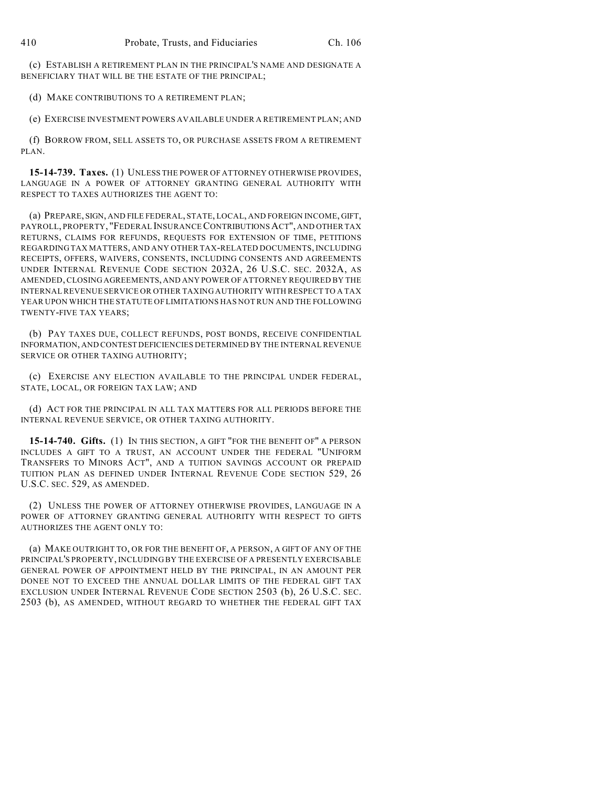(c) ESTABLISH A RETIREMENT PLAN IN THE PRINCIPAL'S NAME AND DESIGNATE A BENEFICIARY THAT WILL BE THE ESTATE OF THE PRINCIPAL;

(d) MAKE CONTRIBUTIONS TO A RETIREMENT PLAN;

(e) EXERCISE INVESTMENT POWERS AVAILABLE UNDER A RETIREMENT PLAN; AND

(f) BORROW FROM, SELL ASSETS TO, OR PURCHASE ASSETS FROM A RETIREMENT PLAN.

**15-14-739. Taxes.** (1) UNLESS THE POWER OF ATTORNEY OTHERWISE PROVIDES, LANGUAGE IN A POWER OF ATTORNEY GRANTING GENERAL AUTHORITY WITH RESPECT TO TAXES AUTHORIZES THE AGENT TO:

(a) PREPARE, SIGN, AND FILE FEDERAL, STATE, LOCAL, AND FOREIGN INCOME, GIFT, PAYROLL, PROPERTY, "FEDERAL INSURANCE CONTRIBUTIONS ACT", AND OTHER TAX RETURNS, CLAIMS FOR REFUNDS, REQUESTS FOR EXTENSION OF TIME, PETITIONS REGARDING TAX MATTERS, AND ANY OTHER TAX-RELATED DOCUMENTS, INCLUDING RECEIPTS, OFFERS, WAIVERS, CONSENTS, INCLUDING CONSENTS AND AGREEMENTS UNDER INTERNAL REVENUE CODE SECTION 2032A, 26 U.S.C. SEC. 2032A, AS AMENDED, CLOSING AGREEMENTS, AND ANY POWER OF ATTORNEY REQUIRED BY THE INTERNAL REVENUE SERVICE OR OTHER TAXING AUTHORITY WITH RESPECT TO A TAX YEAR UPON WHICH THE STATUTE OFLIMITATIONS HAS NOT RUN AND THE FOLLOWING TWENTY-FIVE TAX YEARS;

(b) PAY TAXES DUE, COLLECT REFUNDS, POST BONDS, RECEIVE CONFIDENTIAL INFORMATION, AND CONTEST DEFICIENCIES DETERMINED BY THE INTERNAL REVENUE SERVICE OR OTHER TAXING AUTHORITY;

(c) EXERCISE ANY ELECTION AVAILABLE TO THE PRINCIPAL UNDER FEDERAL, STATE, LOCAL, OR FOREIGN TAX LAW; AND

(d) ACT FOR THE PRINCIPAL IN ALL TAX MATTERS FOR ALL PERIODS BEFORE THE INTERNAL REVENUE SERVICE, OR OTHER TAXING AUTHORITY.

**15-14-740. Gifts.** (1) IN THIS SECTION, A GIFT "FOR THE BENEFIT OF" A PERSON INCLUDES A GIFT TO A TRUST, AN ACCOUNT UNDER THE FEDERAL "UNIFORM TRANSFERS TO MINORS ACT", AND A TUITION SAVINGS ACCOUNT OR PREPAID TUITION PLAN AS DEFINED UNDER INTERNAL REVENUE CODE SECTION 529, 26 U.S.C. SEC. 529, AS AMENDED.

(2) UNLESS THE POWER OF ATTORNEY OTHERWISE PROVIDES, LANGUAGE IN A POWER OF ATTORNEY GRANTING GENERAL AUTHORITY WITH RESPECT TO GIFTS AUTHORIZES THE AGENT ONLY TO:

(a) MAKE OUTRIGHT TO, OR FOR THE BENEFIT OF, A PERSON, A GIFT OF ANY OF THE PRINCIPAL'S PROPERTY, INCLUDING BY THE EXERCISE OF A PRESENTLY EXERCISABLE GENERAL POWER OF APPOINTMENT HELD BY THE PRINCIPAL, IN AN AMOUNT PER DONEE NOT TO EXCEED THE ANNUAL DOLLAR LIMITS OF THE FEDERAL GIFT TAX EXCLUSION UNDER INTERNAL REVENUE CODE SECTION 2503 (b), 26 U.S.C. SEC. 2503 (b), AS AMENDED, WITHOUT REGARD TO WHETHER THE FEDERAL GIFT TAX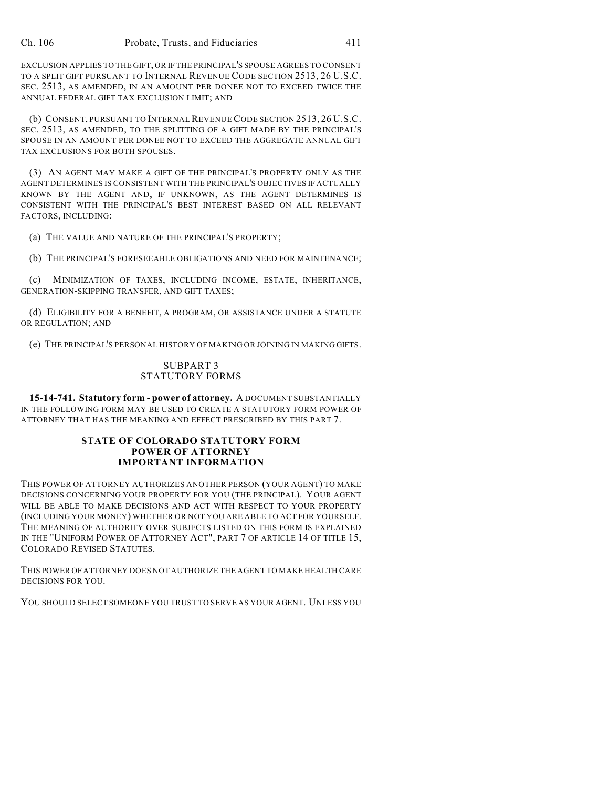EXCLUSION APPLIES TO THE GIFT, OR IF THE PRINCIPAL'S SPOUSE AGREES TO CONSENT TO A SPLIT GIFT PURSUANT TO INTERNAL REVENUE CODE SECTION 2513, 26 U.S.C. SEC. 2513, AS AMENDED, IN AN AMOUNT PER DONEE NOT TO EXCEED TWICE THE ANNUAL FEDERAL GIFT TAX EXCLUSION LIMIT; AND

(b) CONSENT, PURSUANT TO INTERNAL REVENUE CODE SECTION 2513, 26 U.S.C. SEC. 2513, AS AMENDED, TO THE SPLITTING OF A GIFT MADE BY THE PRINCIPAL'S SPOUSE IN AN AMOUNT PER DONEE NOT TO EXCEED THE AGGREGATE ANNUAL GIFT TAX EXCLUSIONS FOR BOTH SPOUSES.

(3) AN AGENT MAY MAKE A GIFT OF THE PRINCIPAL'S PROPERTY ONLY AS THE AGENT DETERMINES IS CONSISTENT WITH THE PRINCIPAL'S OBJECTIVES IF ACTUALLY KNOWN BY THE AGENT AND, IF UNKNOWN, AS THE AGENT DETERMINES IS CONSISTENT WITH THE PRINCIPAL'S BEST INTEREST BASED ON ALL RELEVANT FACTORS, INCLUDING:

(a) THE VALUE AND NATURE OF THE PRINCIPAL'S PROPERTY;

(b) THE PRINCIPAL'S FORESEEABLE OBLIGATIONS AND NEED FOR MAINTENANCE;

(c) MINIMIZATION OF TAXES, INCLUDING INCOME, ESTATE, INHERITANCE, GENERATION-SKIPPING TRANSFER, AND GIFT TAXES;

(d) ELIGIBILITY FOR A BENEFIT, A PROGRAM, OR ASSISTANCE UNDER A STATUTE OR REGULATION; AND

(e) THE PRINCIPAL'S PERSONAL HISTORY OF MAKING OR JOINING IN MAKING GIFTS.

#### SUBPART 3 STATUTORY FORMS

**15-14-741. Statutory form - power of attorney.** A DOCUMENT SUBSTANTIALLY IN THE FOLLOWING FORM MAY BE USED TO CREATE A STATUTORY FORM POWER OF ATTORNEY THAT HAS THE MEANING AND EFFECT PRESCRIBED BY THIS PART 7.

## **STATE OF COLORADO STATUTORY FORM POWER OF ATTORNEY IMPORTANT INFORMATION**

THIS POWER OF ATTORNEY AUTHORIZES ANOTHER PERSON (YOUR AGENT) TO MAKE DECISIONS CONCERNING YOUR PROPERTY FOR YOU (THE PRINCIPAL). YOUR AGENT WILL BE ABLE TO MAKE DECISIONS AND ACT WITH RESPECT TO YOUR PROPERTY (INCLUDING YOUR MONEY) WHETHER OR NOT YOU ARE ABLE TO ACT FOR YOURSELF. THE MEANING OF AUTHORITY OVER SUBJECTS LISTED ON THIS FORM IS EXPLAINED IN THE "UNIFORM POWER OF ATTORNEY ACT", PART 7 OF ARTICLE 14 OF TITLE 15, COLORADO REVISED STATUTES.

THIS POWER OF ATTORNEY DOES NOT AUTHORIZE THE AGENT TO MAKE HEALTH CARE DECISIONS FOR YOU.

YOU SHOULD SELECT SOMEONE YOU TRUST TO SERVE AS YOUR AGENT. UNLESS YOU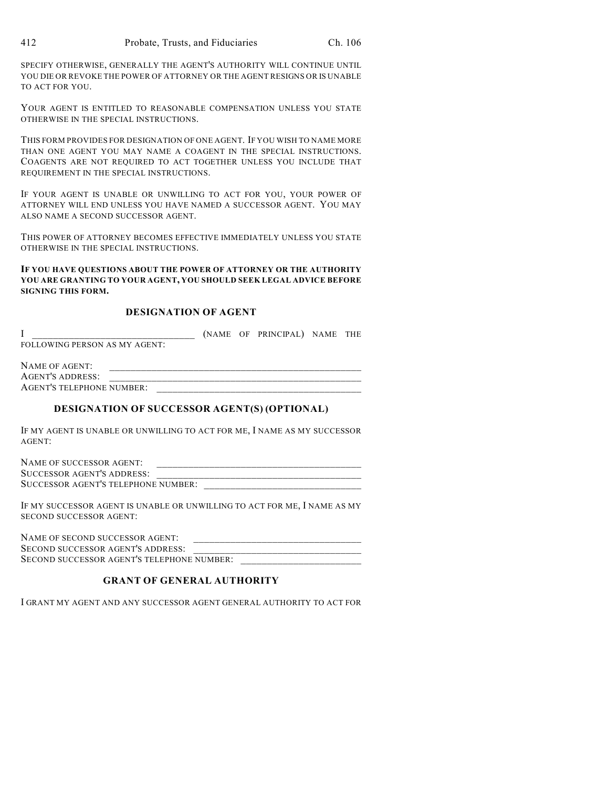SPECIFY OTHERWISE, GENERALLY THE AGENT'S AUTHORITY WILL CONTINUE UNTIL YOU DIE OR REVOKE THE POWER OF ATTORNEY OR THE AGENT RESIGNS OR IS UNABLE TO ACT FOR YOU.

YOUR AGENT IS ENTITLED TO REASONABLE COMPENSATION UNLESS YOU STATE OTHERWISE IN THE SPECIAL INSTRUCTIONS.

THIS FORM PROVIDES FOR DESIGNATION OF ONE AGENT. IF YOU WISH TO NAME MORE THAN ONE AGENT YOU MAY NAME A COAGENT IN THE SPECIAL INSTRUCTIONS. COAGENTS ARE NOT REQUIRED TO ACT TOGETHER UNLESS YOU INCLUDE THAT REQUIREMENT IN THE SPECIAL INSTRUCTIONS.

IF YOUR AGENT IS UNABLE OR UNWILLING TO ACT FOR YOU, YOUR POWER OF ATTORNEY WILL END UNLESS YOU HAVE NAMED A SUCCESSOR AGENT. YOU MAY ALSO NAME A SECOND SUCCESSOR AGENT.

THIS POWER OF ATTORNEY BECOMES EFFECTIVE IMMEDIATELY UNLESS YOU STATE OTHERWISE IN THE SPECIAL INSTRUCTIONS.

#### **IF YOU HAVE QUESTIONS ABOUT THE POWER OF ATTORNEY OR THE AUTHORITY YOU ARE GRANTING TO YOUR AGENT, YOU SHOULD SEEK LEGAL ADVICE BEFORE SIGNING THIS FORM.**

# **DESIGNATION OF AGENT**

I \_\_\_\_\_\_\_\_\_\_\_\_\_\_\_\_\_\_\_\_\_\_\_\_\_\_\_\_\_\_\_ (NAME OF PRINCIPAL) NAME THE FOLLOWING PERSON AS MY AGENT: NAME OF AGENT:

AGENT'S ADDRESS: \_\_\_\_\_\_\_\_\_\_\_\_\_\_\_\_\_\_\_\_\_\_\_\_\_\_\_\_\_\_\_\_\_\_\_\_\_\_\_\_\_\_\_\_\_\_\_\_ AGENT'S TELEPHONE NUMBER:

# **DESIGNATION OF SUCCESSOR AGENT(S) (OPTIONAL)**

IF MY AGENT IS UNABLE OR UNWILLING TO ACT FOR ME, I NAME AS MY SUCCESSOR AGENT:

NAME OF SUCCESSOR AGENT:<br>SUCCESSOR AGENT'S ADDRESS:  $\overbrace{S_{1}}\overbrace{S_{2}}\overbrace{S_{3}}\overbrace{S_{4}}\overbrace{S_{5}}\overbrace{S_{6}}\overbrace{S_{7}}\overbrace{S_{8}}\overbrace{S_{9}}\overbrace{S_{1}}\overbrace{S_{1}}\overbrace{S_{1}}\overbrace{S_{1}}\overbrace{S_{1}}\overbrace{S_{1}}\overbrace{S_{1}}\overbrace{S_{1}}\overbrace{S_{1}}\overbrace{S_{1}}\overbrace{S_{1}}\overbrace{S_{1}}\overbrace{S_{1}}\overbrace{S_{1}}\overbrace{S_{1}}\overbrace{S_{1}}\overbrace{S_{1}}\overbrace{S_{1}}\overbrace{$ SUCCESSOR AGENT'S TELEPHONE NUMBER: \_\_\_\_\_\_\_\_\_\_\_\_\_\_\_\_\_\_\_\_\_\_\_\_\_\_\_\_\_\_

IF MY SUCCESSOR AGENT IS UNABLE OR UNWILLING TO ACT FOR ME, I NAME AS MY SECOND SUCCESSOR AGENT:

NAME OF SECOND SUCCESSOR AGENT: SECOND SUCCESSOR AGENT'S ADDRESS: SECOND SUCCESSOR AGENT'S TELEPHONE NUMBER:

# **GRANT OF GENERAL AUTHORITY**

I GRANT MY AGENT AND ANY SUCCESSOR AGENT GENERAL AUTHORITY TO ACT FOR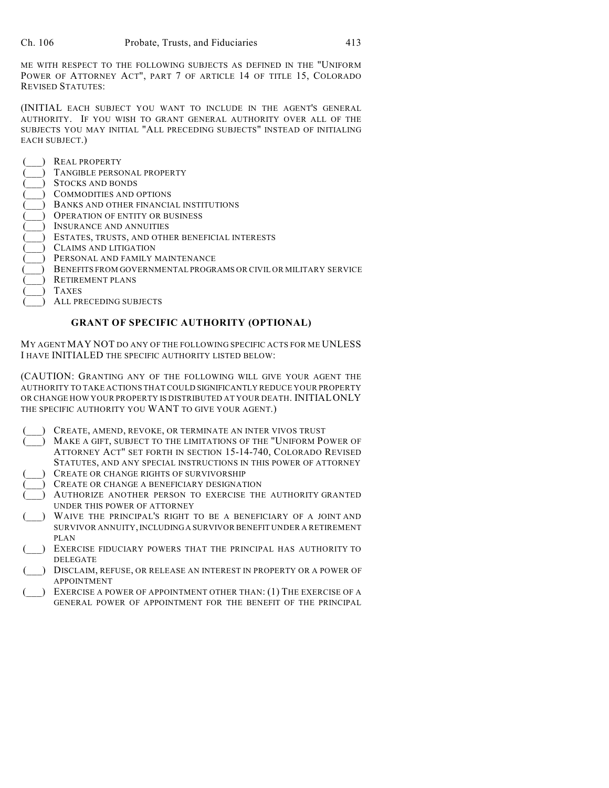ME WITH RESPECT TO THE FOLLOWING SUBJECTS AS DEFINED IN THE "UNIFORM POWER OF ATTORNEY ACT", PART 7 OF ARTICLE 14 OF TITLE 15, COLORADO REVISED STATUTES:

(INITIAL EACH SUBJECT YOU WANT TO INCLUDE IN THE AGENT'S GENERAL AUTHORITY. IF YOU WISH TO GRANT GENERAL AUTHORITY OVER ALL OF THE SUBJECTS YOU MAY INITIAL "ALL PRECEDING SUBJECTS" INSTEAD OF INITIALING EACH SUBJECT.)

- REAL PROPERTY
- TANGIBLE PERSONAL PROPERTY
- STOCKS AND BONDS
- COMMODITIES AND OPTIONS
- BANKS AND OTHER FINANCIAL INSTITUTIONS
- (\_\_\_) OPERATION OF ENTITY OR BUSINESS
- INSURANCE AND ANNUITIES
- ESTATES, TRUSTS, AND OTHER BENEFICIAL INTERESTS
- CLAIMS AND LITIGATION
- PERSONAL AND FAMILY MAINTENANCE
- BENEFITS FROM GOVERNMENTAL PROGRAMS OR CIVIL OR MILITARY SERVICE
- RETIREMENT PLANS
- (\_\_\_) TAXES
- ALL PRECEDING SUBJECTS

# **GRANT OF SPECIFIC AUTHORITY (OPTIONAL)**

MY AGENT MAY NOT DO ANY OF THE FOLLOWING SPECIFIC ACTS FOR ME UNLESS I HAVE INITIALED THE SPECIFIC AUTHORITY LISTED BELOW:

(CAUTION: GRANTING ANY OF THE FOLLOWING WILL GIVE YOUR AGENT THE AUTHORITY TO TAKE ACTIONS THAT COULD SIGNIFICANTLY REDUCE YOUR PROPERTY OR CHANGE HOW YOUR PROPERTY IS DISTRIBUTED AT YOUR DEATH. INITIALONLY THE SPECIFIC AUTHORITY YOU WANT TO GIVE YOUR AGENT.)

- CREATE, AMEND, REVOKE, OR TERMINATE AN INTER VIVOS TRUST
- MAKE A GIFT, SUBJECT TO THE LIMITATIONS OF THE "UNIFORM POWER OF ATTORNEY ACT" SET FORTH IN SECTION 15-14-740, COLORADO REVISED STATUTES, AND ANY SPECIAL INSTRUCTIONS IN THIS POWER OF ATTORNEY CREATE OR CHANGE RIGHTS OF SURVIVORSHIP
- CREATE OR CHANGE A BENEFICIARY DESIGNATION
- AUTHORIZE ANOTHER PERSON TO EXERCISE THE AUTHORITY GRANTED UNDER THIS POWER OF ATTORNEY
- ) WAIVE THE PRINCIPAL'S RIGHT TO BE A BENEFICIARY OF A JOINT AND SURVIVOR ANNUITY, INCLUDING A SURVIVOR BENEFIT UNDER A RETIREMENT PLAN
- (\_\_\_) EXERCISE FIDUCIARY POWERS THAT THE PRINCIPAL HAS AUTHORITY TO DELEGATE
- (\_\_\_) DISCLAIM, REFUSE, OR RELEASE AN INTEREST IN PROPERTY OR A POWER OF APPOINTMENT
- (\_\_\_) EXERCISE A POWER OF APPOINTMENT OTHER THAN: (1) THE EXERCISE OF A GENERAL POWER OF APPOINTMENT FOR THE BENEFIT OF THE PRINCIPAL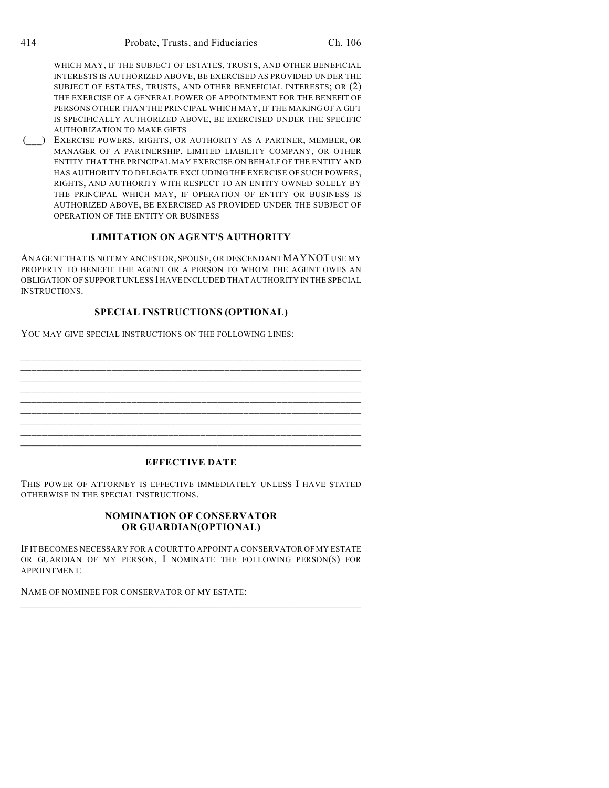WHICH MAY, IF THE SUBJECT OF ESTATES, TRUSTS, AND OTHER BENEFICIAL INTERESTS IS AUTHORIZED ABOVE, BE EXERCISED AS PROVIDED UNDER THE SUBJECT OF ESTATES, TRUSTS, AND OTHER BENEFICIAL INTERESTS; OR (2) THE EXERCISE OF A GENERAL POWER OF APPOINTMENT FOR THE BENEFIT OF PERSONS OTHER THAN THE PRINCIPAL WHICH MAY, IF THE MAKING OF A GIFT IS SPECIFICALLY AUTHORIZED ABOVE, BE EXERCISED UNDER THE SPECIFIC AUTHORIZATION TO MAKE GIFTS

(\_\_\_) EXERCISE POWERS, RIGHTS, OR AUTHORITY AS A PARTNER, MEMBER, OR MANAGER OF A PARTNERSHIP, LIMITED LIABILITY COMPANY, OR OTHER ENTITY THAT THE PRINCIPAL MAY EXERCISE ON BEHALF OF THE ENTITY AND HAS AUTHORITY TO DELEGATE EXCLUDING THE EXERCISE OF SUCH POWERS, RIGHTS, AND AUTHORITY WITH RESPECT TO AN ENTITY OWNED SOLELY BY THE PRINCIPAL WHICH MAY, IF OPERATION OF ENTITY OR BUSINESS IS AUTHORIZED ABOVE, BE EXERCISED AS PROVIDED UNDER THE SUBJECT OF OPERATION OF THE ENTITY OR BUSINESS

#### **LIMITATION ON AGENT'S AUTHORITY**

AN AGENT THAT IS NOT MY ANCESTOR, SPOUSE, OR DESCENDANT MAY NOT USE MY PROPERTY TO BENEFIT THE AGENT OR A PERSON TO WHOM THE AGENT OWES AN OBLIGATION OF SUPPORT UNLESS I HAVE INCLUDED THAT AUTHORITY IN THE SPECIAL INSTRUCTIONS.

## **SPECIAL INSTRUCTIONS (OPTIONAL)**

YOU MAY GIVE SPECIAL INSTRUCTIONS ON THE FOLLOWING LINES:

\_\_\_\_\_\_\_\_\_\_\_\_\_\_\_\_\_\_\_\_\_\_\_\_\_\_\_\_\_\_\_\_\_\_\_\_\_\_\_\_\_\_\_\_\_\_\_\_\_\_\_\_\_\_\_\_\_\_\_\_\_\_\_\_ \_\_\_\_\_\_\_\_\_\_\_\_\_\_\_\_\_\_\_\_\_\_\_\_\_\_\_\_\_\_\_\_\_\_\_\_\_\_\_\_\_\_\_\_\_\_\_\_\_\_\_\_\_\_\_\_\_\_\_\_\_\_\_\_ \_\_\_\_\_\_\_\_\_\_\_\_\_\_\_\_\_\_\_\_\_\_\_\_\_\_\_\_\_\_\_\_\_\_\_\_\_\_\_\_\_\_\_\_\_\_\_\_\_\_\_\_\_\_\_\_\_\_\_\_\_\_\_\_ \_\_\_\_\_\_\_\_\_\_\_\_\_\_\_\_\_\_\_\_\_\_\_\_\_\_\_\_\_\_\_\_\_\_\_\_\_\_\_\_\_\_\_\_\_\_\_\_\_\_\_\_\_\_\_\_\_\_\_\_\_\_\_\_  $\_$  , and the set of the set of the set of the set of the set of the set of the set of the set of the set of the set of the set of the set of the set of the set of the set of the set of the set of the set of the set of th \_\_\_\_\_\_\_\_\_\_\_\_\_\_\_\_\_\_\_\_\_\_\_\_\_\_\_\_\_\_\_\_\_\_\_\_\_\_\_\_\_\_\_\_\_\_\_\_\_\_\_\_\_\_\_\_\_\_\_\_\_\_\_\_ \_\_\_\_\_\_\_\_\_\_\_\_\_\_\_\_\_\_\_\_\_\_\_\_\_\_\_\_\_\_\_\_\_\_\_\_\_\_\_\_\_\_\_\_\_\_\_\_\_\_\_\_\_\_\_\_\_\_\_\_\_\_\_\_ \_\_\_\_\_\_\_\_\_\_\_\_\_\_\_\_\_\_\_\_\_\_\_\_\_\_\_\_\_\_\_\_\_\_\_\_\_\_\_\_\_\_\_\_\_\_\_\_\_\_\_\_\_\_\_\_\_\_\_\_\_\_\_\_ \_\_\_\_\_\_\_\_\_\_\_\_\_\_\_\_\_\_\_\_\_\_\_\_\_\_\_\_\_\_\_\_\_\_\_\_\_\_\_\_\_\_\_\_\_\_\_\_\_\_\_\_\_\_\_\_\_\_\_\_\_\_\_\_\_\_\_

# **EFFECTIVE DATE**

THIS POWER OF ATTORNEY IS EFFECTIVE IMMEDIATELY UNLESS I HAVE STATED OTHERWISE IN THE SPECIAL INSTRUCTIONS.

## **NOMINATION OF CONSERVATOR OR GUARDIAN(OPTIONAL)**

IF IT BECOMES NECESSARY FOR A COURT TO APPOINT A CONSERVATOR OF MY ESTATE OR GUARDIAN OF MY PERSON, I NOMINATE THE FOLLOWING PERSON(S) FOR APPOINTMENT:

 $\_$  , and the set of the set of the set of the set of the set of the set of the set of the set of the set of the set of the set of the set of the set of the set of the set of the set of the set of the set of the set of th

NAME OF NOMINEE FOR CONSERVATOR OF MY ESTATE: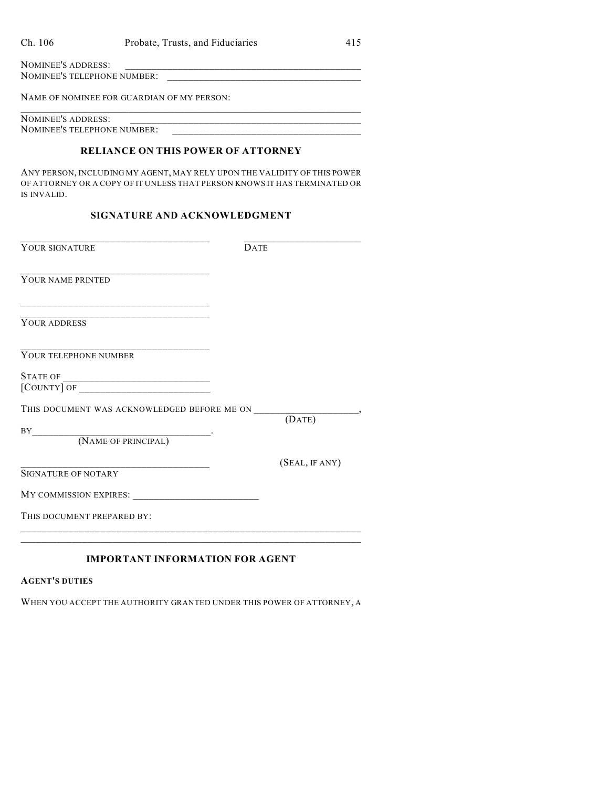| Ch. 106                                           | Probate, Trusts, and Fiduciaries           | 415 |
|---------------------------------------------------|--------------------------------------------|-----|
| NOMINEE'S ADDRESS:<br>NOMINEE'S TELEPHONE NUMBER: |                                            |     |
|                                                   | NAME OF NOMINEE FOR GUARDIAN OF MY PERSON: |     |
| <b>NOMINEE'S ADDRESS:</b>                         |                                            |     |
| NOMINEE'S TELEPHONE NUMBER:                       |                                            |     |
|                                                   |                                            |     |

# **RELIANCE ON THIS POWER OF ATTORNEY**

ANY PERSON, INCLUDING MY AGENT, MAY RELY UPON THE VALIDITY OF THIS POWER OF ATTORNEY OR A COPY OF IT UNLESS THAT PERSON KNOWS IT HAS TERMINATED OR IS INVALID.

# **SIGNATURE AND ACKNOWLEDGMENT**

| YOUR SIGNATURE                                                                                                                        | <b>DATE</b>    |
|---------------------------------------------------------------------------------------------------------------------------------------|----------------|
| YOUR NAME PRINTED                                                                                                                     |                |
| <u> 1950 - Johann John Harrison, markin amerikan bahasa dalam pengaran bahasa dalam pengaran bahasa dalam pengara</u><br>YOUR ADDRESS |                |
| YOUR TELEPHONE NUMBER                                                                                                                 |                |
|                                                                                                                                       |                |
| THIS DOCUMENT WAS ACKNOWLEDGED BEFORE ME ON                                                                                           | (DATE)         |
|                                                                                                                                       |                |
| SIGNATURE OF NOTARY                                                                                                                   | (SEAL, IF ANY) |
|                                                                                                                                       |                |
| THIS DOCUMENT PREPARED BY:                                                                                                            |                |

# **IMPORTANT INFORMATION FOR AGENT**

## **AGENT'S DUTIES**

WHEN YOU ACCEPT THE AUTHORITY GRANTED UNDER THIS POWER OF ATTORNEY, A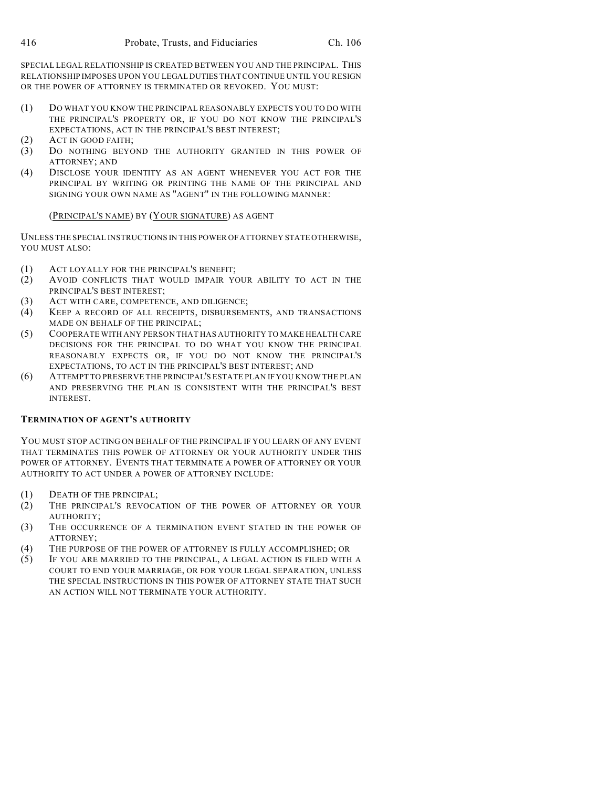SPECIAL LEGAL RELATIONSHIP IS CREATED BETWEEN YOU AND THE PRINCIPAL. THIS RELATIONSHIP IMPOSES UPON YOU LEGAL DUTIES THAT CONTINUE UNTIL YOU RESIGN OR THE POWER OF ATTORNEY IS TERMINATED OR REVOKED. YOU MUST:

- (1) DO WHAT YOU KNOW THE PRINCIPAL REASONABLY EXPECTS YOU TO DO WITH THE PRINCIPAL'S PROPERTY OR, IF YOU DO NOT KNOW THE PRINCIPAL'S EXPECTATIONS, ACT IN THE PRINCIPAL'S BEST INTEREST;
- (2) ACT IN GOOD FAITH;
- (3) DO NOTHING BEYOND THE AUTHORITY GRANTED IN THIS POWER OF ATTORNEY; AND
- (4) DISCLOSE YOUR IDENTITY AS AN AGENT WHENEVER YOU ACT FOR THE PRINCIPAL BY WRITING OR PRINTING THE NAME OF THE PRINCIPAL AND SIGNING YOUR OWN NAME AS "AGENT" IN THE FOLLOWING MANNER:

#### (PRINCIPAL'S NAME) BY (YOUR SIGNATURE) AS AGENT

UNLESS THE SPECIAL INSTRUCTIONS IN THIS POWER OF ATTORNEY STATE OTHERWISE, YOU MUST ALSO:

- (1) ACT LOYALLY FOR THE PRINCIPAL'S BENEFIT;
- (2) AVOID CONFLICTS THAT WOULD IMPAIR YOUR ABILITY TO ACT IN THE PRINCIPAL'S BEST INTEREST;
- (3) ACT WITH CARE, COMPETENCE, AND DILIGENCE;
- (4) KEEP A RECORD OF ALL RECEIPTS, DISBURSEMENTS, AND TRANSACTIONS MADE ON BEHALF OF THE PRINCIPAL;
- (5) COOPERATE WITH ANY PERSON THAT HAS AUTHORITY TO MAKE HEALTH CARE DECISIONS FOR THE PRINCIPAL TO DO WHAT YOU KNOW THE PRINCIPAL REASONABLY EXPECTS OR, IF YOU DO NOT KNOW THE PRINCIPAL'S EXPECTATIONS, TO ACT IN THE PRINCIPAL'S BEST INTEREST; AND
- (6) ATTEMPT TO PRESERVE THE PRINCIPAL'S ESTATE PLAN IF YOU KNOW THE PLAN AND PRESERVING THE PLAN IS CONSISTENT WITH THE PRINCIPAL'S BEST INTEREST.

#### **TERMINATION OF AGENT'S AUTHORITY**

YOU MUST STOP ACTING ON BEHALF OF THE PRINCIPAL IF YOU LEARN OF ANY EVENT THAT TERMINATES THIS POWER OF ATTORNEY OR YOUR AUTHORITY UNDER THIS POWER OF ATTORNEY. EVENTS THAT TERMINATE A POWER OF ATTORNEY OR YOUR AUTHORITY TO ACT UNDER A POWER OF ATTORNEY INCLUDE:

- (1) DEATH OF THE PRINCIPAL;
- (2) THE PRINCIPAL'S REVOCATION OF THE POWER OF ATTORNEY OR YOUR AUTHORITY;
- (3) THE OCCURRENCE OF A TERMINATION EVENT STATED IN THE POWER OF ATTORNEY;
- (4) THE PURPOSE OF THE POWER OF ATTORNEY IS FULLY ACCOMPLISHED; OR
- (5) IF YOU ARE MARRIED TO THE PRINCIPAL, A LEGAL ACTION IS FILED WITH A COURT TO END YOUR MARRIAGE, OR FOR YOUR LEGAL SEPARATION, UNLESS THE SPECIAL INSTRUCTIONS IN THIS POWER OF ATTORNEY STATE THAT SUCH AN ACTION WILL NOT TERMINATE YOUR AUTHORITY.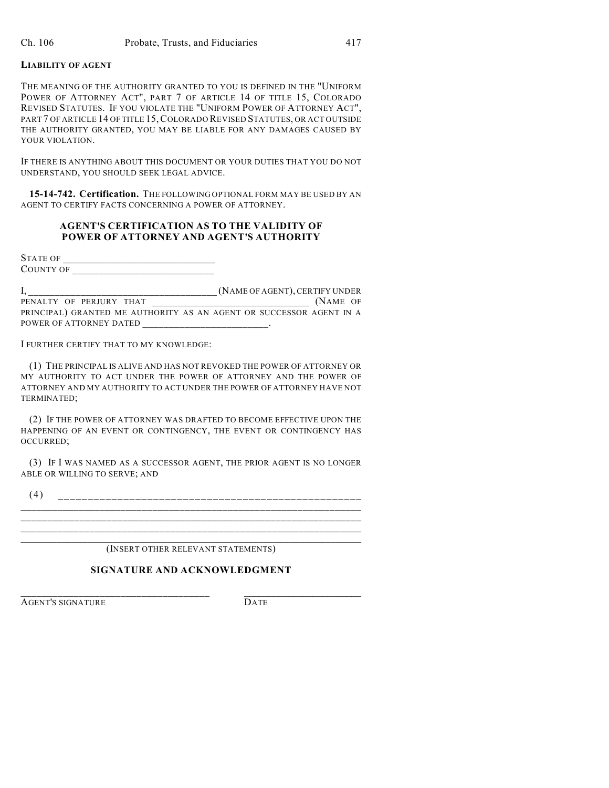#### **LIABILITY OF AGENT**

THE MEANING OF THE AUTHORITY GRANTED TO YOU IS DEFINED IN THE "UNIFORM POWER OF ATTORNEY ACT", PART 7 OF ARTICLE 14 OF TITLE 15, COLORADO REVISED STATUTES. IF YOU VIOLATE THE "UNIFORM POWER OF ATTORNEY ACT", PART 7 OF ARTICLE 14 OF TITLE 15,COLORADO REVISED STATUTES, OR ACT OUTSIDE THE AUTHORITY GRANTED, YOU MAY BE LIABLE FOR ANY DAMAGES CAUSED BY YOUR VIOLATION.

IF THERE IS ANYTHING ABOUT THIS DOCUMENT OR YOUR DUTIES THAT YOU DO NOT UNDERSTAND, YOU SHOULD SEEK LEGAL ADVICE.

**15-14-742. Certification.** THE FOLLOWING OPTIONAL FORM MAY BE USED BY AN AGENT TO CERTIFY FACTS CONCERNING A POWER OF ATTORNEY.

### **AGENT'S CERTIFICATION AS TO THE VALIDITY OF POWER OF ATTORNEY AND AGENT'S AUTHORITY**

STATE OF COUNTY OF \_\_\_\_\_\_\_\_\_\_\_\_\_\_\_\_\_\_\_\_\_\_\_\_\_\_\_

I, \_\_\_\_\_\_\_\_\_\_\_\_\_\_\_\_\_\_\_\_\_\_\_\_\_\_\_\_\_\_\_\_\_\_\_\_ (NAME OF AGENT), CERTIFY UNDER PENALTY OF PERJURY THAT \_\_\_\_\_\_\_\_\_\_\_\_\_\_\_\_\_\_\_\_\_\_\_\_\_\_\_\_\_\_ (NAME OF PRINCIPAL) GRANTED ME AUTHORITY AS AN AGENT OR SUCCESSOR AGENT IN A POWER OF ATTORNEY DATED \_\_\_\_\_\_\_\_\_\_\_\_\_\_\_\_\_\_\_\_\_\_\_\_.

I FURTHER CERTIFY THAT TO MY KNOWLEDGE:

(1) THE PRINCIPAL IS ALIVE AND HAS NOT REVOKED THE POWER OF ATTORNEY OR MY AUTHORITY TO ACT UNDER THE POWER OF ATTORNEY AND THE POWER OF ATTORNEY AND MY AUTHORITY TO ACT UNDER THE POWER OF ATTORNEY HAVE NOT TERMINATED;

(2) IF THE POWER OF ATTORNEY WAS DRAFTED TO BECOME EFFECTIVE UPON THE HAPPENING OF AN EVENT OR CONTINGENCY, THE EVENT OR CONTINGENCY HAS OCCURRED;

(3) IF I WAS NAMED AS A SUCCESSOR AGENT, THE PRIOR AGENT IS NO LONGER ABLE OR WILLING TO SERVE; AND

(4) \_\_\_\_\_\_\_\_\_\_\_\_\_\_\_\_\_\_\_\_\_\_\_\_\_\_\_\_\_\_\_\_\_\_\_\_\_\_\_\_\_\_\_\_\_\_\_\_\_\_\_  $\_$  , and the set of the set of the set of the set of the set of the set of the set of the set of the set of the set of the set of the set of the set of the set of the set of the set of the set of the set of the set of th \_\_\_\_\_\_\_\_\_\_\_\_\_\_\_\_\_\_\_\_\_\_\_\_\_\_\_\_\_\_\_\_\_\_\_\_\_\_\_\_\_\_\_\_\_\_\_\_\_\_\_\_\_\_\_\_\_\_\_\_\_\_\_\_

\_\_\_\_\_\_\_\_\_\_\_\_\_\_\_\_\_\_\_\_\_\_\_\_\_\_\_\_\_\_\_\_\_\_\_\_\_\_\_\_\_\_\_\_\_\_\_\_\_\_\_\_\_\_\_\_\_\_\_\_\_\_\_\_

\_\_\_\_\_\_\_\_\_\_\_\_\_\_\_\_\_\_\_\_\_\_\_\_\_\_\_\_\_\_\_\_\_\_\_\_\_\_\_\_\_\_\_\_\_\_\_\_\_\_\_\_\_\_\_\_\_\_\_\_\_\_\_\_\_\_\_

(INSERT OTHER RELEVANT STATEMENTS)

# **SIGNATURE AND ACKNOWLEDGMENT**

\_\_\_\_\_\_\_\_\_\_\_\_\_\_\_\_\_\_\_\_\_\_\_\_\_\_\_\_\_\_\_\_\_\_\_\_ \_\_\_\_\_\_\_\_\_\_\_\_\_\_\_\_\_\_\_\_\_\_\_\_ AGENT'S SIGNATURE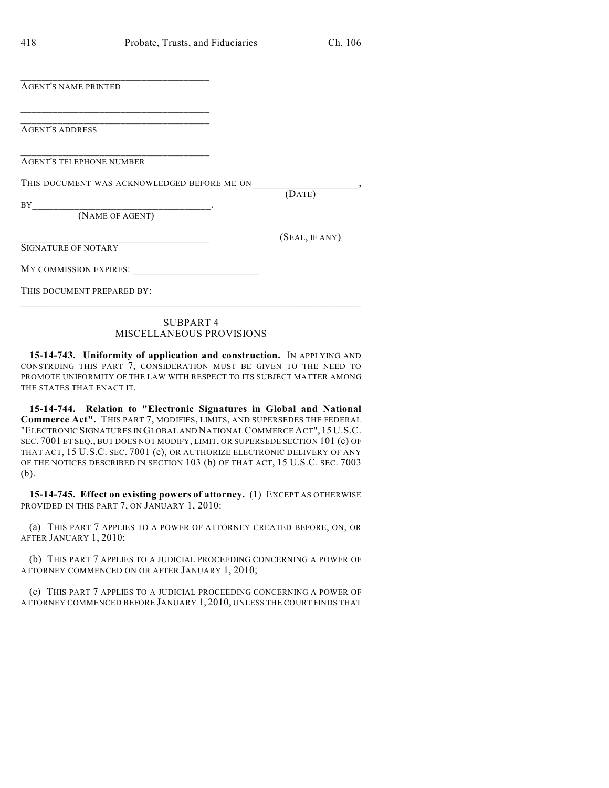AGENT'S NAME PRINTED

AGENT'S ADDRESS

AGENT'S TELEPHONE NUMBER

THIS DOCUMENT WAS ACKNOWLEDGED BEFORE ME ON \_\_\_\_\_\_\_\_\_\_\_\_\_\_\_\_\_\_\_\_,

(DATE)

BY\_\_\_\_\_\_\_\_\_\_\_\_\_\_\_\_\_\_\_\_\_\_\_\_\_\_\_\_\_\_\_\_\_\_.

(NAME OF AGENT)

\_\_\_\_\_\_\_\_\_\_\_\_\_\_\_\_\_\_\_\_\_\_\_\_\_\_\_\_\_\_\_\_\_\_\_\_

\_\_\_\_\_\_\_\_\_\_\_\_\_\_\_\_\_\_\_\_\_\_\_\_\_\_\_\_\_\_\_\_\_\_\_\_ \_\_\_\_\_\_\_\_\_\_\_\_\_\_\_\_\_\_\_\_\_\_\_\_\_\_\_\_\_\_\_\_\_\_\_\_

\_\_\_\_\_\_\_\_\_\_\_\_\_\_\_\_\_\_\_\_\_\_\_\_\_\_\_\_\_\_\_\_\_\_\_\_

 $(SEAL, IF ANY)$ 

SIGNATURE OF NOTARY

MY COMMISSION EXPIRES:

THIS DOCUMENT PREPARED BY:

## SUBPART 4 MISCELLANEOUS PROVISIONS

 $\_$  , and the set of the set of the set of the set of the set of the set of the set of the set of the set of the set of the set of the set of the set of the set of the set of the set of the set of the set of the set of th

**15-14-743. Uniformity of application and construction.** IN APPLYING AND CONSTRUING THIS PART 7, CONSIDERATION MUST BE GIVEN TO THE NEED TO PROMOTE UNIFORMITY OF THE LAW WITH RESPECT TO ITS SUBJECT MATTER AMONG THE STATES THAT ENACT IT.

**15-14-744. Relation to "Electronic Signatures in Global and National Commerce Act".** THIS PART 7, MODIFIES, LIMITS, AND SUPERSEDES THE FEDERAL "ELECTRONIC SIGNATURES IN GLOBAL AND NATIONAL COMMERCE ACT", 15 U.S.C. SEC. 7001 ET SEQ., BUT DOES NOT MODIFY, LIMIT, OR SUPERSEDE SECTION 101 (c) OF THAT ACT, 15 U.S.C. SEC. 7001 (c), OR AUTHORIZE ELECTRONIC DELIVERY OF ANY OF THE NOTICES DESCRIBED IN SECTION 103 (b) OF THAT ACT, 15 U.S.C. SEC. 7003 (b).

**15-14-745. Effect on existing powers of attorney.** (1) EXCEPT AS OTHERWISE PROVIDED IN THIS PART 7, ON JANUARY 1, 2010:

(a) THIS PART 7 APPLIES TO A POWER OF ATTORNEY CREATED BEFORE, ON, OR AFTER JANUARY 1, 2010;

(b) THIS PART 7 APPLIES TO A JUDICIAL PROCEEDING CONCERNING A POWER OF ATTORNEY COMMENCED ON OR AFTER JANUARY 1, 2010;

(c) THIS PART 7 APPLIES TO A JUDICIAL PROCEEDING CONCERNING A POWER OF ATTORNEY COMMENCED BEFORE JANUARY 1, 2010, UNLESS THE COURT FINDS THAT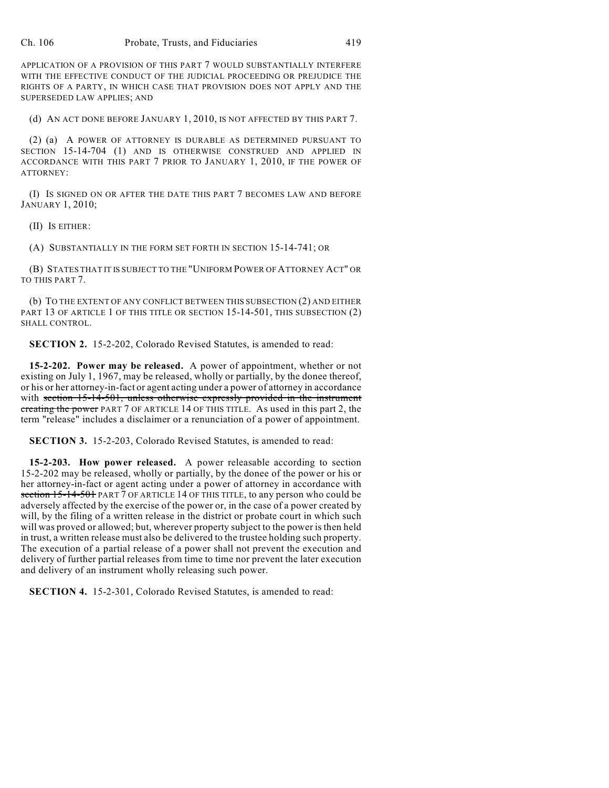APPLICATION OF A PROVISION OF THIS PART 7 WOULD SUBSTANTIALLY INTERFERE WITH THE EFFECTIVE CONDUCT OF THE JUDICIAL PROCEEDING OR PREJUDICE THE RIGHTS OF A PARTY, IN WHICH CASE THAT PROVISION DOES NOT APPLY AND THE SUPERSEDED LAW APPLIES; AND

(d) AN ACT DONE BEFORE JANUARY 1, 2010, IS NOT AFFECTED BY THIS PART 7.

(2) (a) A POWER OF ATTORNEY IS DURABLE AS DETERMINED PURSUANT TO SECTION 15-14-704 (1) AND IS OTHERWISE CONSTRUED AND APPLIED IN ACCORDANCE WITH THIS PART 7 PRIOR TO JANUARY 1, 2010, IF THE POWER OF ATTORNEY:

(I) IS SIGNED ON OR AFTER THE DATE THIS PART 7 BECOMES LAW AND BEFORE JANUARY 1, 2010;

(II) IS EITHER:

(A) SUBSTANTIALLY IN THE FORM SET FORTH IN SECTION 15-14-741; OR

(B) STATES THAT IT IS SUBJECT TO THE "UNIFORM POWER OF ATTORNEY ACT" OR TO THIS PART 7.

(b) TO THE EXTENT OF ANY CONFLICT BETWEEN THIS SUBSECTION (2) AND EITHER PART 13 OF ARTICLE 1 OF THIS TITLE OR SECTION 15-14-501, THIS SUBSECTION (2) SHALL CONTROL.

**SECTION 2.** 15-2-202, Colorado Revised Statutes, is amended to read:

**15-2-202. Power may be released.** A power of appointment, whether or not existing on July 1, 1967, may be released, wholly or partially, by the donee thereof, or his or her attorney-in-fact or agent acting under a power of attorney in accordance with section 15-14-501, unless otherwise expressly provided in the instrument creating the power PART 7 OF ARTICLE 14 OF THIS TITLE. As used in this part 2, the term "release" includes a disclaimer or a renunciation of a power of appointment.

**SECTION 3.** 15-2-203, Colorado Revised Statutes, is amended to read:

**15-2-203. How power released.** A power releasable according to section 15-2-202 may be released, wholly or partially, by the donee of the power or his or her attorney-in-fact or agent acting under a power of attorney in accordance with section 15-14-501 PART 7 OF ARTICLE 14 OF THIS TITLE, to any person who could be adversely affected by the exercise of the power or, in the case of a power created by will, by the filing of a written release in the district or probate court in which such will was proved or allowed; but, wherever property subject to the power is then held in trust, a written release must also be delivered to the trustee holding such property. The execution of a partial release of a power shall not prevent the execution and delivery of further partial releases from time to time nor prevent the later execution and delivery of an instrument wholly releasing such power.

**SECTION 4.** 15-2-301, Colorado Revised Statutes, is amended to read: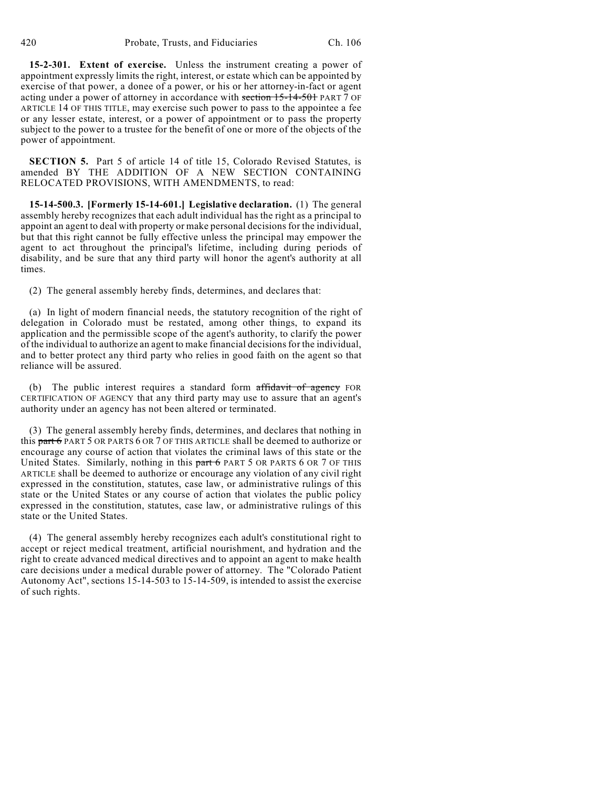**15-2-301. Extent of exercise.** Unless the instrument creating a power of appointment expressly limits the right, interest, or estate which can be appointed by exercise of that power, a donee of a power, or his or her attorney-in-fact or agent acting under a power of attorney in accordance with section 15-14-501 PART 7 OF ARTICLE 14 OF THIS TITLE, may exercise such power to pass to the appointee a fee or any lesser estate, interest, or a power of appointment or to pass the property subject to the power to a trustee for the benefit of one or more of the objects of the power of appointment.

**SECTION 5.** Part 5 of article 14 of title 15, Colorado Revised Statutes, is amended BY THE ADDITION OF A NEW SECTION CONTAINING RELOCATED PROVISIONS, WITH AMENDMENTS, to read:

**15-14-500.3. [Formerly 15-14-601.] Legislative declaration.** (1) The general assembly hereby recognizes that each adult individual has the right as a principal to appoint an agent to deal with property or make personal decisions for the individual, but that this right cannot be fully effective unless the principal may empower the agent to act throughout the principal's lifetime, including during periods of disability, and be sure that any third party will honor the agent's authority at all times.

(2) The general assembly hereby finds, determines, and declares that:

(a) In light of modern financial needs, the statutory recognition of the right of delegation in Colorado must be restated, among other things, to expand its application and the permissible scope of the agent's authority, to clarify the power of the individual to authorize an agent to make financial decisions for the individual, and to better protect any third party who relies in good faith on the agent so that reliance will be assured.

(b) The public interest requires a standard form affidavit of agency FOR CERTIFICATION OF AGENCY that any third party may use to assure that an agent's authority under an agency has not been altered or terminated.

(3) The general assembly hereby finds, determines, and declares that nothing in this part 6 PART 5 OR PARTS 6 OR 7 OF THIS ARTICLE shall be deemed to authorize or encourage any course of action that violates the criminal laws of this state or the United States. Similarly, nothing in this  $part 6$  PART 5 OR PARTS 6 OR 7 OF THIS ARTICLE shall be deemed to authorize or encourage any violation of any civil right expressed in the constitution, statutes, case law, or administrative rulings of this state or the United States or any course of action that violates the public policy expressed in the constitution, statutes, case law, or administrative rulings of this state or the United States.

(4) The general assembly hereby recognizes each adult's constitutional right to accept or reject medical treatment, artificial nourishment, and hydration and the right to create advanced medical directives and to appoint an agent to make health care decisions under a medical durable power of attorney. The "Colorado Patient Autonomy Act", sections 15-14-503 to 15-14-509, is intended to assist the exercise of such rights.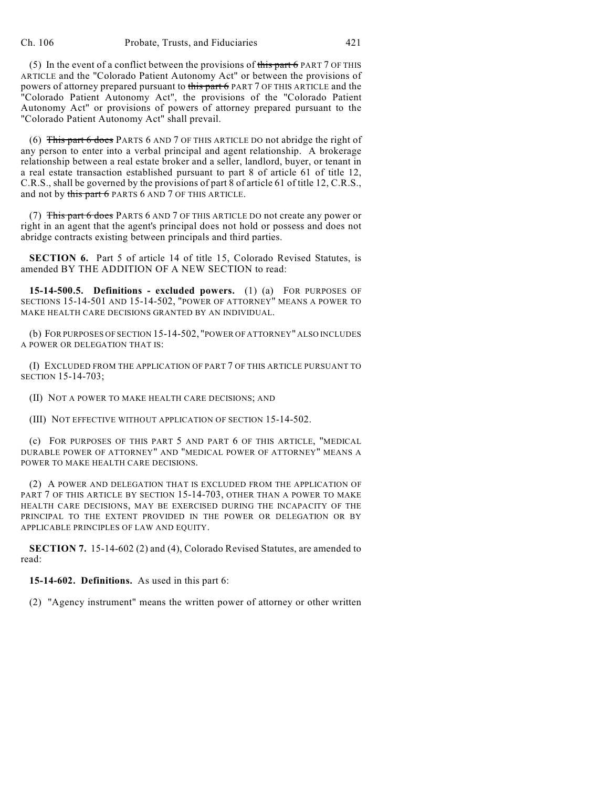(5) In the event of a conflict between the provisions of this part  $6$  PART 7 OF THIS ARTICLE and the "Colorado Patient Autonomy Act" or between the provisions of powers of attorney prepared pursuant to this part 6 PART 7 OF THIS ARTICLE and the "Colorado Patient Autonomy Act", the provisions of the "Colorado Patient Autonomy Act" or provisions of powers of attorney prepared pursuant to the "Colorado Patient Autonomy Act" shall prevail.

(6) This part 6 does PARTS 6 AND 7 OF THIS ARTICLE DO not abridge the right of any person to enter into a verbal principal and agent relationship. A brokerage relationship between a real estate broker and a seller, landlord, buyer, or tenant in a real estate transaction established pursuant to part 8 of article 61 of title 12, C.R.S., shall be governed by the provisions of part 8 of article 61 of title 12, C.R.S., and not by this part 6 PARTS 6 AND 7 OF THIS ARTICLE.

(7) This part 6 does PARTS 6 AND 7 OF THIS ARTICLE DO not create any power or right in an agent that the agent's principal does not hold or possess and does not abridge contracts existing between principals and third parties.

**SECTION 6.** Part 5 of article 14 of title 15, Colorado Revised Statutes, is amended BY THE ADDITION OF A NEW SECTION to read:

**15-14-500.5. Definitions - excluded powers.** (1) (a) FOR PURPOSES OF SECTIONS 15-14-501 AND 15-14-502, "POWER OF ATTORNEY" MEANS A POWER TO MAKE HEALTH CARE DECISIONS GRANTED BY AN INDIVIDUAL.

(b) FOR PURPOSES OF SECTION 15-14-502, "POWER OF ATTORNEY" ALSO INCLUDES A POWER OR DELEGATION THAT IS:

(I) EXCLUDED FROM THE APPLICATION OF PART 7 OF THIS ARTICLE PURSUANT TO SECTION 15-14-703;

(II) NOT A POWER TO MAKE HEALTH CARE DECISIONS; AND

(III) NOT EFFECTIVE WITHOUT APPLICATION OF SECTION 15-14-502.

(c) FOR PURPOSES OF THIS PART 5 AND PART 6 OF THIS ARTICLE, "MEDICAL DURABLE POWER OF ATTORNEY" AND "MEDICAL POWER OF ATTORNEY" MEANS A POWER TO MAKE HEALTH CARE DECISIONS.

(2) A POWER AND DELEGATION THAT IS EXCLUDED FROM THE APPLICATION OF PART 7 OF THIS ARTICLE BY SECTION 15-14-703, OTHER THAN A POWER TO MAKE HEALTH CARE DECISIONS, MAY BE EXERCISED DURING THE INCAPACITY OF THE PRINCIPAL TO THE EXTENT PROVIDED IN THE POWER OR DELEGATION OR BY APPLICABLE PRINCIPLES OF LAW AND EQUITY.

**SECTION 7.** 15-14-602 (2) and (4), Colorado Revised Statutes, are amended to read:

**15-14-602. Definitions.** As used in this part 6:

(2) "Agency instrument" means the written power of attorney or other written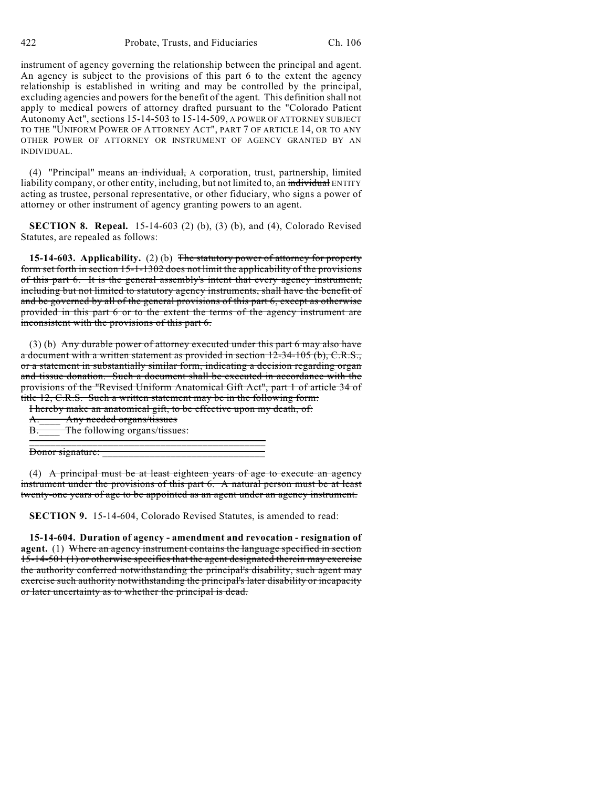instrument of agency governing the relationship between the principal and agent. An agency is subject to the provisions of this part 6 to the extent the agency relationship is established in writing and may be controlled by the principal, excluding agencies and powers for the benefit of the agent. This definition shall not apply to medical powers of attorney drafted pursuant to the "Colorado Patient Autonomy Act", sections 15-14-503 to 15-14-509, A POWER OF ATTORNEY SUBJECT TO THE "UNIFORM POWER OF ATTORNEY ACT", PART 7 OF ARTICLE 14, OR TO ANY OTHER POWER OF ATTORNEY OR INSTRUMENT OF AGENCY GRANTED BY AN INDIVIDUAL.

(4) "Principal" means an individual, A corporation, trust, partnership, limited liability company, or other entity, including, but not limited to, an individual ENTITY acting as trustee, personal representative, or other fiduciary, who signs a power of attorney or other instrument of agency granting powers to an agent.

**SECTION 8. Repeal.** 15-14-603 (2) (b), (3) (b), and (4), Colorado Revised Statutes, are repealed as follows:

**15-14-603. Applicability.** (2) (b) The statutory power of attorney for property form set forth in section 15-1-1302 does not limit the applicability of the provisions of this part 6. It is the general assembly's intent that every agency instrument, including but not limited to statutory agency instruments, shall have the benefit of and be governed by all of the general provisions of this part 6, except as otherwise provided in this part 6 or to the extent the terms of the agency instrument are inconsistent with the provisions of this part 6.

(3) (b) Any durable power of attorney executed under this part 6 may also have a document with a written statement as provided in section 12-34-105 (b), C.R.S., or a statement in substantially similar form, indicating a decision regarding organ and tissue donation. Such a document shall be executed in accordance with the provisions of the "Revised Uniform Anatomical Gift Act", part 1 of article 34 of title 12, C.R.S. Such a written statement may be in the following form:

I hereby make an anatomical gift, to be effective upon my death, of:

A. Any needed organs/tissues

B. The following organs/tissues: \_\_\_\_\_\_\_\_\_\_\_\_\_\_\_\_\_\_\_\_\_\_\_\_\_\_\_\_\_\_\_\_\_\_\_\_\_\_\_\_\_\_\_\_\_

Donor signature:

(4) A principal must be at least eighteen years of age to execute an agency instrument under the provisions of this part 6. A natural person must be at least twenty-one years of age to be appointed as an agent under an agency instrument.

**SECTION 9.** 15-14-604, Colorado Revised Statutes, is amended to read:

**15-14-604. Duration of agency - amendment and revocation - resignation of agent.** (1) Where an agency instrument contains the language specified in section 15-14-501 (1) or otherwise specifies that the agent designated therein may exercise the authority conferred notwithstanding the principal's disability, such agent may exercise such authority notwithstanding the principal's later disability or incapacity or later uncertainty as to whether the principal is dead.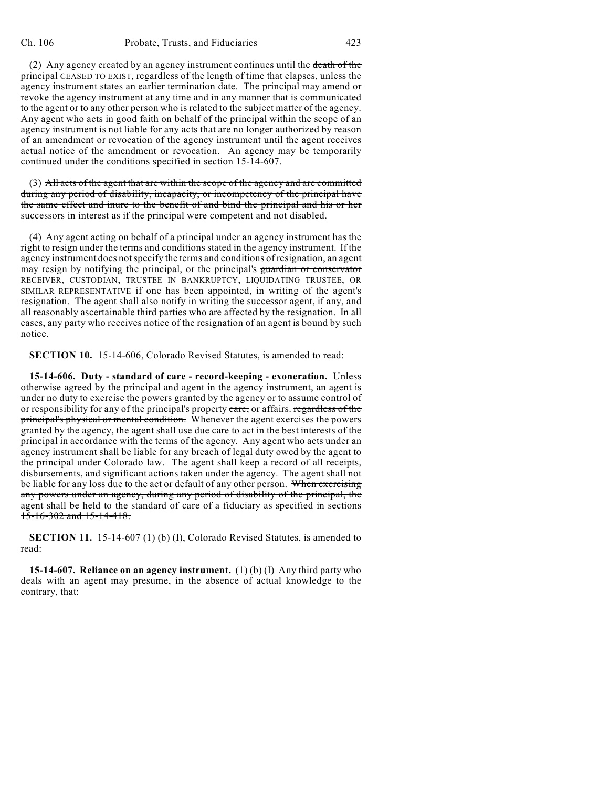(2) Any agency created by an agency instrument continues until the death of the principal CEASED TO EXIST, regardless of the length of time that elapses, unless the agency instrument states an earlier termination date. The principal may amend or revoke the agency instrument at any time and in any manner that is communicated to the agent or to any other person who is related to the subject matter of the agency. Any agent who acts in good faith on behalf of the principal within the scope of an agency instrument is not liable for any acts that are no longer authorized by reason of an amendment or revocation of the agency instrument until the agent receives actual notice of the amendment or revocation. An agency may be temporarily continued under the conditions specified in section 15-14-607.

(3) All acts of the agent that are within the scope of the agency and are committed during any period of disability, incapacity, or incompetency of the principal have the same effect and inure to the benefit of and bind the principal and his or her successors in interest as if the principal were competent and not disabled.

(4) Any agent acting on behalf of a principal under an agency instrument has the right to resign under the terms and conditions stated in the agency instrument. If the agency instrument does notspecify the terms and conditions of resignation, an agent may resign by notifying the principal, or the principal's guardian or conservator RECEIVER, CUSTODIAN, TRUSTEE IN BANKRUPTCY, LIQUIDATING TRUSTEE, OR SIMILAR REPRESENTATIVE if one has been appointed, in writing of the agent's resignation. The agent shall also notify in writing the successor agent, if any, and all reasonably ascertainable third parties who are affected by the resignation. In all cases, any party who receives notice of the resignation of an agent is bound by such notice.

**SECTION 10.** 15-14-606, Colorado Revised Statutes, is amended to read:

**15-14-606. Duty - standard of care - record-keeping - exoneration.** Unless otherwise agreed by the principal and agent in the agency instrument, an agent is under no duty to exercise the powers granted by the agency or to assume control of or responsibility for any of the principal's property care, or affairs. regardless of the principal's physical or mental condition. Whenever the agent exercises the powers granted by the agency, the agent shall use due care to act in the best interests of the principal in accordance with the terms of the agency. Any agent who acts under an agency instrument shall be liable for any breach of legal duty owed by the agent to the principal under Colorado law. The agent shall keep a record of all receipts, disbursements, and significant actions taken under the agency. The agent shall not be liable for any loss due to the act or default of any other person. When exercising any powers under an agency, during any period of disability of the principal, the agent shall be held to the standard of care of a fiduciary as specified in sections 15-16-302 and 15-14-418.

**SECTION 11.** 15-14-607 (1) (b) (I), Colorado Revised Statutes, is amended to read:

**15-14-607. Reliance on an agency instrument.** (1) (b) (I) Any third party who deals with an agent may presume, in the absence of actual knowledge to the contrary, that: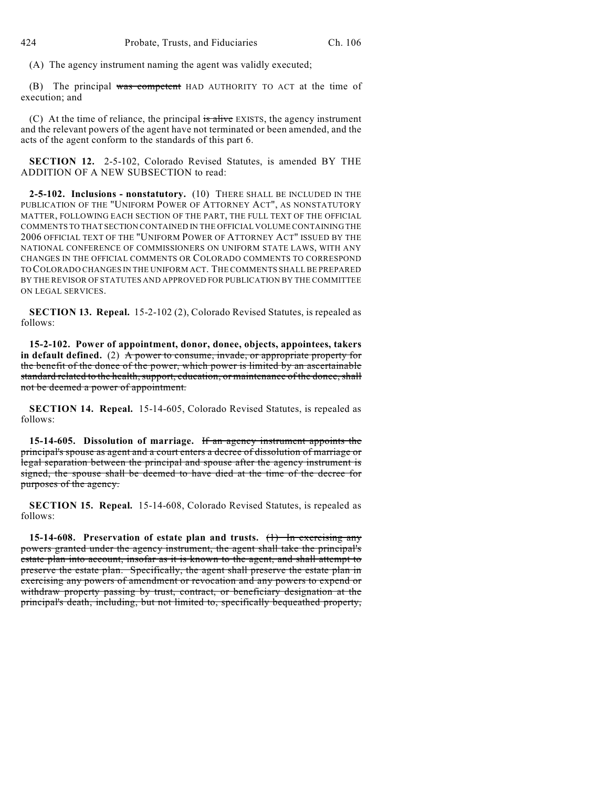(A) The agency instrument naming the agent was validly executed;

(B) The principal was competent HAD AUTHORITY TO ACT at the time of execution; and

(C) At the time of reliance, the principal is alive EXISTS, the agency instrument and the relevant powers of the agent have not terminated or been amended, and the acts of the agent conform to the standards of this part 6.

**SECTION 12.** 2-5-102, Colorado Revised Statutes, is amended BY THE ADDITION OF A NEW SUBSECTION to read:

**2-5-102. Inclusions - nonstatutory.** (10) THERE SHALL BE INCLUDED IN THE PUBLICATION OF THE "UNIFORM POWER OF ATTORNEY ACT", AS NONSTATUTORY MATTER, FOLLOWING EACH SECTION OF THE PART, THE FULL TEXT OF THE OFFICIAL COMMENTS TO THAT SECTION CONTAINED IN THE OFFICIAL VOLUME CONTAINING THE 2006 OFFICIAL TEXT OF THE "UNIFORM POWER OF ATTORNEY ACT" ISSUED BY THE NATIONAL CONFERENCE OF COMMISSIONERS ON UNIFORM STATE LAWS, WITH ANY CHANGES IN THE OFFICIAL COMMENTS OR COLORADO COMMENTS TO CORRESPOND TO COLORADO CHANGES IN THE UNIFORM ACT. THE COMMENTS SHALL BE PREPARED BY THE REVISOR OF STATUTES AND APPROVED FOR PUBLICATION BY THE COMMITTEE ON LEGAL SERVICES.

**SECTION 13. Repeal.** 15-2-102 (2), Colorado Revised Statutes, is repealed as follows:

**15-2-102. Power of appointment, donor, donee, objects, appointees, takers** in default defined. (2) A power to consume, invade, or appropriate property for the benefit of the donee of the power, which power is limited by an ascertainable standard related to the health, support, education, or maintenance of the donee, shall not be deemed a power of appointment.

**SECTION 14. Repeal.** 15-14-605, Colorado Revised Statutes, is repealed as follows:

**15-14-605. Dissolution of marriage.** If an agency instrument appoints the principal's spouse as agent and a court enters a decree of dissolution of marriage or legal separation between the principal and spouse after the agency instrument is signed, the spouse shall be deemed to have died at the time of the decree for purposes of the agency.

**SECTION 15. Repeal.** 15-14-608, Colorado Revised Statutes, is repealed as follows:

**15-14-608. Preservation of estate plan and trusts.** (1) In exercising any powers granted under the agency instrument, the agent shall take the principal's estate plan into account, insofar as it is known to the agent, and shall attempt to preserve the estate plan. Specifically, the agent shall preserve the estate plan in exercising any powers of amendment or revocation and any powers to expend or withdraw property passing by trust, contract, or beneficiary designation at the principal's death, including, but not limited to, specifically bequeathed property,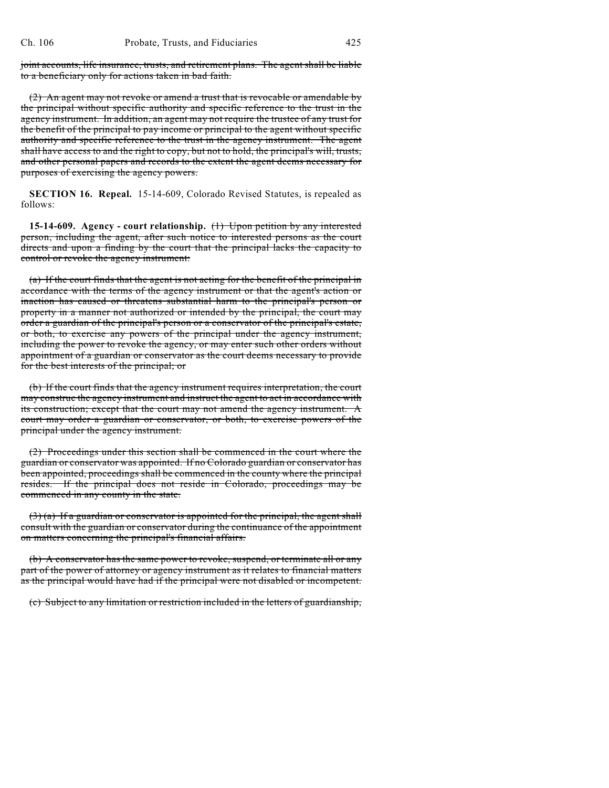joint accounts, life insurance, trusts, and retirement plans. The agent shall be liable to a beneficiary only for actions taken in bad faith.

(2) An agent may not revoke or amend a trust that is revocable or amendable by the principal without specific authority and specific reference to the trust in the agency instrument. In addition, an agent may not require the trustee of any trust for the benefit of the principal to pay income or principal to the agent without specific authority and specific reference to the trust in the agency instrument. The agent shall have access to and the right to copy, but not to hold, the principal's will, trusts, and other personal papers and records to the extent the agent deems necessary for purposes of exercising the agency powers.

**SECTION 16. Repeal.** 15-14-609, Colorado Revised Statutes, is repealed as follows:

**15-14-609. Agency - court relationship.** (1) Upon petition by any interested person, including the agent, after such notice to interested persons as the court directs and upon a finding by the court that the principal lacks the capacity to control or revoke the agency instrument:

(a) If the court finds that the agent is not acting for the benefit of the principal in accordance with the terms of the agency instrument or that the agent's action or inaction has caused or threatens substantial harm to the principal's person or property in a manner not authorized or intended by the principal, the court may order a guardian of the principal's person or a conservator of the principal's estate, or both, to exercise any powers of the principal under the agency instrument, including the power to revoke the agency, or may enter such other orders without appointment of a guardian or conservator as the court deems necessary to provide for the best interests of the principal; or

(b) If the court finds that the agency instrument requires interpretation, the court may construe the agency instrument and instruct the agent to act in accordance with its construction; except that the court may not amend the agency instrument. A court may order a guardian or conservator, or both, to exercise powers of the principal under the agency instrument.

(2) Proceedings under this section shall be commenced in the court where the guardian or conservator was appointed. If no Colorado guardian or conservator has been appointed, proceedings shall be commenced in the county where the principal resides. If the principal does not reside in Colorado, proceedings may be commenced in any county in the state.

(3) (a) If a guardian or conservator is appointed for the principal, the agent shall consult with the guardian or conservator during the continuance of the appointment on matters concerning the principal's financial affairs.

(b) A conservator has the same power to revoke, suspend, or terminate all or any part of the power of attorney or agency instrument as it relates to financial matters as the principal would have had if the principal were not disabled or incompetent.

(c) Subject to any limitation or restriction included in the letters of guardianship,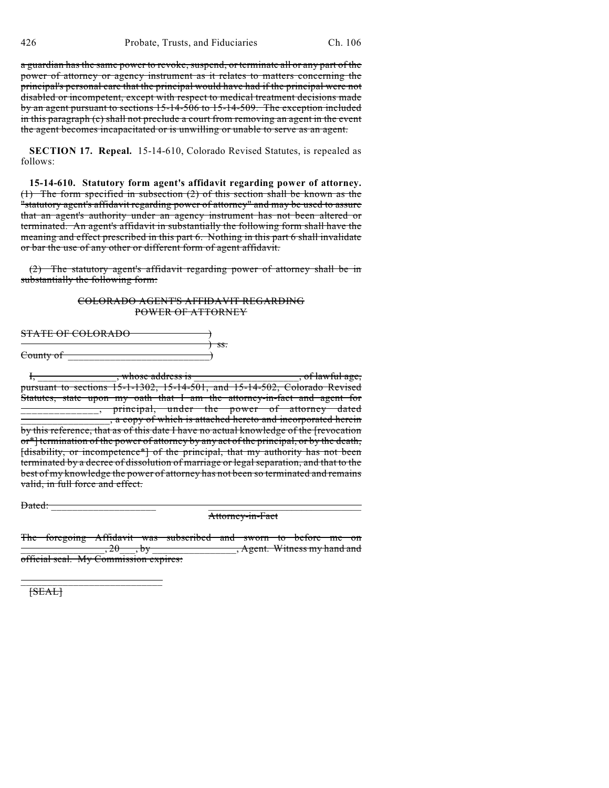a guardian has the same power to revoke, suspend, or terminate all or any part of the power of attorney or agency instrument as it relates to matters concerning the principal's personal care that the principal would have had if the principal were not disabled or incompetent, except with respect to medical treatment decisions made by an agent pursuant to sections 15-14-506 to 15-14-509. The exception included in this paragraph (c) shall not preclude a court from removing an agent in the event the agent becomes incapacitated or is unwilling or unable to serve as an agent.

**SECTION 17. Repeal.** 15-14-610, Colorado Revised Statutes, is repealed as follows:

**15-14-610. Statutory form agent's affidavit regarding power of attorney.** (1) The form specified in subsection (2) of this section shall be known as the "statutory agent's affidavit regarding power of attorney" and may be used to assure that an agent's authority under an agency instrument has not been altered or terminated. An agent's affidavit in substantially the following form shall have the meaning and effect prescribed in this part 6. Nothing in this part 6 shall invalidate or bar the use of any other or different form of agent affidavit.

(2) The statutory agent's affidavit regarding power of attorney shall be in substantially the following form:

#### COLORADO AGENT'S AFFIDAVIT REGARDING POWER OF ATTORNEY

| <b>STATE OF COLORADO</b>                                 |  |  |
|----------------------------------------------------------|--|--|
| $C$ and $\mathcal{F}$<br>$\overline{\mathrm{countv}}$ of |  |  |

whose address is \_\_\_\_\_\_\_\_\_\_\_\_\_\_\_\_\_\_\_\_, of lawful age, pursuant to sections 15-1-1302, 15-14-501, and 15-14-502, Colorado Revised Statutes, state upon my oath that I am the attorney-in-fact and agent for \_\_\_, principal, under the power of attorney dated  $\overline{\phantom{a}}$ , a copy of which is attached hereto and incorporated herein by this reference, that as of this date I have no actual knowledge of the [revocation or\*] termination of the power of attorney by any act of the principal, or by the death, [disability, or incompetence\*] of the principal, that my authority has not been terminated by a decree of dissolution of marriage or legal separation, and that to the best of my knowledge the power of attorney has not been so terminated and remains valid, in full force and effect.

Dated: \_\_\_\_\_\_\_\_\_\_\_\_\_\_\_\_\_\_\_\_ \_\_\_\_\_\_\_\_\_\_\_\_\_\_\_\_\_\_\_\_\_\_\_\_\_\_\_\_\_\_\_

Attorney-in-Fact

The foregoing Affidavit was subscribed and sworn to before me on  $, 20, 30, 6$  by  $, 20, 30, 4$ , Agent. Witness my hand and official seal. My Commission expires:

[SEAL]

\_\_\_\_\_\_\_\_\_\_\_\_\_\_\_\_\_\_\_\_\_\_\_\_\_\_\_